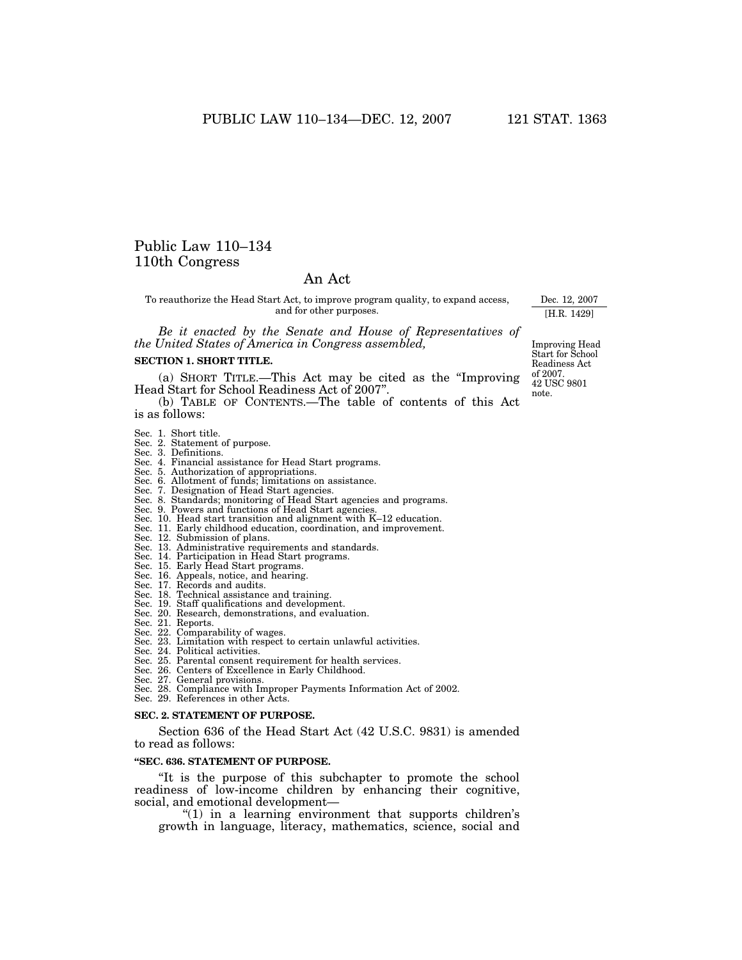# Public Law 110–134 110th Congress

# An Act

To reauthorize the Head Start Act, to improve program quality, to expand access, and for other purposes.

*Be it enacted by the Senate and House of Representatives of the United States of America in Congress assembled,* 

#### **SECTION 1. SHORT TITLE.**

(a) SHORT TITLE.—This Act may be cited as the ''Improving Head Start for School Readiness Act of 2007''.

(b) TABLE OF CONTENTS.—The table of contents of this Act is as follows:

- 
- Sec. 1. Short title. Sec. 2. Statement of purpose.
- Sec. 3. Definitions.
- Sec. 4. Financial assistance for Head Start programs.
- Sec. 5. Authorization of appropriations.
- Sec. 6. Allotment of funds; limitations on assistance. Sec. 7. Designation of Head Start agencies.
- 
- Sec. 8. Standards; monitoring of Head Start agencies and programs. Sec. 9. Powers and functions of Head Start agencies.
- 
- Sec. 10. Head start transition and alignment with K–12 education. Sec. 11. Early childhood education, coordination, and improvement.
- Sec. 12. Submission of plans.
- 
- Sec. 13. Administrative requirements and standards. Sec. 14. Participation in Head Start programs.
- 
- Sec. 15. Early Head Start programs.
- Sec. 16. Appeals, notice, and hearing.
- Sec. 17. Records and audits.
- Sec. 18. Technical assistance and training.
- Sec. 19. Staff qualifications and development.
- Sec. 20. Research, demonstrations, and evaluation.
- Sec. 21. Reports.
- Sec. 22. Comparability of wages.
- Sec. 23. Limitation with respect to certain unlawful activities. Sec. 24. Political activities. Sec. 25. Parental consent requirement for health services.
- 
- 
- Sec. 26. Centers of Excellence in Early Childhood. Sec. 27. General provisions.
- 
- Sec. 28. Compliance with Improper Payments Information Act of 2002. Sec. 29. References in other Acts.
- **SEC. 2. STATEMENT OF PURPOSE.**

Section 636 of the Head Start Act (42 U.S.C. 9831) is amended to read as follows:

#### **''SEC. 636. STATEMENT OF PURPOSE.**

''It is the purpose of this subchapter to promote the school readiness of low-income children by enhancing their cognitive, social, and emotional development—

" $(1)$  in a learning environment that supports children's growth in language, literacy, mathematics, science, social and

Improving Head Start for School Readiness Act of 2007. 42 USC 9801 note.

Dec. 12, 2007 [H.R. 1429]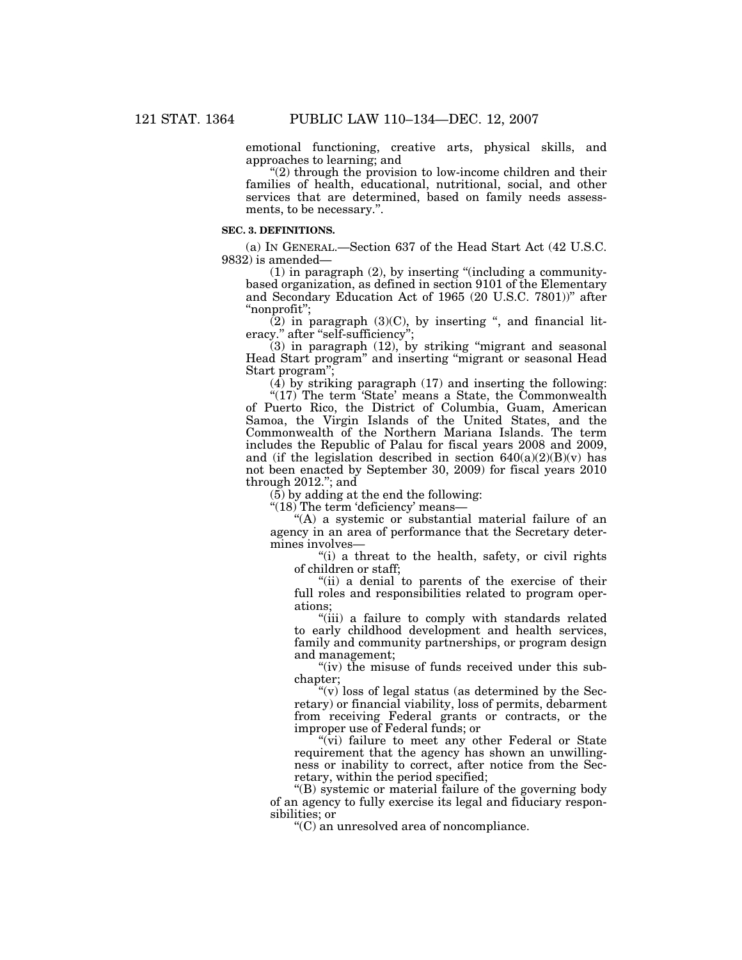emotional functioning, creative arts, physical skills, and approaches to learning; and

''(2) through the provision to low-income children and their families of health, educational, nutritional, social, and other services that are determined, based on family needs assessments, to be necessary.''.

#### **SEC. 3. DEFINITIONS.**

(a) IN GENERAL.—Section 637 of the Head Start Act (42 U.S.C. 9832) is amended—

 $(1)$  in paragraph  $(2)$ , by inserting "(including a communitybased organization, as defined in section 9101 of the Elementary and Secondary Education Act of 1965 (20 U.S.C. 7801))'' after ''nonprofit'';

 $(2)$  in paragraph  $(3)(C)$ , by inserting ", and financial literacy." after "self-sufficiency";

 $(3)$  in paragraph  $(12)$ , by striking "migrant and seasonal Head Start program" and inserting "migrant or seasonal Head Start program'';

 $(4)$  by striking paragraph  $(17)$  and inserting the following:

"(17) The term 'State' means a State, the Commonwealth of Puerto Rico, the District of Columbia, Guam, American Samoa, the Virgin Islands of the United States, and the Commonwealth of the Northern Mariana Islands. The term includes the Republic of Palau for fiscal years 2008 and 2009, and (if the legislation described in section  $640(a)(2)(B)(v)$  has not been enacted by September 30, 2009) for fiscal years 2010 through 2012.''; and

 $(5)$  by adding at the end the following:

''(18) The term 'deficiency' means—

"(A) a systemic or substantial material failure of an agency in an area of performance that the Secretary determines involves—

"(i) a threat to the health, safety, or civil rights" of children or staff;

''(ii) a denial to parents of the exercise of their full roles and responsibilities related to program operations;

''(iii) a failure to comply with standards related to early childhood development and health services, family and community partnerships, or program design and management;

"(iv) the misuse of funds received under this subchapter;

 $\mathcal{C}(v)$  loss of legal status (as determined by the Secretary) or financial viability, loss of permits, debarment from receiving Federal grants or contracts, or the improper use of Federal funds; or

" $(vi)$  failure to meet any other Federal or State requirement that the agency has shown an unwillingness or inability to correct, after notice from the Secretary, within the period specified;

''(B) systemic or material failure of the governing body of an agency to fully exercise its legal and fiduciary responsibilities; or

''(C) an unresolved area of noncompliance.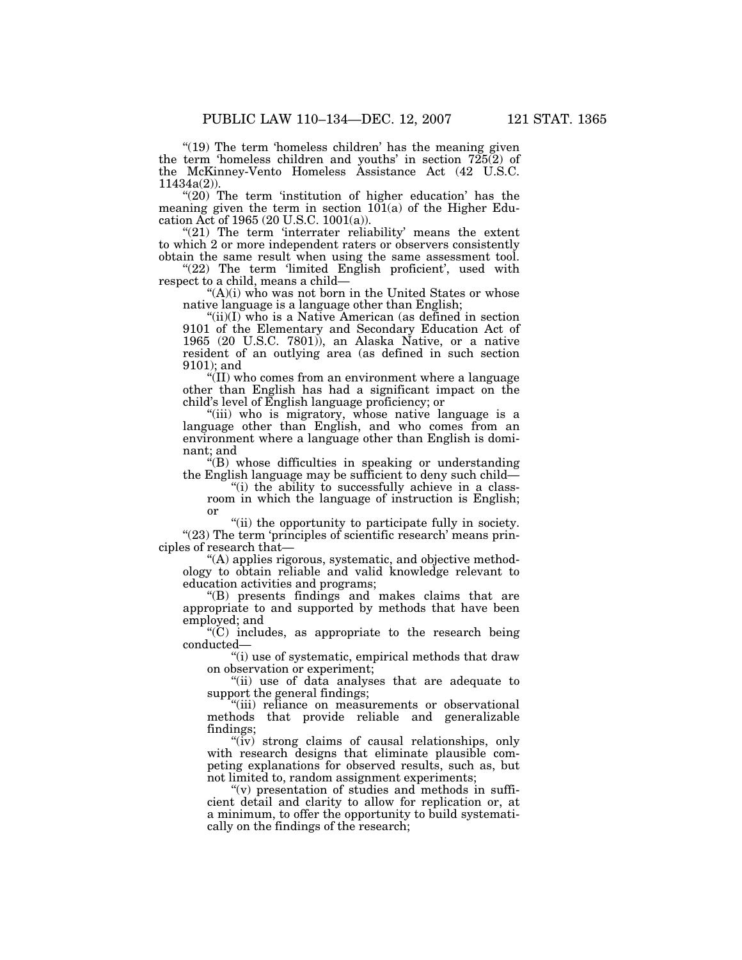"(19) The term 'homeless children' has the meaning given the term 'homeless children and youths' in section 725(2) of the McKinney-Vento Homeless Assistance Act (42 U.S.C.  $11434a(2)$ 

"(20) The term 'institution of higher education' has the meaning given the term in section  $10\bar{1}(a)$  of the Higher Education Act of 1965 (20 U.S.C. 1001(a)).

" $(21)$  The term 'interrater reliability' means the extent to which 2 or more independent raters or observers consistently obtain the same result when using the same assessment tool.

"(22) The term 'limited English proficient', used with respect to a child, means a child—

"(A)(i) who was not born in the United States or whose native language is a language other than English;

"(ii)(I) who is a Native American (as defined in section 9101 of the Elementary and Secondary Education Act of 1965 (20 U.S.C. 7801)), an Alaska Native, or a native resident of an outlying area (as defined in such section 9101); and

''(II) who comes from an environment where a language other than English has had a significant impact on the child's level of English language proficiency; or

''(iii) who is migratory, whose native language is a language other than English, and who comes from an environment where a language other than English is dominant; and

''(B) whose difficulties in speaking or understanding the English language may be sufficient to deny such child—

''(i) the ability to successfully achieve in a classroom in which the language of instruction is English; or

"(ii) the opportunity to participate fully in society.  $''(23)$  The term 'principles of scientific research' means principles of research that—

''(A) applies rigorous, systematic, and objective methodology to obtain reliable and valid knowledge relevant to education activities and programs;

''(B) presents findings and makes claims that are appropriate to and supported by methods that have been employed; and

 $(C)$  includes, as appropriate to the research being conducted—

"(i) use of systematic, empirical methods that draw on observation or experiment;

''(ii) use of data analyses that are adequate to support the general findings;

''(iii) reliance on measurements or observational methods that provide reliable and generalizable findings;

" $(iv)$  strong claims of causal relationships, only with research designs that eliminate plausible competing explanations for observed results, such as, but not limited to, random assignment experiments;

" $(v)$  presentation of studies and methods in sufficient detail and clarity to allow for replication or, at a minimum, to offer the opportunity to build systematically on the findings of the research;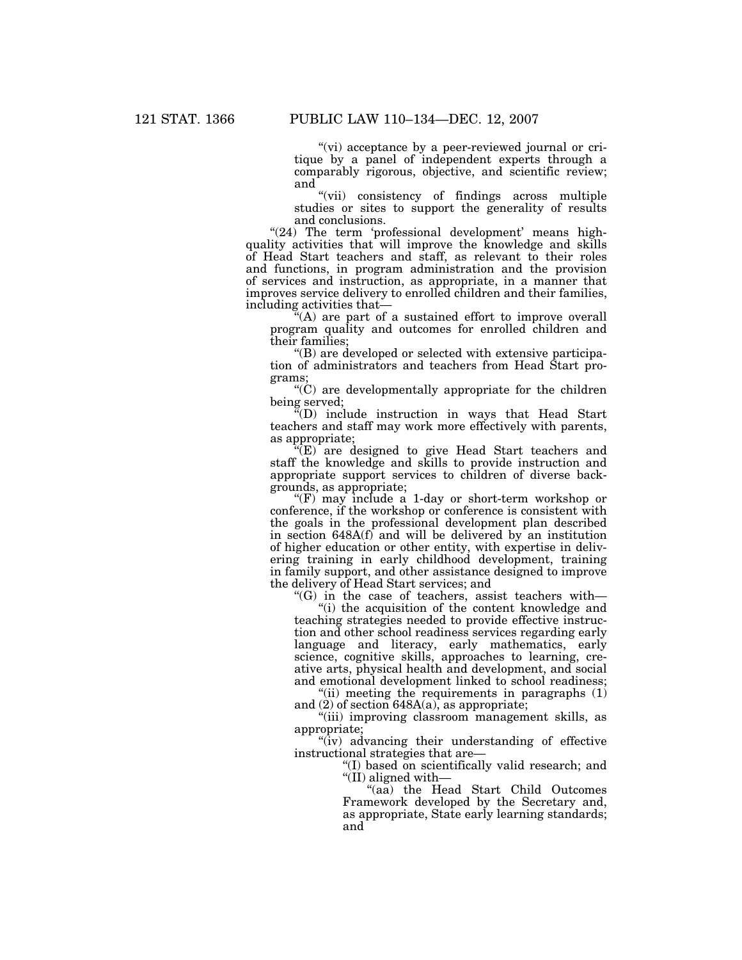"(vi) acceptance by a peer-reviewed journal or critique by a panel of independent experts through a comparably rigorous, objective, and scientific review; and

''(vii) consistency of findings across multiple studies or sites to support the generality of results and conclusions.

"(24) The term 'professional development' means highquality activities that will improve the knowledge and skills of Head Start teachers and staff, as relevant to their roles and functions, in program administration and the provision of services and instruction, as appropriate, in a manner that improves service delivery to enrolled children and their families, including activities that—

 $\mathcal{H}(\mathsf{A})$  are part of a sustained effort to improve overall program quality and outcomes for enrolled children and their families;

''(B) are developed or selected with extensive participation of administrators and teachers from Head Start programs;

 $C^{\infty}$  are developmentally appropriate for the children being served;

''(D) include instruction in ways that Head Start teachers and staff may work more effectively with parents, as appropriate;

 $\sqrt[n]{(E)}$  are designed to give Head Start teachers and staff the knowledge and skills to provide instruction and appropriate support services to children of diverse backgrounds, as appropriate;

''(F) may include a 1-day or short-term workshop or conference, if the workshop or conference is consistent with the goals in the professional development plan described in section 648A(f) and will be delivered by an institution of higher education or other entity, with expertise in delivering training in early childhood development, training in family support, and other assistance designed to improve the delivery of Head Start services; and

" $(G)$  in the case of teachers, assist teachers with—

"(i) the acquisition of the content knowledge and teaching strategies needed to provide effective instruction and other school readiness services regarding early language and literacy, early mathematics, early science, cognitive skills, approaches to learning, creative arts, physical health and development, and social and emotional development linked to school readiness;

"(ii) meeting the requirements in paragraphs  $(1)$ and (2) of section 648A(a), as appropriate;

''(iii) improving classroom management skills, as appropriate;

"(iv) advancing their understanding of effective instructional strategies that are—

''(I) based on scientifically valid research; and ''(II) aligned with—

"(aa) the Head Start Child Outcomes Framework developed by the Secretary and, as appropriate, State early learning standards; and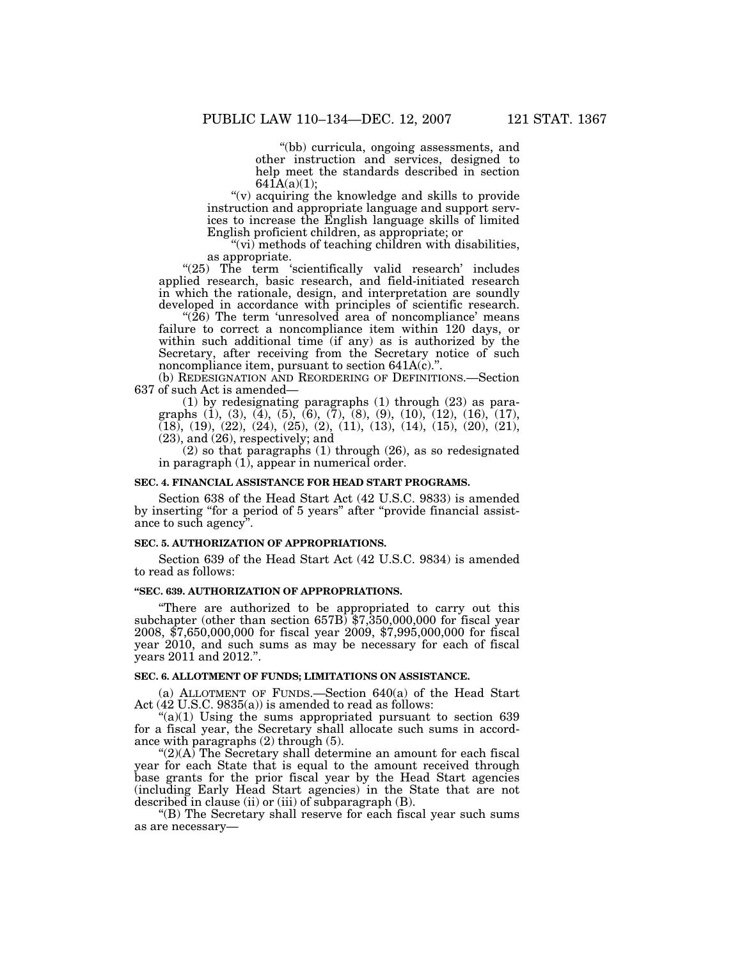''(bb) curricula, ongoing assessments, and other instruction and services, designed to help meet the standards described in section  $641A(a)(1);$ 

''(v) acquiring the knowledge and skills to provide instruction and appropriate language and support services to increase the English language skills of limited English proficient children, as appropriate; or

"(vi) methods of teaching children with disabilities, as appropriate.

"(25) The term 'scientifically valid research' includes applied research, basic research, and field-initiated research in which the rationale, design, and interpretation are soundly developed in accordance with principles of scientific research.

" $(26)$  The term 'unresolved area of noncompliance' means failure to correct a noncompliance item within 120 days, or within such additional time (if any) as is authorized by the Secretary, after receiving from the Secretary notice of such noncompliance item, pursuant to section 641A(c).''.

(b) REDESIGNATION AND REORDERING OF DEFINITIONS.—Section 637 of such Act is amended—

(1) by redesignating paragraphs (1) through (23) as paragraphs (1), (3), (4), (5), (6), (7), (8), (9), (10), (12), (16), (17),  $(18)$ ,  $(19)$ ,  $(22)$ ,  $(24)$ ,  $(25)$ ,  $(2)$ ,  $(11)$ ,  $(13)$ ,  $(14)$ ,  $(15)$ ,  $(20)$ ,  $(21)$ , (23), and (26), respectively; and

 $(2)$  so that paragraphs  $(1)$  through  $(26)$ , as so redesignated in paragraph (1), appear in numerical order.

#### **SEC. 4. FINANCIAL ASSISTANCE FOR HEAD START PROGRAMS.**

Section 638 of the Head Start Act (42 U.S.C. 9833) is amended by inserting ''for a period of 5 years'' after ''provide financial assistance to such agency''.

# **SEC. 5. AUTHORIZATION OF APPROPRIATIONS.**

Section 639 of the Head Start Act (42 U.S.C. 9834) is amended to read as follows:

# **''SEC. 639. AUTHORIZATION OF APPROPRIATIONS.**

''There are authorized to be appropriated to carry out this subchapter (other than section 657B) \$7,350,000,000 for fiscal year 2008, \$7,650,000,000 for fiscal year 2009, \$7,995,000,000 for fiscal year 2010, and such sums as may be necessary for each of fiscal years 2011 and 2012.''.

# **SEC. 6. ALLOTMENT OF FUNDS; LIMITATIONS ON ASSISTANCE.**

(a) ALLOTMENT OF FUNDS.—Section 640(a) of the Head Start Act (42 U.S.C. 9835(a)) is amended to read as follows:

" $(a)(1)$  Using the sums appropriated pursuant to section 639 for a fiscal year, the Secretary shall allocate such sums in accordance with paragraphs (2) through (5).

" $(2)(A)$  The Secretary shall determine an amount for each fiscal year for each State that is equal to the amount received through base grants for the prior fiscal year by the Head Start agencies (including Early Head Start agencies) in the State that are not described in clause (ii) or (iii) of subparagraph (B).

''(B) The Secretary shall reserve for each fiscal year such sums as are necessary—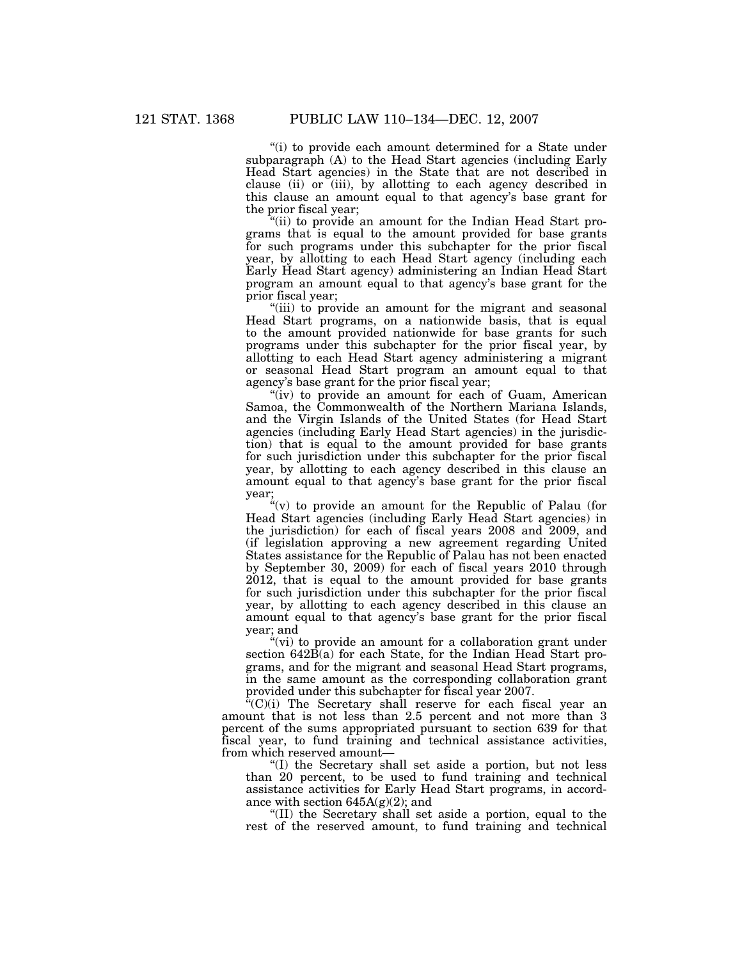''(i) to provide each amount determined for a State under subparagraph (A) to the Head Start agencies (including Early Head Start agencies) in the State that are not described in clause (ii) or (iii), by allotting to each agency described in this clause an amount equal to that agency's base grant for the prior fiscal year;

"(ii) to provide an amount for the Indian Head Start programs that is equal to the amount provided for base grants for such programs under this subchapter for the prior fiscal year, by allotting to each Head Start agency (including each Early Head Start agency) administering an Indian Head Start program an amount equal to that agency's base grant for the prior fiscal year;

"(iii) to provide an amount for the migrant and seasonal Head Start programs, on a nationwide basis, that is equal to the amount provided nationwide for base grants for such programs under this subchapter for the prior fiscal year, by allotting to each Head Start agency administering a migrant or seasonal Head Start program an amount equal to that agency's base grant for the prior fiscal year;

"(iv) to provide an amount for each of Guam, American Samoa, the Commonwealth of the Northern Mariana Islands, and the Virgin Islands of the United States (for Head Start agencies (including Early Head Start agencies) in the jurisdiction) that is equal to the amount provided for base grants for such jurisdiction under this subchapter for the prior fiscal year, by allotting to each agency described in this clause an amount equal to that agency's base grant for the prior fiscal year;

"(v) to provide an amount for the Republic of Palau (for Head Start agencies (including Early Head Start agencies) in the jurisdiction) for each of fiscal years 2008 and 2009, and (if legislation approving a new agreement regarding United States assistance for the Republic of Palau has not been enacted by September 30, 2009) for each of fiscal years 2010 through 2012, that is equal to the amount provided for base grants for such jurisdiction under this subchapter for the prior fiscal year, by allotting to each agency described in this clause an amount equal to that agency's base grant for the prior fiscal year; and

"(vi) to provide an amount for a collaboration grant under section 642B(a) for each State, for the Indian Head Start programs, and for the migrant and seasonal Head Start programs, in the same amount as the corresponding collaboration grant provided under this subchapter for fiscal year 2007.

"(C)(i) The Secretary shall reserve for each fiscal year an amount that is not less than 2.5 percent and not more than 3 percent of the sums appropriated pursuant to section 639 for that fiscal year, to fund training and technical assistance activities, from which reserved amount—

''(I) the Secretary shall set aside a portion, but not less than 20 percent, to be used to fund training and technical assistance activities for Early Head Start programs, in accordance with section 645A(g)(2); and

''(II) the Secretary shall set aside a portion, equal to the rest of the reserved amount, to fund training and technical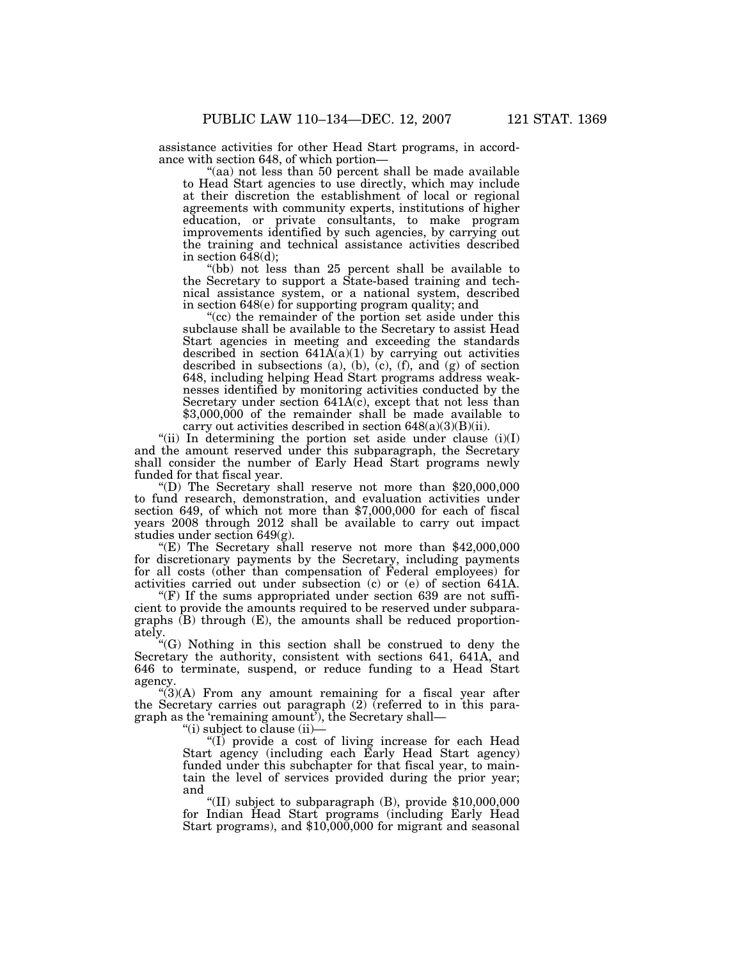assistance activities for other Head Start programs, in accordance with section 648, of which portion—

"(aa) not less than 50 percent shall be made available to Head Start agencies to use directly, which may include at their discretion the establishment of local or regional agreements with community experts, institutions of higher education, or private consultants, to make program improvements identified by such agencies, by carrying out the training and technical assistance activities described in section  $6\bar{4}8(d)$ ;

''(bb) not less than 25 percent shall be available to the Secretary to support a State-based training and technical assistance system, or a national system, described in section 648(e) for supporting program quality; and

"(cc) the remainder of the portion set aside under this subclause shall be available to the Secretary to assist Head Start agencies in meeting and exceeding the standards described in section  $641\overline{A(a)}(1)$  by carrying out activities described in subsections (a), (b), (c), (f), and (g) of section 648, including helping Head Start programs address weaknesses identified by monitoring activities conducted by the Secretary under section 641A(c), except that not less than \$3,000,000 of the remainder shall be made available to carry out activities described in section  $648(a)(3)(B)(ii)$ .

"(ii) In determining the portion set aside under clause  $(i)(I)$ and the amount reserved under this subparagraph, the Secretary shall consider the number of Early Head Start programs newly funded for that fiscal year.

''(D) The Secretary shall reserve not more than \$20,000,000 to fund research, demonstration, and evaluation activities under section 649, of which not more than \$7,000,000 for each of fiscal years 2008 through 2012 shall be available to carry out impact studies under section 649(g).

''(E) The Secretary shall reserve not more than \$42,000,000 for discretionary payments by the Secretary, including payments for all costs (other than compensation of Federal employees) for activities carried out under subsection (c) or (e) of section 641A.

" $(F)$  If the sums appropriated under section 639 are not sufficient to provide the amounts required to be reserved under subparagraphs (B) through (E), the amounts shall be reduced proportionately.

''(G) Nothing in this section shall be construed to deny the Secretary the authority, consistent with sections 641, 641A, and 646 to terminate, suspend, or reduce funding to a Head Start agency.

" $(3)(A)$  From any amount remaining for a fiscal year after the Secretary carries out paragraph  $(2)$  (referred to in this paragraph as the 'remaining amount'), the Secretary shall—

''(i) subject to clause (ii)—

''(I) provide a cost of living increase for each Head Start agency (including each Early Head Start agency) funded under this subchapter for that fiscal year, to maintain the level of services provided during the prior year; and

''(II) subject to subparagraph (B), provide \$10,000,000 for Indian Head Start programs (including Early Head Start programs), and \$10,000,000 for migrant and seasonal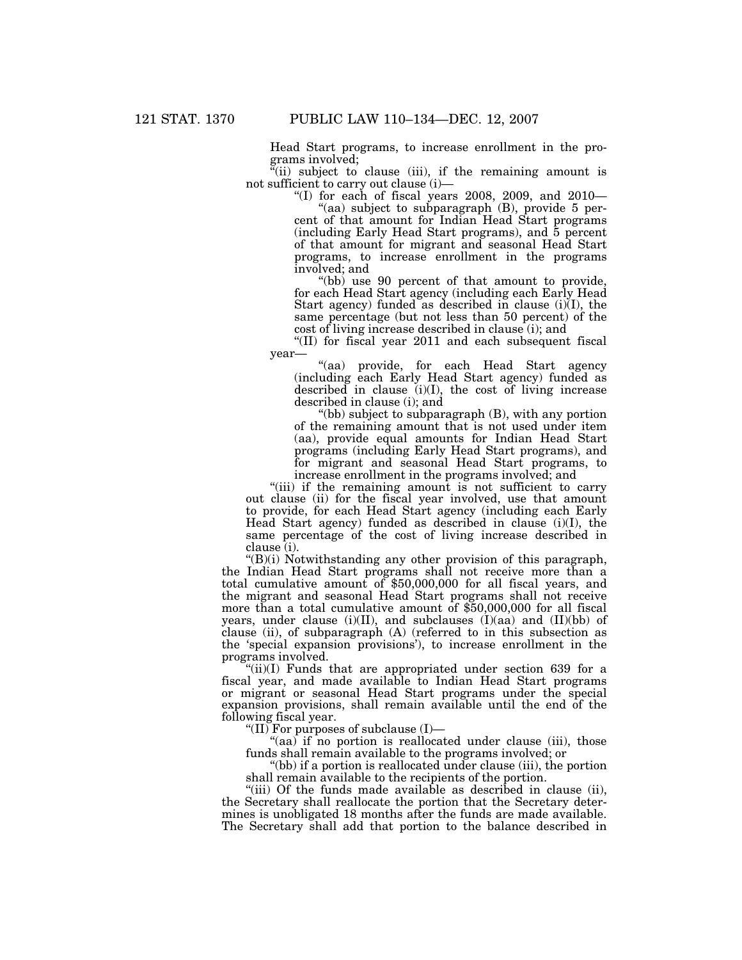Head Start programs, to increase enrollment in the programs involved;

 $\ddot{f}$ (ii) subject to clause (iii), if the remaining amount is not sufficient to carry out clause (i)—

"(I) for each of fiscal years 2008, 2009, and 2010-

"(aa) subject to subparagraph  $(B)$ , provide 5 percent of that amount for Indian Head Start programs (including Early Head Start programs), and 5 percent of that amount for migrant and seasonal Head Start programs, to increase enrollment in the programs involved; and

"(bb) use 90 percent of that amount to provide, for each Head Start agency (including each Early Head Start agency) funded as described in clause (i)(I), the same percentage (but not less than 50 percent) of the cost of living increase described in clause (i); and

''(II) for fiscal year 2011 and each subsequent fiscal year—

''(aa) provide, for each Head Start agency (including each Early Head Start agency) funded as described in clause (i)(I), the cost of living increase described in clause (i); and

''(bb) subject to subparagraph (B), with any portion of the remaining amount that is not used under item (aa), provide equal amounts for Indian Head Start programs (including Early Head Start programs), and for migrant and seasonal Head Start programs, to increase enrollment in the programs involved; and

"(iii) if the remaining amount is not sufficient to carry out clause (ii) for the fiscal year involved, use that amount to provide, for each Head Start agency (including each Early Head Start agency) funded as described in clause (i)(I), the same percentage of the cost of living increase described in clause (i).

 $f(B)(i)$  Notwithstanding any other provision of this paragraph, the Indian Head Start programs shall not receive more than a total cumulative amount of \$50,000,000 for all fiscal years, and the migrant and seasonal Head Start programs shall not receive more than a total cumulative amount of \$50,000,000 for all fiscal years, under clause (i)(II), and subclauses (I)(aa) and (II)(bb) of clause (ii), of subparagraph (A) (referred to in this subsection as the 'special expansion provisions'), to increase enrollment in the programs involved.

" $(iii)(I)$  Funds that are appropriated under section 639 for a fiscal year, and made available to Indian Head Start programs or migrant or seasonal Head Start programs under the special expansion provisions, shall remain available until the end of the following fiscal year.

"(II) For purposes of subclause  $(I)$ —

 $f(aa)$  if no portion is reallocated under clause (iii), those funds shall remain available to the programs involved; or

"(bb) if a portion is reallocated under clause (iii), the portion shall remain available to the recipients of the portion.

''(iii) Of the funds made available as described in clause (ii), the Secretary shall reallocate the portion that the Secretary determines is unobligated 18 months after the funds are made available. The Secretary shall add that portion to the balance described in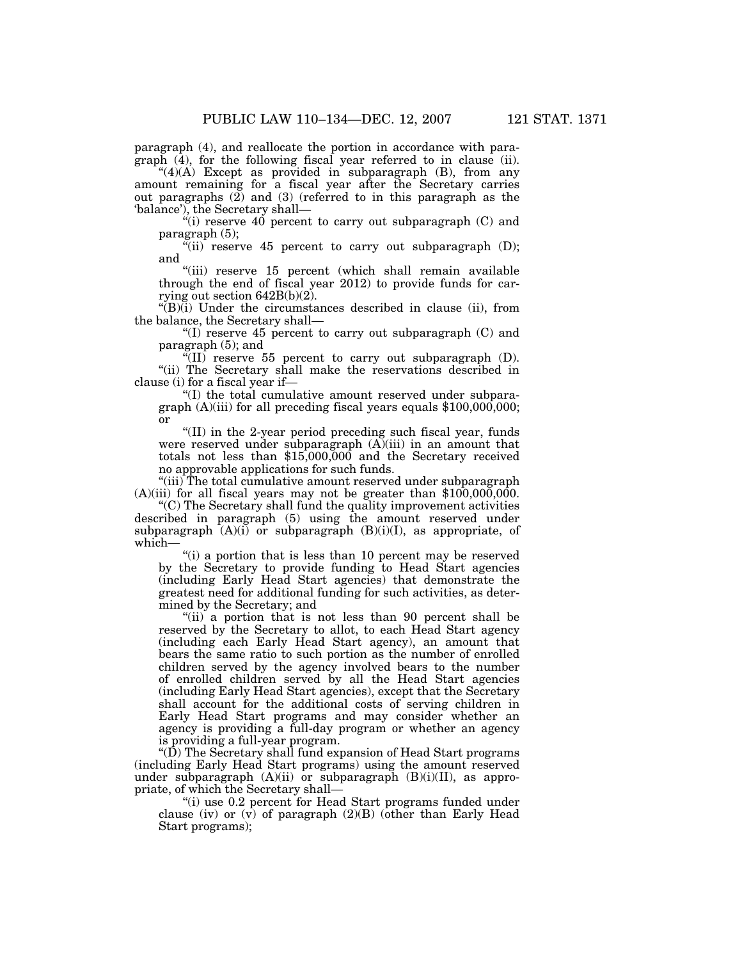paragraph (4), and reallocate the portion in accordance with paragraph (4), for the following fiscal year referred to in clause (ii).

" $(4)(A)$  Except as provided in subparagraph  $(B)$ , from any amount remaining for a fiscal year after the Secretary carries out paragraphs  $(2)$  and  $(3)$  (referred to in this paragraph as the 'balance'), the Secretary shall—

"(i) reserve 40 percent to carry out subparagraph (C) and paragraph (5);

 $\sqrt[n]{\text{iii}}$  reserve 45 percent to carry out subparagraph (D); and

"(iii) reserve 15 percent (which shall remain available through the end of fiscal year 2012) to provide funds for carrying out section 642B(b)(2).

 $'(B)(i)$  Under the circumstances described in clause (ii), from the balance, the Secretary shall—

"(I) reserve  $45$  percent to carry out subparagraph (C) and paragraph (5); and

 $\sqrt[\text{H}]{(II)}$  reserve 55 percent to carry out subparagraph (D). ''(ii) The Secretary shall make the reservations described in clause (i) for a fiscal year if—

''(I) the total cumulative amount reserved under subparagraph  $(A)$ (iii) for all preceding fiscal years equals  $$100,000,000;$ or

''(II) in the 2-year period preceding such fiscal year, funds were reserved under subparagraph  $(A)(iii)$  in an amount that totals not less than \$15,000,000 and the Secretary received no approvable applications for such funds.

"(iii) The total cumulative amount reserved under subparagraph  $(A)(iii)$  for all fiscal years may not be greater than \$100,000,000.

''(C) The Secretary shall fund the quality improvement activities described in paragraph (5) using the amount reserved under subparagraph  $(A)(i)$  or subparagraph  $(B)(i)(I)$ , as appropriate, of which—

"(i) a portion that is less than 10 percent may be reserved by the Secretary to provide funding to Head Start agencies (including Early Head Start agencies) that demonstrate the greatest need for additional funding for such activities, as determined by the Secretary; and

''(ii) a portion that is not less than 90 percent shall be reserved by the Secretary to allot, to each Head Start agency (including each Early Head Start agency), an amount that bears the same ratio to such portion as the number of enrolled children served by the agency involved bears to the number of enrolled children served by all the Head Start agencies (including Early Head Start agencies), except that the Secretary shall account for the additional costs of serving children in Early Head Start programs and may consider whether an agency is providing a full-day program or whether an agency is providing a full-year program.

''(D) The Secretary shall fund expansion of Head Start programs (including Early Head Start programs) using the amount reserved under subparagraph  $(A)(ii)$  or subparagraph  $(B)(i)(II)$ , as appropriate, of which the Secretary shall—

''(i) use 0.2 percent for Head Start programs funded under clause (iv) or  $(v)$  of paragraph  $(2)(B)$  (other than Early Head Start programs);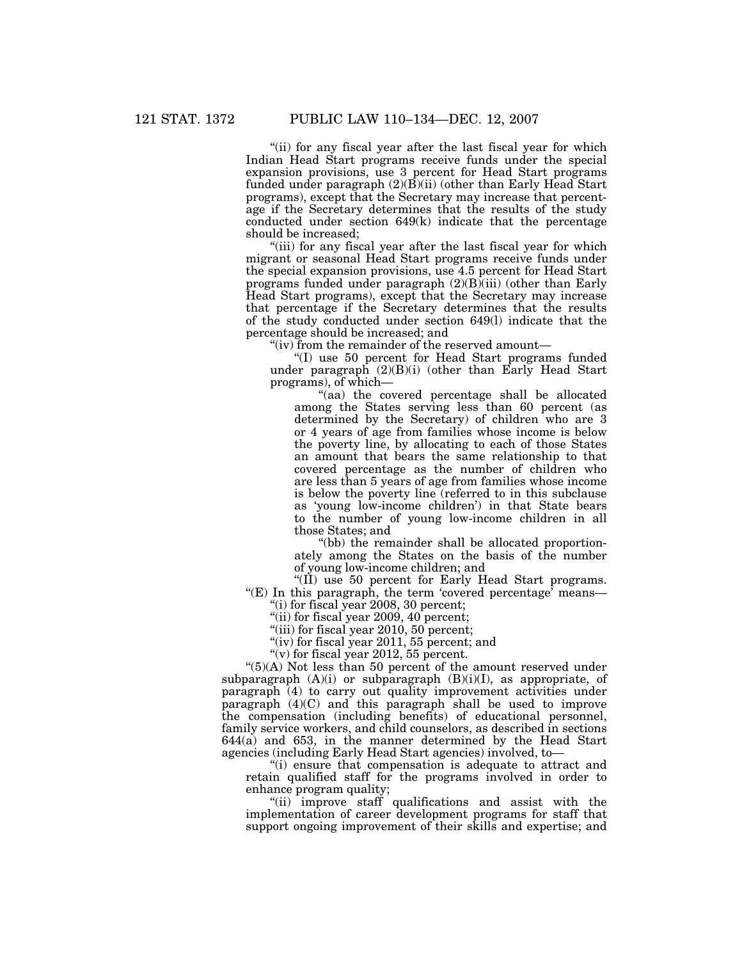"(ii) for any fiscal year after the last fiscal year for which Indian Head Start programs receive funds under the special expansion provisions, use 3 percent for Head Start programs funded under paragraph (2)(B)(ii) (other than Early Head Start programs), except that the Secretary may increase that percentage if the Secretary determines that the results of the study conducted under section 649(k) indicate that the percentage should be increased;

"(iii) for any fiscal year after the last fiscal year for which migrant or seasonal Head Start programs receive funds under the special expansion provisions, use 4.5 percent for Head Start programs funded under paragraph  $(2)(B)(iii)$  (other than Early Head Start programs), except that the Secretary may increase that percentage if the Secretary determines that the results of the study conducted under section 649(l) indicate that the percentage should be increased; and

''(iv) from the remainder of the reserved amount—

''(I) use 50 percent for Head Start programs funded under paragraph  $(2)(B)(i)$  (other than Early Head Start programs), of which—

''(aa) the covered percentage shall be allocated among the States serving less than 60 percent (as determined by the Secretary) of children who are 3 or 4 years of age from families whose income is below the poverty line, by allocating to each of those States an amount that bears the same relationship to that covered percentage as the number of children who are less than 5 years of age from families whose income is below the poverty line (referred to in this subclause as 'young low-income children') in that State bears to the number of young low-income children in all those States; and

''(bb) the remainder shall be allocated proportionately among the States on the basis of the number of young low-income children; and

"(II) use 50 percent for Early Head Start programs. "(E) In this paragraph, the term 'covered percentage' means—

''(i) for fiscal year 2008, 30 percent;

"(ii) for fiscal year 2009, 40 percent;

"(iii) for fiscal year 2010, 50 percent;

"(iv) for fiscal year 2011, 55 percent; and

" $(v)$  for fiscal year 2012, 55 percent.

" $(5)(A)$  Not less than 50 percent of the amount reserved under subparagraph (A)(i) or subparagraph (B)(i)(I), as appropriate, of paragraph (4) to carry out quality improvement activities under paragraph (4)(C) and this paragraph shall be used to improve the compensation (including benefits) of educational personnel, family service workers, and child counselors, as described in sections 644(a) and 653, in the manner determined by the Head Start agencies (including Early Head Start agencies) involved, to—

''(i) ensure that compensation is adequate to attract and retain qualified staff for the programs involved in order to enhance program quality;

"(ii) improve staff qualifications and assist with the implementation of career development programs for staff that support ongoing improvement of their skills and expertise; and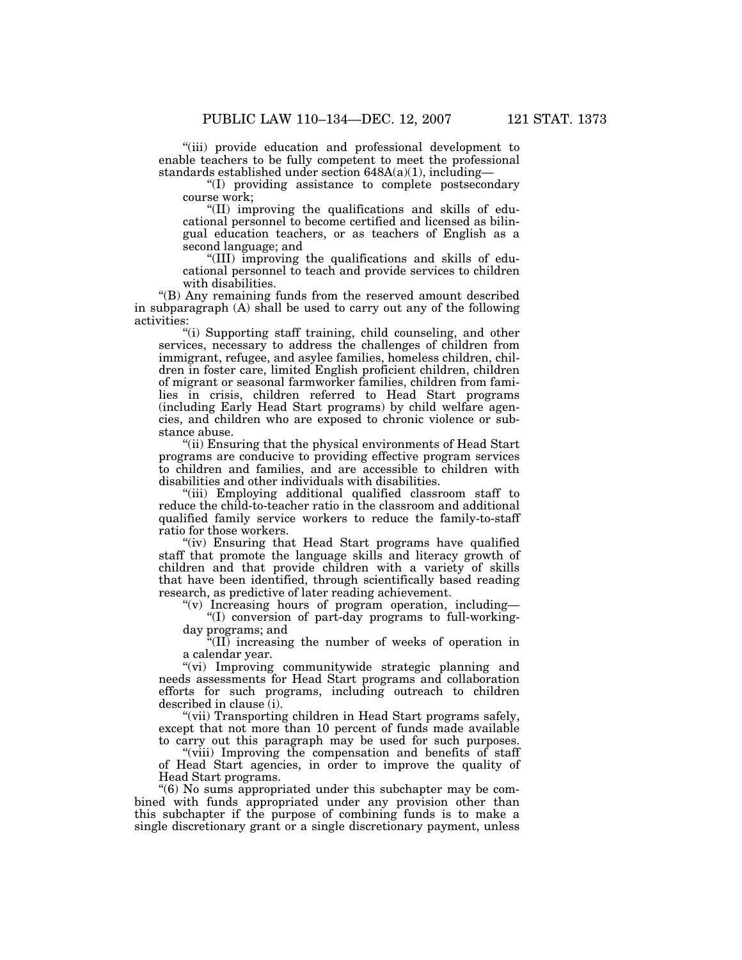''(iii) provide education and professional development to enable teachers to be fully competent to meet the professional standards established under section 648A(a)(1), including—

''(I) providing assistance to complete postsecondary course work;

''(II) improving the qualifications and skills of educational personnel to become certified and licensed as bilingual education teachers, or as teachers of English as a second language; and

''(III) improving the qualifications and skills of educational personnel to teach and provide services to children with disabilities.

''(B) Any remaining funds from the reserved amount described in subparagraph (A) shall be used to carry out any of the following activities:

"(i) Supporting staff training, child counseling, and other services, necessary to address the challenges of children from immigrant, refugee, and asylee families, homeless children, children in foster care, limited English proficient children, children of migrant or seasonal farmworker families, children from families in crisis, children referred to Head Start programs (including Early Head Start programs) by child welfare agencies, and children who are exposed to chronic violence or substance abuse.

''(ii) Ensuring that the physical environments of Head Start programs are conducive to providing effective program services to children and families, and are accessible to children with disabilities and other individuals with disabilities.

"(iii) Employing additional qualified classroom staff to reduce the child-to-teacher ratio in the classroom and additional qualified family service workers to reduce the family-to-staff ratio for those workers.

(iv) Ensuring that Head Start programs have qualified staff that promote the language skills and literacy growth of children and that provide children with a variety of skills that have been identified, through scientifically based reading research, as predictive of later reading achievement.

" $(v)$  Increasing hours of program operation, including-

''(I) conversion of part-day programs to full-workingday programs; and

''(II) increasing the number of weeks of operation in a calendar year.

"(vi) Improving communitywide strategic planning and needs assessments for Head Start programs and collaboration efforts for such programs, including outreach to children described in clause (i).

"(vii) Transporting children in Head Start programs safely, except that not more than 10 percent of funds made available to carry out this paragraph may be used for such purposes.

"(viii) Improving the compensation and benefits of staff of Head Start agencies, in order to improve the quality of Head Start programs.

''(6) No sums appropriated under this subchapter may be combined with funds appropriated under any provision other than this subchapter if the purpose of combining funds is to make a single discretionary grant or a single discretionary payment, unless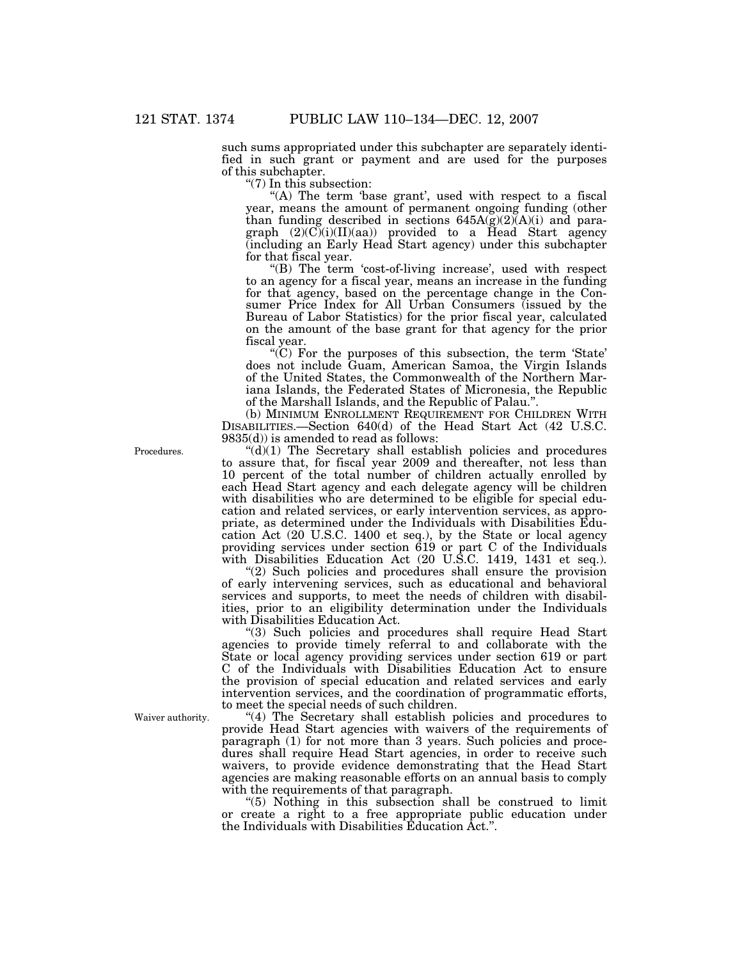such sums appropriated under this subchapter are separately identified in such grant or payment and are used for the purposes of this subchapter.

''(7) In this subsection:

"(A) The term 'base grant', used with respect to a fiscal year, means the amount of permanent ongoing funding (other than funding described in sections  $645A(g)(2)(A)(i)$  and paragraph  $(2)(C)(i)(II)(aa)$  provided to a Head Start agency (including an Early Head Start agency) under this subchapter for that fiscal year.

"(B) The term 'cost-of-living increase', used with respect to an agency for a fiscal year, means an increase in the funding for that agency, based on the percentage change in the Consumer Price Index for All Urban Consumers (issued by the Bureau of Labor Statistics) for the prior fiscal year, calculated on the amount of the base grant for that agency for the prior fiscal year.

" $(C)$  For the purposes of this subsection, the term 'State' does not include Guam, American Samoa, the Virgin Islands of the United States, the Commonwealth of the Northern Mariana Islands, the Federated States of Micronesia, the Republic of the Marshall Islands, and the Republic of Palau.''.

(b) MINIMUM ENROLLMENT REQUIREMENT FOR CHILDREN WITH DISABILITIES.—Section 640(d) of the Head Start Act (42 U.S.C. 9835(d)) is amended to read as follows:

''(d)(1) The Secretary shall establish policies and procedures to assure that, for fiscal year 2009 and thereafter, not less than 10 percent of the total number of children actually enrolled by each Head Start agency and each delegate agency will be children with disabilities who are determined to be eligible for special education and related services, or early intervention services, as appropriate, as determined under the Individuals with Disabilities Education Act (20 U.S.C. 1400 et seq.), by the State or local agency providing services under section 619 or part C of the Individuals with Disabilities Education Act (20 U.S.C. 1419, 1431 et seq.).

"(2) Such policies and procedures shall ensure the provision of early intervening services, such as educational and behavioral services and supports, to meet the needs of children with disabilities, prior to an eligibility determination under the Individuals with Disabilities Education Act.

"(3) Such policies and procedures shall require Head Start agencies to provide timely referral to and collaborate with the State or local agency providing services under section 619 or part C of the Individuals with Disabilities Education Act to ensure the provision of special education and related services and early intervention services, and the coordination of programmatic efforts, to meet the special needs of such children.

"(4) The Secretary shall establish policies and procedures to provide Head Start agencies with waivers of the requirements of paragraph (1) for not more than 3 years. Such policies and procedures shall require Head Start agencies, in order to receive such waivers, to provide evidence demonstrating that the Head Start agencies are making reasonable efforts on an annual basis to comply with the requirements of that paragraph.

''(5) Nothing in this subsection shall be construed to limit or create a right to a free appropriate public education under the Individuals with Disabilities Education Act.''.

Procedures.

Waiver authority.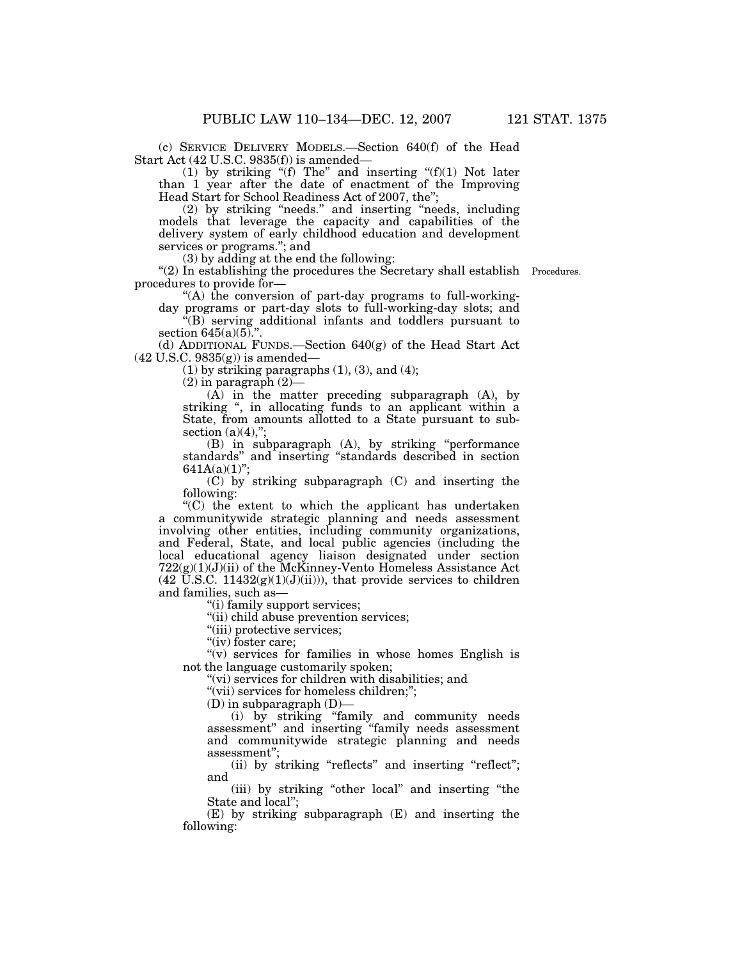(c) SERVICE DELIVERY MODELS.—Section 640(f) of the Head Start Act (42 U.S.C. 9835(f)) is amended—

(1) by striking " $(f)$  The" and inserting " $(f)(1)$  Not later than 1 year after the date of enactment of the Improving Head Start for School Readiness Act of 2007, the'';

 (2) by striking ''needs.'' and inserting ''needs, including models that leverage the capacity and capabilities of the delivery system of early childhood education and development services or programs.''; and

(3) by adding at the end the following:

"(2) In establishing the procedures the Secretary shall establish Procedures. procedures to provide for—

"(A) the conversion of part-day programs to full-workingday programs or part-day slots to full-working-day slots; and

 $\overline{f(B)}$  serving additional infants and toddlers pursuant to

section 645(a)(5).".<br>(d) ADDITIONAL FUNDS.—Section 640(g) of the Head Start Act (42 U.S.C. 9835(g)) is amended—

 $(1)$  by striking paragraphs  $(1)$ ,  $(3)$ , and  $(4)$ ;

 $(2)$  in paragraph  $(2)$ –

(A) in the matter preceding subparagraph (A), by striking ", in allocating funds to an applicant within a State, from amounts allotted to a State pursuant to subsection  $(a)(4)$ ,";

(B) in subparagraph (A), by striking ''performance standards'' and inserting ''standards described in section  $641A(a)(1)$ ";

(C) by striking subparagraph (C) and inserting the following:

''(C) the extent to which the applicant has undertaken a communitywide strategic planning and needs assessment involving other entities, including community organizations, and Federal, State, and local public agencies (including the local educational agency liaison designated under section  $722(g)(1)(J)(ii)$  of the McKinney-Vento Homeless Assistance Act  $(42 \text{ U.S.C. } 11432(g)(1)(J)(ii))$ , that provide services to children and families, such as—

''(i) family support services;

''(ii) child abuse prevention services;

"(iii) protective services;

"(iv) foster care;

" $(v)$  services for families in whose homes English is not the language customarily spoken;

''(vi) services for children with disabilities; and

"(vii) services for homeless children;";

 $(D)$  in subparagraph  $(D)$ —

(i) by striking ''family and community needs assessment'' and inserting ''family needs assessment and communitywide strategic planning and needs assessment'';

(ii) by striking "reflects" and inserting "reflect"; and

(iii) by striking ''other local'' and inserting ''the State and local'';

(E) by striking subparagraph (E) and inserting the following: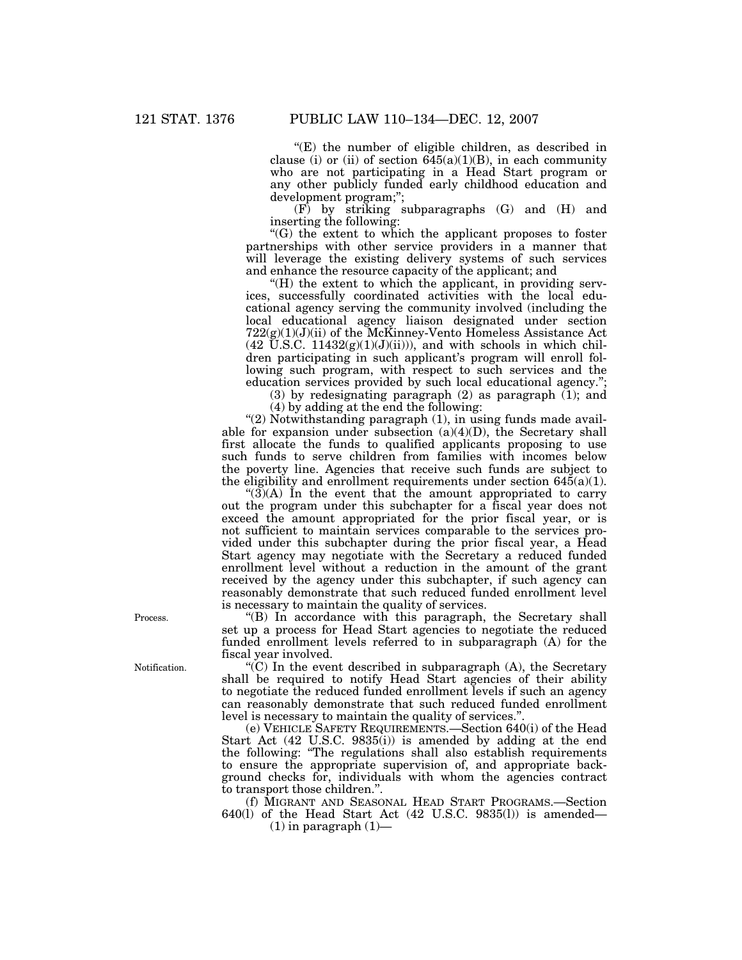''(E) the number of eligible children, as described in clause (i) or (ii) of section  $645(a)(1)(B)$ , in each community who are not participating in a Head Start program or any other publicly funded early childhood education and development program;'';

(F) by striking subparagraphs (G) and (H) and inserting the following:

''(G) the extent to which the applicant proposes to foster partnerships with other service providers in a manner that will leverage the existing delivery systems of such services and enhance the resource capacity of the applicant; and

''(H) the extent to which the applicant, in providing services, successfully coordinated activities with the local educational agency serving the community involved (including the local educational agency liaison designated under section  $722(g)(1)(J)(ii)$  of the McKinney-Vento Homeless Assistance Act  $(42 \text{ U.S.C. } 11432(g)(1)(J)(ii))$ , and with schools in which children participating in such applicant's program will enroll following such program, with respect to such services and the education services provided by such local educational agency.'';

(3) by redesignating paragraph  $(2)$  as paragraph  $(1)$ ; and (4) by adding at the end the following:

" $(2)$  Notwithstanding paragraph  $(1)$ , in using funds made available for expansion under subsection  $(a)(4)(D)$ , the Secretary shall first allocate the funds to qualified applicants proposing to use such funds to serve children from families with incomes below

the poverty line. Agencies that receive such funds are subject to the eligibility and enrollment requirements under section 645(a)(1). " $(3)$ (A) In the event that the amount appropriated to carry out the program under this subchapter for a fiscal year does not exceed the amount appropriated for the prior fiscal year, or is not sufficient to maintain services comparable to the services provided under this subchapter during the prior fiscal year, a Head Start agency may negotiate with the Secretary a reduced funded enrollment level without a reduction in the amount of the grant

received by the agency under this subchapter, if such agency can reasonably demonstrate that such reduced funded enrollment level is necessary to maintain the quality of services. Process. "(B) In accordance with this paragraph, the Secretary shall

set up a process for Head Start agencies to negotiate the reduced funded enrollment levels referred to in subparagraph (A) for the fiscal year involved.

Notification.  $\mathcal{L}(C)$  In the event described in subparagraph  $(A)$ , the Secretary shall be required to notify Head Start agencies of their ability to negotiate the reduced funded enrollment levels if such an agency can reasonably demonstrate that such reduced funded enrollment level is necessary to maintain the quality of services.''.

(e) VEHICLE SAFETY REQUIREMENTS.—Section 640(i) of the Head Start Act (42 U.S.C. 9835(i)) is amended by adding at the end the following: ''The regulations shall also establish requirements to ensure the appropriate supervision of, and appropriate background checks for, individuals with whom the agencies contract to transport those children.''.

(f) MIGRANT AND SEASONAL HEAD START PROGRAMS.—Section 640(l) of the Head Start Act (42 U.S.C. 9835(l)) is amended—

 $(1)$  in paragraph  $(1)$ —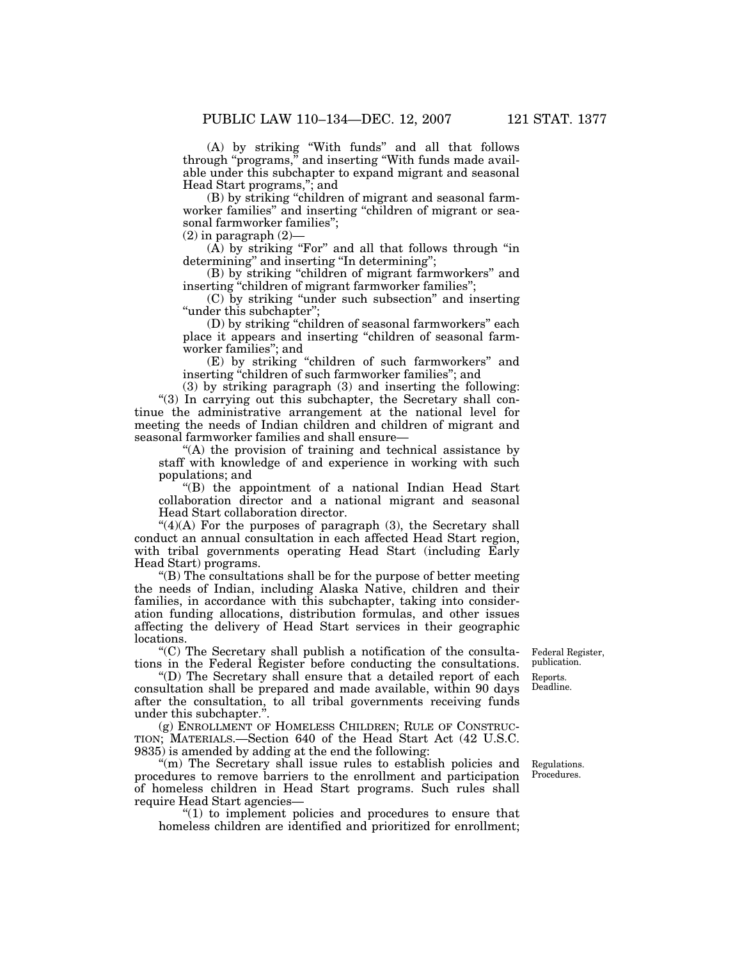(A) by striking ''With funds'' and all that follows through ''programs,'' and inserting ''With funds made available under this subchapter to expand migrant and seasonal Head Start programs,''; and

(B) by striking ''children of migrant and seasonal farmworker families" and inserting "children of migrant or seasonal farmworker families'';

 $(2)$  in paragraph  $(2)$ —

(A) by striking ''For'' and all that follows through ''in determining'' and inserting ''In determining'';

(B) by striking "children of migrant farmworkers" and inserting "children of migrant farmworker families";

(C) by striking ''under such subsection'' and inserting "under this subchapter";

(D) by striking ''children of seasonal farmworkers'' each place it appears and inserting ''children of seasonal farmworker families''; and

(E) by striking ''children of such farmworkers'' and inserting ''children of such farmworker families''; and

(3) by striking paragraph (3) and inserting the following: "(3) In carrying out this subchapter, the Secretary shall continue the administrative arrangement at the national level for meeting the needs of Indian children and children of migrant and seasonal farmworker families and shall ensure—

"(A) the provision of training and technical assistance by staff with knowledge of and experience in working with such populations; and

''(B) the appointment of a national Indian Head Start collaboration director and a national migrant and seasonal Head Start collaboration director.

"(4)(A) For the purposes of paragraph (3), the Secretary shall conduct an annual consultation in each affected Head Start region, with tribal governments operating Head Start (including Early Head Start) programs.

''(B) The consultations shall be for the purpose of better meeting the needs of Indian, including Alaska Native, children and their families, in accordance with this subchapter, taking into consideration funding allocations, distribution formulas, and other issues affecting the delivery of Head Start services in their geographic locations.

"(C) The Secretary shall publish a notification of the consulta- Federal Register,  $\frac{1}{2}$  in the Federal Register before conducting the consultations publication. tions in the Federal Register before conducting the consultations.

''(D) The Secretary shall ensure that a detailed report of each Reports. consultation shall be prepared and made available, within 90 days after the consultation, to all tribal governments receiving funds under this subchapter."

(g) ENROLLMENT OF HOMELESS CHILDREN; RULE OF CONSTRUC-TION; MATERIALS.—Section 640 of the Head Start Act (42 U.S.C. 9835) is amended by adding at the end the following:

''(m) The Secretary shall issue rules to establish policies and Regulations. procedures to remove barriers to the enrollment and participation of homeless children in Head Start programs. Such rules shall require Head Start agencies—

''(1) to implement policies and procedures to ensure that homeless children are identified and prioritized for enrollment;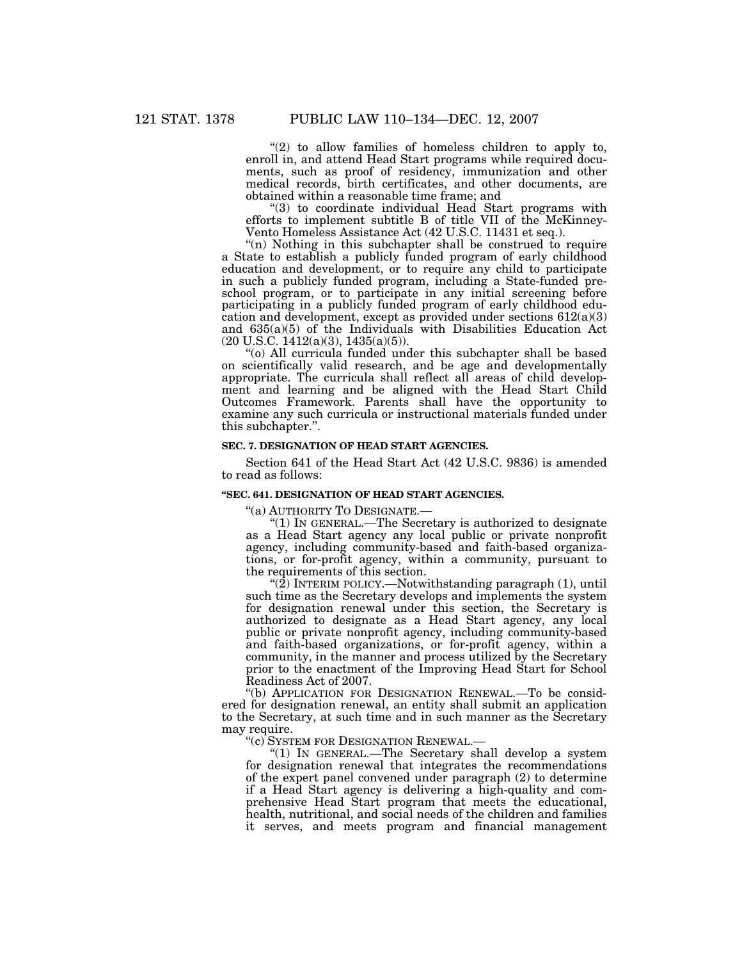" $(2)$  to allow families of homeless children to apply to, enroll in, and attend Head Start programs while required documents, such as proof of residency, immunization and other medical records, birth certificates, and other documents, are obtained within a reasonable time frame; and

''(3) to coordinate individual Head Start programs with efforts to implement subtitle B of title VII of the McKinney-Vento Homeless Assistance Act (42 U.S.C. 11431 et seq.).

"(n) Nothing in this subchapter shall be construed to require a State to establish a publicly funded program of early childhood education and development, or to require any child to participate in such a publicly funded program, including a State-funded preschool program, or to participate in any initial screening before participating in a publicly funded program of early childhood education and development, except as provided under sections 612(a)(3) and 635(a)(5) of the Individuals with Disabilities Education Act  $(20 \text{ U.S.C. } 1412(a)(3), 1435(a)(5)).$ 

''(o) All curricula funded under this subchapter shall be based on scientifically valid research, and be age and developmentally appropriate. The curricula shall reflect all areas of child development and learning and be aligned with the Head Start Child Outcomes Framework. Parents shall have the opportunity to examine any such curricula or instructional materials funded under this subchapter.''.

# **SEC. 7. DESIGNATION OF HEAD START AGENCIES.**

Section 641 of the Head Start Act (42 U.S.C. 9836) is amended to read as follows:

### **''SEC. 641. DESIGNATION OF HEAD START AGENCIES.**

''(a) AUTHORITY TO DESIGNATE.—

''(1) IN GENERAL.—The Secretary is authorized to designate as a Head Start agency any local public or private nonprofit agency, including community-based and faith-based organizations, or for-profit agency, within a community, pursuant to the requirements of this section.

" $(2)$  INTERIM POLICY.—Notwithstanding paragraph  $(1)$ , until such time as the Secretary develops and implements the system for designation renewal under this section, the Secretary is authorized to designate as a Head Start agency, any local public or private nonprofit agency, including community-based and faith-based organizations, or for-profit agency, within a community, in the manner and process utilized by the Secretary prior to the enactment of the Improving Head Start for School Readiness Act of 2007.

''(b) APPLICATION FOR DESIGNATION RENEWAL.—To be considered for designation renewal, an entity shall submit an application to the Secretary, at such time and in such manner as the Secretary may require.

''(c) SYSTEM FOR DESIGNATION RENEWAL.—

''(1) IN GENERAL.—The Secretary shall develop a system for designation renewal that integrates the recommendations of the expert panel convened under paragraph (2) to determine if a Head Start agency is delivering a high-quality and comprehensive Head Start program that meets the educational, health, nutritional, and social needs of the children and families it serves, and meets program and financial management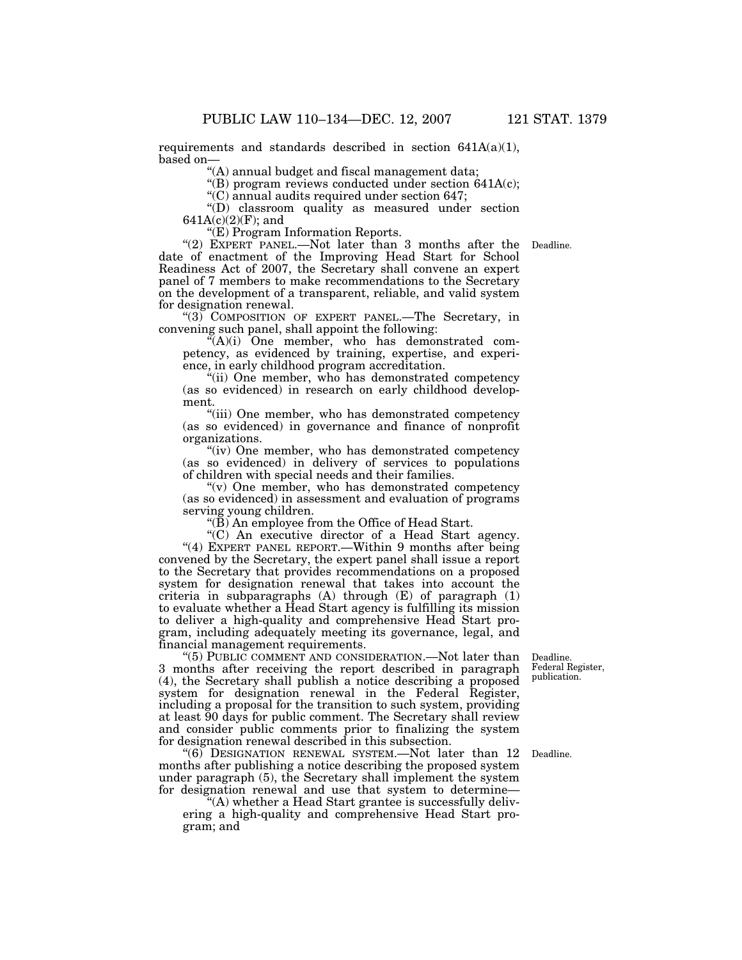requirements and standards described in section  $641A(a)(1)$ ,

based on— ''(A) annual budget and fiscal management data;

"(B) program reviews conducted under section  $641A(c)$ ;

''(C) annual audits required under section 647;

''(D) classroom quality as measured under section  $641A(c)(2)(F)$ ; and

''(E) Program Information Reports.

"(2) EXPERT PANEL.—Not later than 3 months after the Deadline. date of enactment of the Improving Head Start for School Readiness Act of 2007, the Secretary shall convene an expert panel of 7 members to make recommendations to the Secretary on the development of a transparent, reliable, and valid system for designation renewal.

" $(3)$  COMPOSITION OF EXPERT PANEL.—The Secretary, in convening such panel, shall appoint the following:

''(A)(i) One member, who has demonstrated competency, as evidenced by training, expertise, and experience, in early childhood program accreditation.

''(ii) One member, who has demonstrated competency (as so evidenced) in research on early childhood development.

"(iii) One member, who has demonstrated competency (as so evidenced) in governance and finance of nonprofit organizations.

"(iv) One member, who has demonstrated competency" (as so evidenced) in delivery of services to populations of children with special needs and their families.

"(v) One member, who has demonstrated competency (as so evidenced) in assessment and evaluation of programs serving young children.

"(B) An employee from the Office of Head Start.

 ''(C) An executive director of a Head Start agency. "(4) EXPERT PANEL REPORT.—Within 9 months after being convened by the Secretary, the expert panel shall issue a report to the Secretary that provides recommendations on a proposed system for designation renewal that takes into account the criteria in subparagraphs (A) through (E) of paragraph (1) to evaluate whether a Head Start agency is fulfilling its mission to deliver a high-quality and comprehensive Head Start program, including adequately meeting its governance, legal, and financial management requirements.

''(5) PUBLIC COMMENT AND CONSIDERATION.—Not later than 3 months after receiving the report described in paragraph (4), the Secretary shall publish a notice describing a proposed system for designation renewal in the Federal Register, including a proposal for the transition to such system, providing at least 90 days for public comment. The Secretary shall review and consider public comments prior to finalizing the system for designation renewal described in this subsection.

''(6) DESIGNATION RENEWAL SYSTEM.—Not later than 12 months after publishing a notice describing the proposed system under paragraph (5), the Secretary shall implement the system for designation renewal and use that system to determine—

''(A) whether a Head Start grantee is successfully delivering a high-quality and comprehensive Head Start program; and

Federal Register, publication.

Deadline.

Deadline.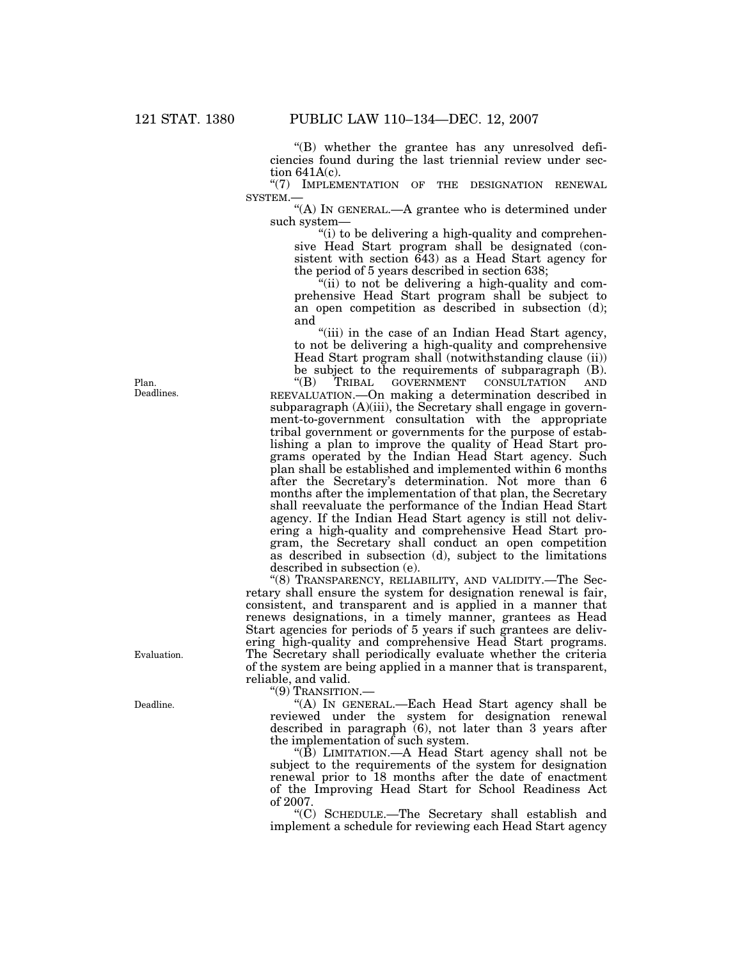''(B) whether the grantee has any unresolved deficiencies found during the last triennial review under section 641A(c).

"(7) IMPLEMENTATION OF THE DESIGNATION RENEWAL SYSTEM.—

"(A) IN GENERAL.—A grantee who is determined under such system—

"(i) to be delivering a high-quality and comprehensive Head Start program shall be designated (consistent with section 643) as a Head Start agency for the period of 5 years described in section 638;

''(ii) to not be delivering a high-quality and comprehensive Head Start program shall be subject to an open competition as described in subsection (d); and

''(iii) in the case of an Indian Head Start agency, to not be delivering a high-quality and comprehensive Head Start program shall (notwithstanding clause (ii)) be subject to the requirements of subparagraph (B).<br>"(B) TRIBAL GOVERNMENT CONSULTATION AND TRIBAL GOVERNMENT CONSULTATION AND REEVALUATION.—On making a determination described in subparagraph  $(A)(iii)$ , the Secretary shall engage in government-to-government consultation with the appropriate tribal government or governments for the purpose of establishing a plan to improve the quality of Head Start programs operated by the Indian Head Start agency. Such plan shall be established and implemented within 6 months after the Secretary's determination. Not more than 6 months after the implementation of that plan, the Secretary shall reevaluate the performance of the Indian Head Start agency. If the Indian Head Start agency is still not delivering a high-quality and comprehensive Head Start program, the Secretary shall conduct an open competition as described in subsection (d), subject to the limitations described in subsection (e).

''(8) TRANSPARENCY, RELIABILITY, AND VALIDITY.—The Secretary shall ensure the system for designation renewal is fair, consistent, and transparent and is applied in a manner that renews designations, in a timely manner, grantees as Head Start agencies for periods of 5 years if such grantees are delivering high-quality and comprehensive Head Start programs. The Secretary shall periodically evaluate whether the criteria of the system are being applied in a manner that is transparent, reliable, and valid.

''(9) TRANSITION.—

''(A) IN GENERAL.—Each Head Start agency shall be reviewed under the system for designation renewal described in paragraph (6), not later than 3 years after the implementation of such system.

" $(\overline{B})$  LIMITATION.—A Head Start agency shall not be subject to the requirements of the system for designation renewal prior to 18 months after the date of enactment of the Improving Head Start for School Readiness Act of 2007.

''(C) SCHEDULE.—The Secretary shall establish and implement a schedule for reviewing each Head Start agency

Plan. Deadlines.

Evaluation.

Deadline.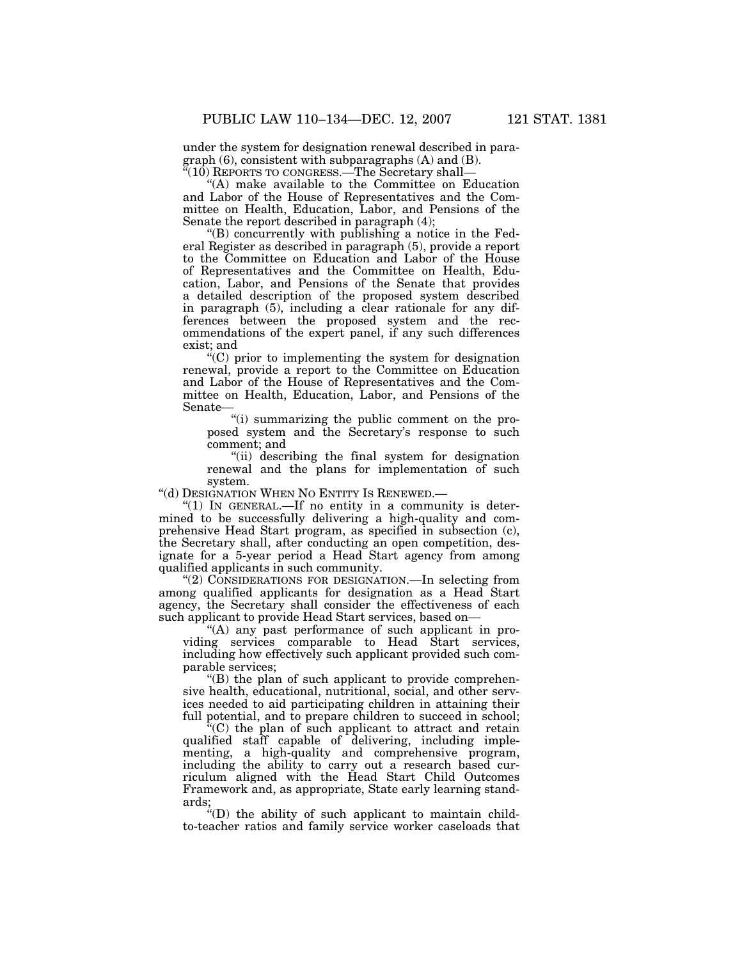under the system for designation renewal described in paragraph (6), consistent with subparagraphs (A) and (B).  $\sqrt{4(10)}$  REPORTS TO CONGRESS.—The Secretary shall—

"(A) make available to the Committee on Education and Labor of the House of Representatives and the Committee on Health, Education, Labor, and Pensions of the Senate the report described in paragraph (4);

''(B) concurrently with publishing a notice in the Federal Register as described in paragraph (5), provide a report to the Committee on Education and Labor of the House of Representatives and the Committee on Health, Education, Labor, and Pensions of the Senate that provides a detailed description of the proposed system described in paragraph (5), including a clear rationale for any differences between the proposed system and the recommendations of the expert panel, if any such differences exist; and

 $\cdot$ <sup>"</sup>(C) prior to implementing the system for designation renewal, provide a report to the Committee on Education and Labor of the House of Representatives and the Committee on Health, Education, Labor, and Pensions of the Senate—

''(i) summarizing the public comment on the proposed system and the Secretary's response to such comment; and

''(ii) describing the final system for designation renewal and the plans for implementation of such system.

''(d) DESIGNATION WHEN NO ENTITY IS RENEWED.—

" $(1)$  In GENERAL.—If no entity in a community is determined to be successfully delivering a high-quality and comprehensive Head Start program, as specified in subsection (c), the Secretary shall, after conducting an open competition, designate for a 5-year period a Head Start agency from among qualified applicants in such community.

"(2) CONSIDERATIONS FOR DESIGNATION.—In selecting from among qualified applicants for designation as a Head Start agency, the Secretary shall consider the effectiveness of each such applicant to provide Head Start services, based on—

''(A) any past performance of such applicant in providing services comparable to Head Start services, including how effectively such applicant provided such comparable services;

 $'(B)$  the plan of such applicant to provide comprehensive health, educational, nutritional, social, and other services needed to aid participating children in attaining their full potential, and to prepare children to succeed in school;

''(C) the plan of such applicant to attract and retain qualified staff capable of delivering, including implementing, a high-quality and comprehensive program, including the ability to carry out a research based curriculum aligned with the Head Start Child Outcomes Framework and, as appropriate, State early learning standards;

''(D) the ability of such applicant to maintain childto-teacher ratios and family service worker caseloads that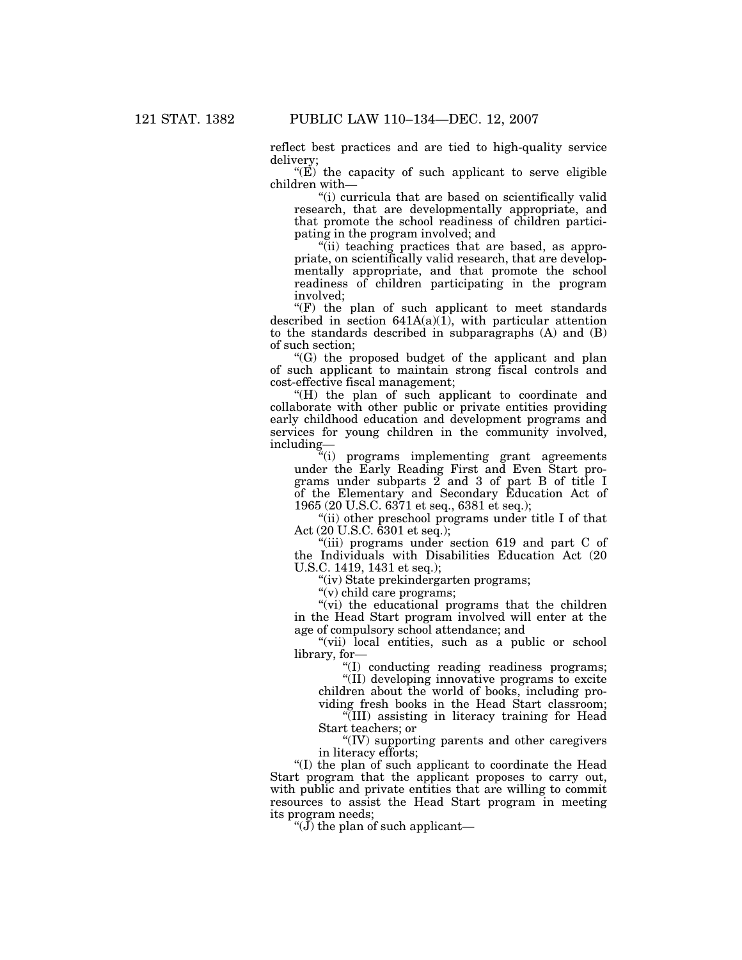reflect best practices and are tied to high-quality service delivery;

" $(E)$  the capacity of such applicant to serve eligible children with—

"(i) curricula that are based on scientifically valid research, that are developmentally appropriate, and that promote the school readiness of children participating in the program involved; and

''(ii) teaching practices that are based, as appropriate, on scientifically valid research, that are developmentally appropriate, and that promote the school readiness of children participating in the program involved;

 $(F)$  the plan of such applicant to meet standards described in section  $641A(a)(1)$ , with particular attention to the standards described in subparagraphs (A) and (B) of such section;

''(G) the proposed budget of the applicant and plan of such applicant to maintain strong fiscal controls and cost-effective fiscal management;

"(H) the plan of such applicant to coordinate and collaborate with other public or private entities providing early childhood education and development programs and services for young children in the community involved, including—

''(i) programs implementing grant agreements under the Early Reading First and Even Start programs under subparts 2 and 3 of part B of title I of the Elementary and Secondary Education Act of 1965 (20 U.S.C. 6371 et seq., 6381 et seq.);

"(ii) other preschool programs under title I of that Act (20 U.S.C. 6301 et seq.);

"(iii) programs under section 619 and part C of the Individuals with Disabilities Education Act (20 U.S.C. 1419, 1431 et seq.);

''(iv) State prekindergarten programs;

''(v) child care programs;

"(vi) the educational programs that the children in the Head Start program involved will enter at the age of compulsory school attendance; and

"(vii) local entities, such as a public or school library, for—

''(I) conducting reading readiness programs; ''(II) developing innovative programs to excite

children about the world of books, including providing fresh books in the Head Start classroom;

''(III) assisting in literacy training for Head Start teachers; or

''(IV) supporting parents and other caregivers in literacy efforts;

''(I) the plan of such applicant to coordinate the Head Start program that the applicant proposes to carry out, with public and private entities that are willing to commit resources to assist the Head Start program in meeting its program needs;

" $(\mathbf{J})$  the plan of such applicant—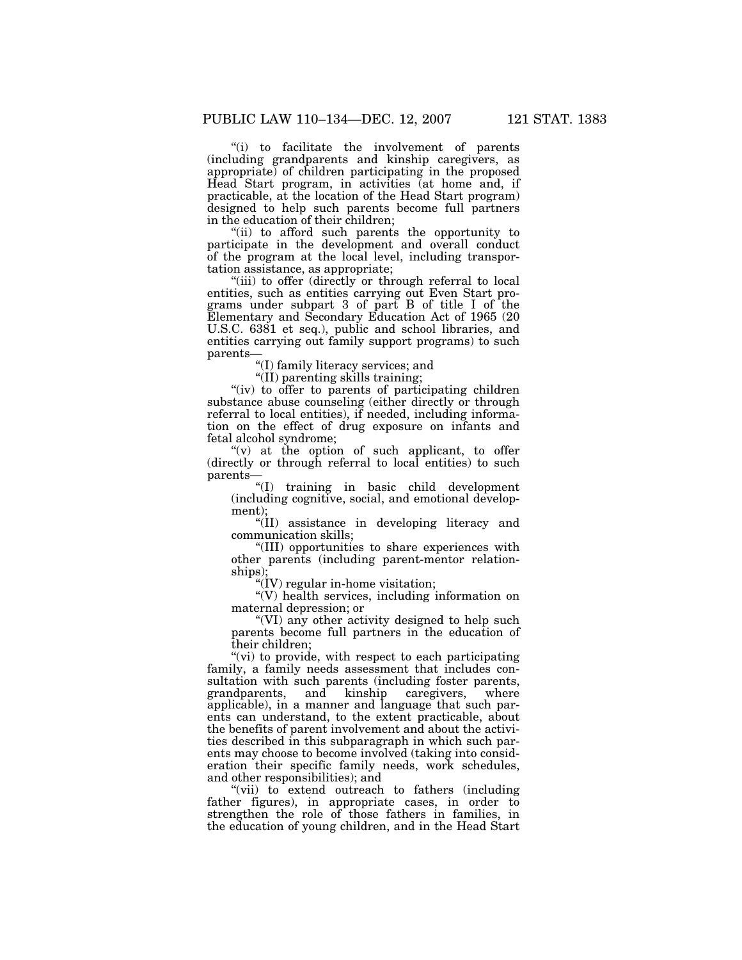''(i) to facilitate the involvement of parents (including grandparents and kinship caregivers, as appropriate) of children participating in the proposed Head Start program, in activities (at home and, if practicable, at the location of the Head Start program) designed to help such parents become full partners in the education of their children;

''(ii) to afford such parents the opportunity to participate in the development and overall conduct of the program at the local level, including transportation assistance, as appropriate;

"(iii) to offer (directly or through referral to local entities, such as entities carrying out Even Start programs under subpart 3 of part B of title I of the Elementary and Secondary Education Act of 1965 (20 U.S.C. 6381 et seq.), public and school libraries, and entities carrying out family support programs) to such parents—

''(I) family literacy services; and

''(II) parenting skills training;

"(iv) to offer to parents of participating children substance abuse counseling (either directly or through referral to local entities), if needed, including information on the effect of drug exposure on infants and fetal alcohol syndrome;

 $(v)$  at the option of such applicant, to offer (directly or through referral to local entities) to such parents—

''(I) training in basic child development (including cognitive, social, and emotional development);

''(II) assistance in developing literacy and communication skills;

''(III) opportunities to share experiences with other parents (including parent-mentor relationships);

''(IV) regular in-home visitation;

''(V) health services, including information on maternal depression; or

''(VI) any other activity designed to help such parents become full partners in the education of their children;

"(vi) to provide, with respect to each participating family, a family needs assessment that includes consultation with such parents (including foster parents, grandparents, and kinship caregivers, where applicable), in a manner and language that such parents can understand, to the extent practicable, about the benefits of parent involvement and about the activities described in this subparagraph in which such parents may choose to become involved (taking into consideration their specific family needs, work schedules, and other responsibilities); and

''(vii) to extend outreach to fathers (including father figures), in appropriate cases, in order to strengthen the role of those fathers in families, in the education of young children, and in the Head Start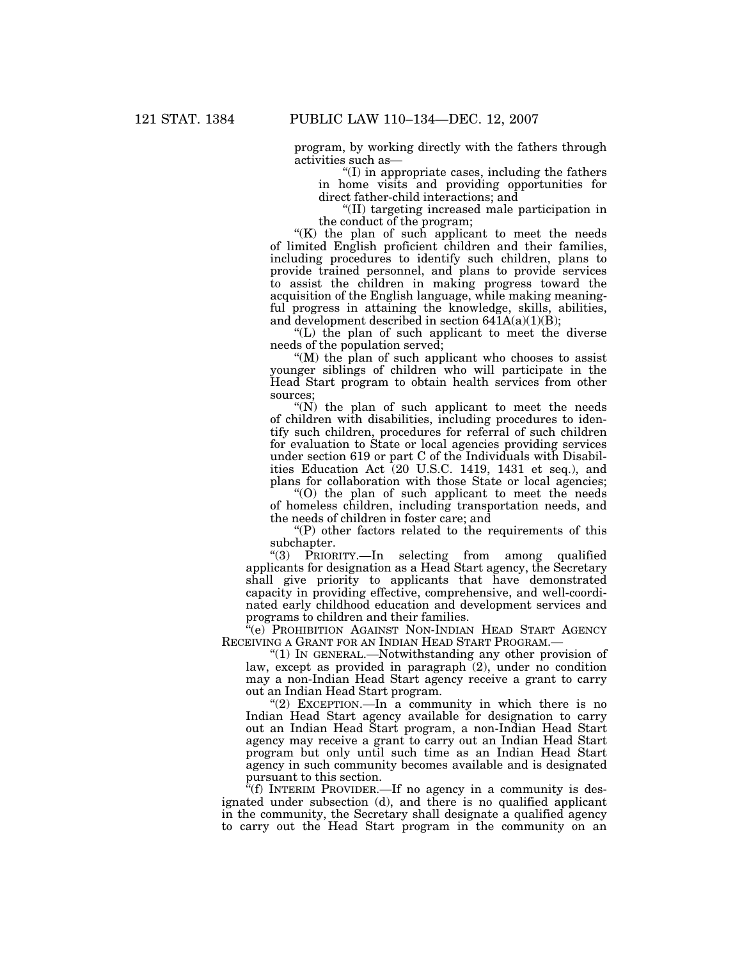program, by working directly with the fathers through activities such as—

''(I) in appropriate cases, including the fathers in home visits and providing opportunities for direct father-child interactions; and

''(II) targeting increased male participation in the conduct of the program;

"(K) the plan of such applicant to meet the needs of limited English proficient children and their families, including procedures to identify such children, plans to provide trained personnel, and plans to provide services to assist the children in making progress toward the acquisition of the English language, while making meaningful progress in attaining the knowledge, skills, abilities, and development described in section  $641A(a)(1)(B)$ ;

''(L) the plan of such applicant to meet the diverse needs of the population served;

"(M) the plan of such applicant who chooses to assist younger siblings of children who will participate in the Head Start program to obtain health services from other sources;

 $(N)$  the plan of such applicant to meet the needs of children with disabilities, including procedures to identify such children, procedures for referral of such children for evaluation to State or local agencies providing services under section 619 or part C of the Individuals with Disabilities Education Act (20 U.S.C. 1419, 1431 et seq.), and plans for collaboration with those State or local agencies;

''(O) the plan of such applicant to meet the needs of homeless children, including transportation needs, and the needs of children in foster care; and

 $P$ ) other factors related to the requirements of this subchapter.

''(3) PRIORITY.—In selecting from among qualified applicants for designation as a Head Start agency, the Secretary shall give priority to applicants that have demonstrated capacity in providing effective, comprehensive, and well-coordinated early childhood education and development services and programs to children and their families.

"(e) PROHIBITION AGAINST NON-INDIAN HEAD START AGENCY RECEIVING A GRANT FOR AN INDIAN HEAD START PROGRAM.—

''(1) IN GENERAL.—Notwithstanding any other provision of law, except as provided in paragraph (2), under no condition may a non-Indian Head Start agency receive a grant to carry out an Indian Head Start program.

" $(2)$  EXCEPTION.—In a community in which there is no Indian Head Start agency available for designation to carry out an Indian Head Start program, a non-Indian Head Start agency may receive a grant to carry out an Indian Head Start program but only until such time as an Indian Head Start agency in such community becomes available and is designated pursuant to this section.

 $^{7}(f)$  INTERIM PROVIDER.—If no agency in a community is designated under subsection (d), and there is no qualified applicant in the community, the Secretary shall designate a qualified agency to carry out the Head Start program in the community on an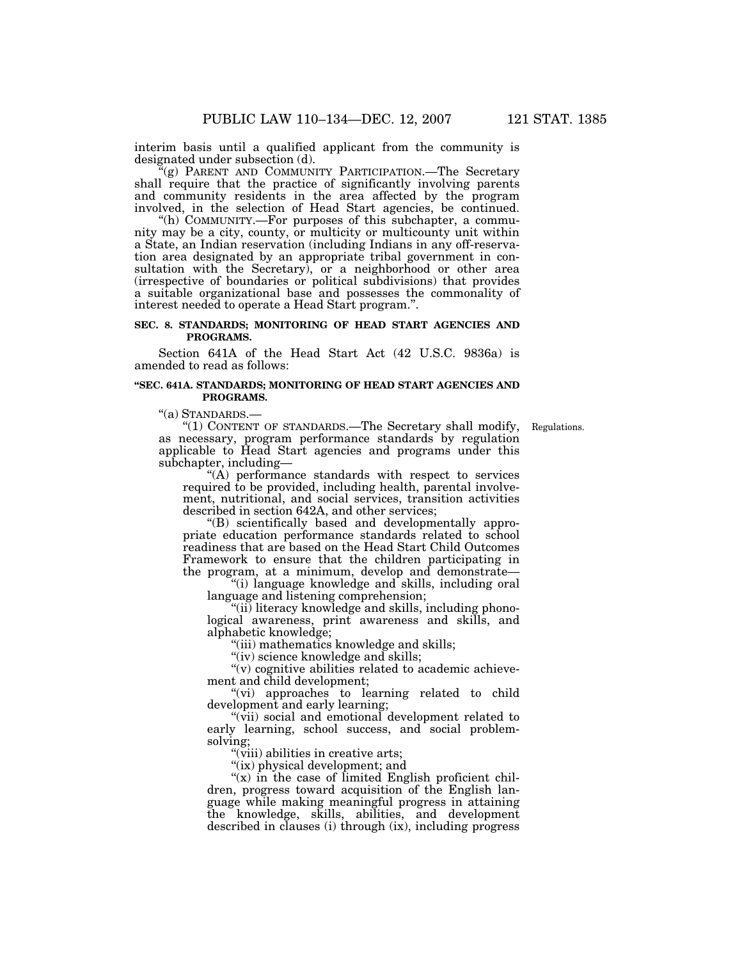interim basis until a qualified applicant from the community is designated under subsection (d).

 $f(g)$  PARENT AND COMMUNITY PARTICIPATION.—The Secretary shall require that the practice of significantly involving parents and community residents in the area affected by the program involved, in the selection of Head Start agencies, be continued.

''(h) COMMUNITY.—For purposes of this subchapter, a community may be a city, county, or multicity or multicounty unit within a State, an Indian reservation (including Indians in any off-reservation area designated by an appropriate tribal government in consultation with the Secretary), or a neighborhood or other area (irrespective of boundaries or political subdivisions) that provides a suitable organizational base and possesses the commonality of interest needed to operate a Head Start program.''.

# **SEC. 8. STANDARDS; MONITORING OF HEAD START AGENCIES AND PROGRAMS.**

Section 641A of the Head Start Act (42 U.S.C. 9836a) is amended to read as follows:

#### **''SEC. 641A. STANDARDS; MONITORING OF HEAD START AGENCIES AND PROGRAMS.**

''(a) STANDARDS.—

''(1) CONTENT OF STANDARDS.—The Secretary shall modify, Regulations. as necessary, program performance standards by regulation applicable to Head Start agencies and programs under this subchapter, including—

''(A) performance standards with respect to services required to be provided, including health, parental involvement, nutritional, and social services, transition activities described in section 642A, and other services;

''(B) scientifically based and developmentally appropriate education performance standards related to school readiness that are based on the Head Start Child Outcomes Framework to ensure that the children participating in the program, at a minimum, develop and demonstrate—

''(i) language knowledge and skills, including oral language and listening comprehension;

"(ii) literacy knowledge and skills, including phonological awareness, print awareness and skills, and alphabetic knowledge;

''(iii) mathematics knowledge and skills;

"(iv) science knowledge and skills;

 $(v)$  cognitive abilities related to academic achievement and child development;

''(vi) approaches to learning related to child development and early learning;

''(vii) social and emotional development related to early learning, school success, and social problemsolving;

"(viii) abilities in creative arts;

"(ix) physical development; and

" $(x)$  in the case of limited English proficient children, progress toward acquisition of the English language while making meaningful progress in attaining the knowledge, skills, abilities, and development described in clauses (i) through (ix), including progress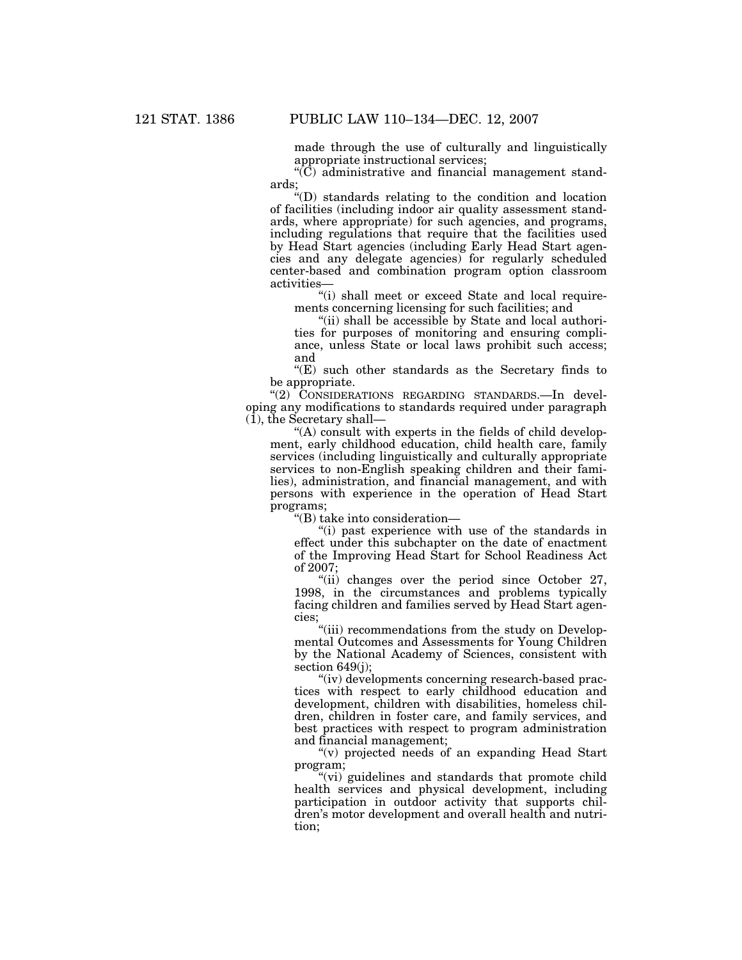made through the use of culturally and linguistically appropriate instructional services;

 $\langle (C) \rangle$  administrative and financial management standards;

''(D) standards relating to the condition and location of facilities (including indoor air quality assessment standards, where appropriate) for such agencies, and programs, including regulations that require that the facilities used by Head Start agencies (including Early Head Start agencies and any delegate agencies) for regularly scheduled center-based and combination program option classroom activities—

"(i) shall meet or exceed State and local requirements concerning licensing for such facilities; and

"(ii) shall be accessible by State and local authorities for purposes of monitoring and ensuring compliance, unless State or local laws prohibit such access; and

 $E(E)$  such other standards as the Secretary finds to be appropriate.

"(2) CONSIDERATIONS REGARDING STANDARDS.—In developing any modifications to standards required under paragraph  $(1)$ , the Secretary shall-

 $f(A)$  consult with experts in the fields of child development, early childhood education, child health care, family services (including linguistically and culturally appropriate services to non-English speaking children and their families), administration, and financial management, and with persons with experience in the operation of Head Start programs;

''(B) take into consideration—

''(i) past experience with use of the standards in effect under this subchapter on the date of enactment of the Improving Head Start for School Readiness Act of 2007;

"(ii) changes over the period since October 27, 1998, in the circumstances and problems typically facing children and families served by Head Start agencies;

''(iii) recommendations from the study on Developmental Outcomes and Assessments for Young Children by the National Academy of Sciences, consistent with section 649(j);

"(iv) developments concerning research-based practices with respect to early childhood education and development, children with disabilities, homeless children, children in foster care, and family services, and best practices with respect to program administration and financial management;

''(v) projected needs of an expanding Head Start program;

"(vi) guidelines and standards that promote child health services and physical development, including participation in outdoor activity that supports children's motor development and overall health and nutrition;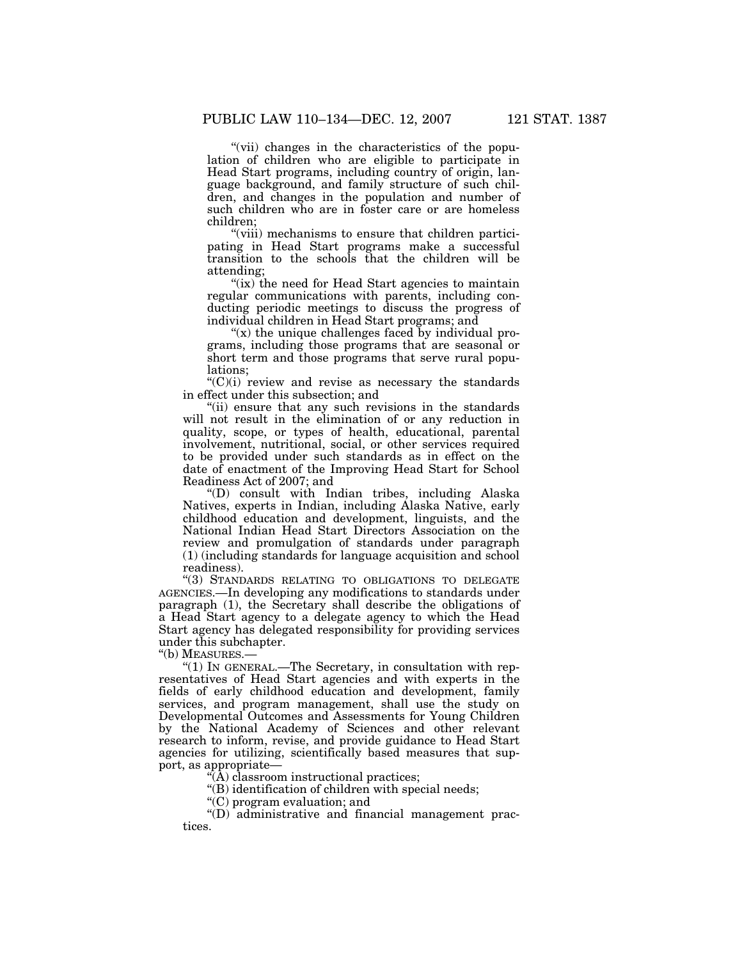''(vii) changes in the characteristics of the population of children who are eligible to participate in Head Start programs, including country of origin, language background, and family structure of such children, and changes in the population and number of such children who are in foster care or are homeless children;

"(viii) mechanisms to ensure that children participating in Head Start programs make a successful transition to the schools that the children will be attending;

"(ix) the need for Head Start agencies to maintain" regular communications with parents, including conducting periodic meetings to discuss the progress of individual children in Head Start programs; and

" $(x)$  the unique challenges faced by individual programs, including those programs that are seasonal or short term and those programs that serve rural populations;

 $C'(C)(i)$  review and revise as necessary the standards in effect under this subsection; and

"(ii) ensure that any such revisions in the standards will not result in the elimination of or any reduction in quality, scope, or types of health, educational, parental involvement, nutritional, social, or other services required to be provided under such standards as in effect on the date of enactment of the Improving Head Start for School Readiness Act of 2007; and

''(D) consult with Indian tribes, including Alaska Natives, experts in Indian, including Alaska Native, early childhood education and development, linguists, and the National Indian Head Start Directors Association on the review and promulgation of standards under paragraph (1) (including standards for language acquisition and school readiness).

''(3) STANDARDS RELATING TO OBLIGATIONS TO DELEGATE AGENCIES.—In developing any modifications to standards under paragraph (1), the Secretary shall describe the obligations of a Head Start agency to a delegate agency to which the Head Start agency has delegated responsibility for providing services under this subchapter.

''(b) MEASURES.—

''(1) IN GENERAL.—The Secretary, in consultation with representatives of Head Start agencies and with experts in the fields of early childhood education and development, family services, and program management, shall use the study on Developmental Outcomes and Assessments for Young Children by the National Academy of Sciences and other relevant research to inform, revise, and provide guidance to Head Start agencies for utilizing, scientifically based measures that support, as appropriate—

''(A) classroom instructional practices;

''(B) identification of children with special needs;

''(C) program evaluation; and

 $\mathrm{``(D)}$  administrative and financial management practices.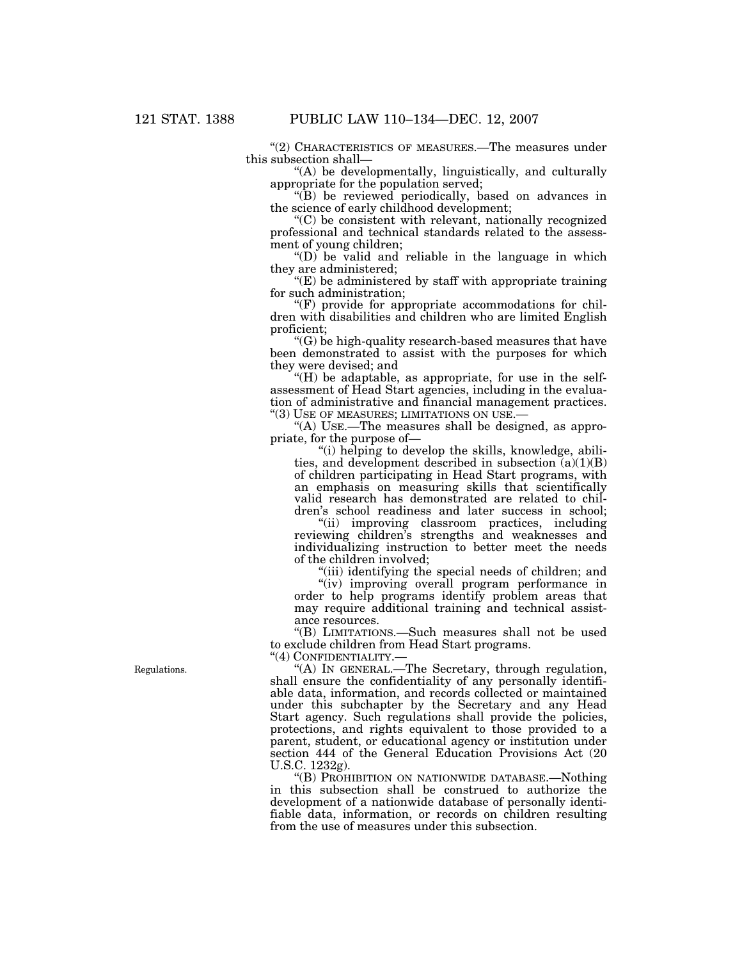"(2) CHARACTERISTICS OF MEASURES.—The measures under this subsection shall—

''(A) be developmentally, linguistically, and culturally appropriate for the population served;

''(B) be reviewed periodically, based on advances in the science of early childhood development;

''(C) be consistent with relevant, nationally recognized professional and technical standards related to the assessment of young children;

" $(D)$  be valid and reliable in the language in which they are administered;

''(E) be administered by staff with appropriate training for such administration;

 $\mathcal{F}(F)$  provide for appropriate accommodations for children with disabilities and children who are limited English proficient;

 $(C)$  be high-quality research-based measures that have been demonstrated to assist with the purposes for which they were devised; and

" $(H)$  be adaptable, as appropriate, for use in the selfassessment of Head Start agencies, including in the evaluation of administrative and financial management practices. "(3) USE OF MEASURES; LIMITATIONS ON USE.-

"(A) USE.—The measures shall be designed, as appropriate, for the purpose of—

''(i) helping to develop the skills, knowledge, abilities, and development described in subsection  $(a)(1)(B)$ of children participating in Head Start programs, with an emphasis on measuring skills that scientifically valid research has demonstrated are related to children's school readiness and later success in school;

''(ii) improving classroom practices, including reviewing children's strengths and weaknesses and individualizing instruction to better meet the needs of the children involved;

"(iii) identifying the special needs of children; and

''(iv) improving overall program performance in order to help programs identify problem areas that may require additional training and technical assistance resources.

''(B) LIMITATIONS.—Such measures shall not be used to exclude children from Head Start programs.

''(4) CONFIDENTIALITY.—

''(A) IN GENERAL.—The Secretary, through regulation, shall ensure the confidentiality of any personally identifiable data, information, and records collected or maintained under this subchapter by the Secretary and any Head Start agency. Such regulations shall provide the policies, protections, and rights equivalent to those provided to a parent, student, or educational agency or institution under section 444 of the General Education Provisions Act (20 U.S.C. 1232g).

''(B) PROHIBITION ON NATIONWIDE DATABASE.—Nothing in this subsection shall be construed to authorize the development of a nationwide database of personally identifiable data, information, or records on children resulting from the use of measures under this subsection.

Regulations.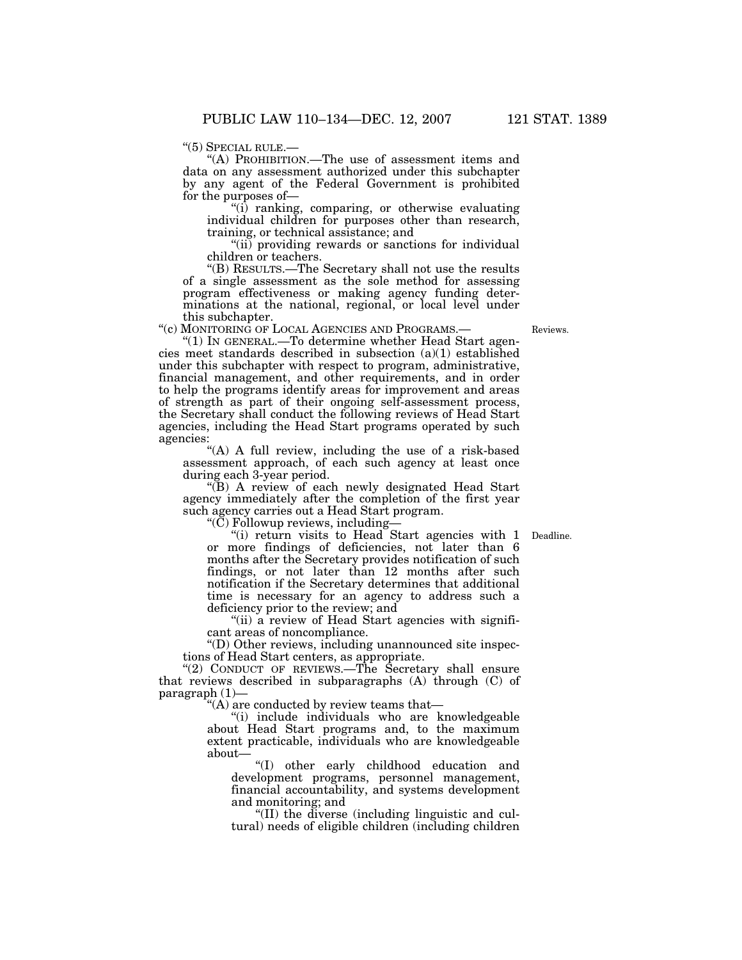''(5) SPECIAL RULE.— ''(A) PROHIBITION.—The use of assessment items and data on any assessment authorized under this subchapter by any agent of the Federal Government is prohibited for the purposes of—

 $\sqrt[4]{i}$  ranking, comparing, or otherwise evaluating individual children for purposes other than research, training, or technical assistance; and

"(ii) providing rewards or sanctions for individual children or teachers.

''(B) RESULTS.—The Secretary shall not use the results of a single assessment as the sole method for assessing program effectiveness or making agency funding determinations at the national, regional, or local level under this subchapter.<br>"(c) MONITORING OF LOCAL AGENCIES AND PROGRAMS.—

"(1) In GENERAL.—To determine whether Head Start agencies meet standards described in subsection (a)(1) established under this subchapter with respect to program, administrative, financial management, and other requirements, and in order to help the programs identify areas for improvement and areas of strength as part of their ongoing self-assessment process, the Secretary shall conduct the following reviews of Head Start agencies, including the Head Start programs operated by such agencies:

"(A) A full review, including the use of a risk-based assessment approach, of each such agency at least once during each 3-year period.

''(B) A review of each newly designated Head Start agency immediately after the completion of the first year such agency carries out a Head Start program.

''(C) Followup reviews, including—

Deadline.

"(i) return visits to Head Start agencies with 1 or more findings of deficiencies, not later than 6 months after the Secretary provides notification of such findings, or not later than 12 months after such notification if the Secretary determines that additional time is necessary for an agency to address such a deficiency prior to the review; and

"(ii) a review of Head Start agencies with significant areas of noncompliance.

''(D) Other reviews, including unannounced site inspections of Head Start centers, as appropriate.

"(2) CONDUCT OF REVIEWS.—The Secretary shall ensure that reviews described in subparagraphs (A) through (C) of paragraph (1)—

''(A) are conducted by review teams that—

''(i) include individuals who are knowledgeable about Head Start programs and, to the maximum extent practicable, individuals who are knowledgeable about—

''(I) other early childhood education and development programs, personnel management, financial accountability, and systems development and monitoring; and

''(II) the diverse (including linguistic and cultural) needs of eligible children (including children

Reviews.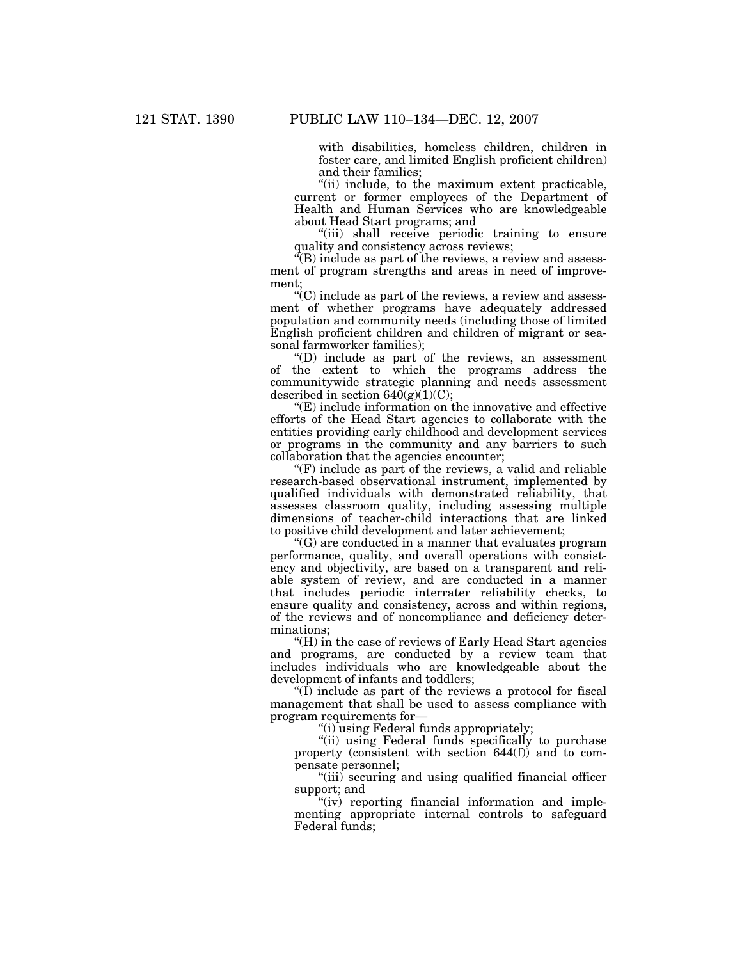with disabilities, homeless children, children in foster care, and limited English proficient children) and their families;

''(ii) include, to the maximum extent practicable, current or former employees of the Department of Health and Human Services who are knowledgeable about Head Start programs; and

''(iii) shall receive periodic training to ensure quality and consistency across reviews;

 $\sqrt{\ }$ (B) include as part of the reviews, a review and assessment of program strengths and areas in need of improvement;

 $C<sup>o</sup>(C)$  include as part of the reviews, a review and assessment of whether programs have adequately addressed population and community needs (including those of limited English proficient children and children of migrant or seasonal farmworker families);

''(D) include as part of the reviews, an assessment of the extent to which the programs address the communitywide strategic planning and needs assessment described in section  $640(g)(1)(C)$ ;

''(E) include information on the innovative and effective efforts of the Head Start agencies to collaborate with the entities providing early childhood and development services or programs in the community and any barriers to such collaboration that the agencies encounter;

 $\mathcal{F}(F)$  include as part of the reviews, a valid and reliable research-based observational instrument, implemented by qualified individuals with demonstrated reliability, that assesses classroom quality, including assessing multiple dimensions of teacher-child interactions that are linked to positive child development and later achievement;

''(G) are conducted in a manner that evaluates program performance, quality, and overall operations with consistency and objectivity, are based on a transparent and reliable system of review, and are conducted in a manner that includes periodic interrater reliability checks, to ensure quality and consistency, across and within regions, of the reviews and of noncompliance and deficiency determinations;

"(H) in the case of reviews of Early Head Start agencies" and programs, are conducted by a review team that includes individuals who are knowledgeable about the development of infants and toddlers;

" $(\overline{I})$  include as part of the reviews a protocol for fiscal management that shall be used to assess compliance with program requirements for—

''(i) using Federal funds appropriately;

"(ii) using Federal funds specifically to purchase property (consistent with section 644(f)) and to compensate personnel;

''(iii) securing and using qualified financial officer support; and

" $(iv)$  reporting financial information and implementing appropriate internal controls to safeguard Federal funds;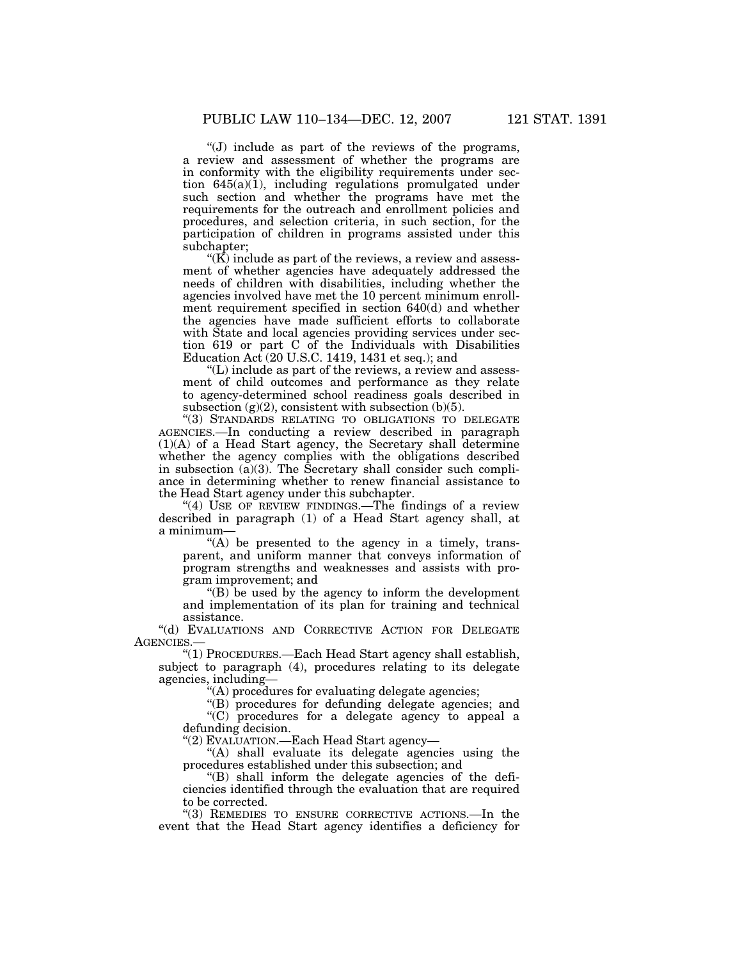''(J) include as part of the reviews of the programs, a review and assessment of whether the programs are in conformity with the eligibility requirements under section  $645(a)(1)$ , including regulations promulgated under such section and whether the programs have met the requirements for the outreach and enrollment policies and procedures, and selection criteria, in such section, for the participation of children in programs assisted under this subchapter;

" $(K)$  include as part of the reviews, a review and assessment of whether agencies have adequately addressed the needs of children with disabilities, including whether the agencies involved have met the 10 percent minimum enrollment requirement specified in section 640(d) and whether the agencies have made sufficient efforts to collaborate with State and local agencies providing services under section 619 or part C of the Individuals with Disabilities Education Act (20 U.S.C. 1419, 1431 et seq.); and

''(L) include as part of the reviews, a review and assessment of child outcomes and performance as they relate to agency-determined school readiness goals described in subsection  $(g)(2)$ , consistent with subsection  $(b)(5)$ .

''(3) STANDARDS RELATING TO OBLIGATIONS TO DELEGATE AGENCIES.—In conducting a review described in paragraph (1)(A) of a Head Start agency, the Secretary shall determine whether the agency complies with the obligations described in subsection (a)(3). The Secretary shall consider such compliance in determining whether to renew financial assistance to the Head Start agency under this subchapter.

"(4) USE OF REVIEW FINDINGS.—The findings of a review described in paragraph (1) of a Head Start agency shall, at a minimum—

 $(A)$  be presented to the agency in a timely, transparent, and uniform manner that conveys information of program strengths and weaknesses and assists with program improvement; and

 $'(B)$  be used by the agency to inform the development and implementation of its plan for training and technical assistance.

''(d) EVALUATIONS AND CORRECTIVE ACTION FOR DELEGATE AGENCIES.—

''(1) PROCEDURES.—Each Head Start agency shall establish, subject to paragraph (4), procedures relating to its delegate agencies, including—

''(A) procedures for evaluating delegate agencies;

''(B) procedures for defunding delegate agencies; and ''(C) procedures for a delegate agency to appeal a defunding decision.

''(2) EVALUATION.—Each Head Start agency—

"(A) shall evaluate its delegate agencies using the procedures established under this subsection; and

''(B) shall inform the delegate agencies of the deficiencies identified through the evaluation that are required to be corrected.

"(3) REMEDIES TO ENSURE CORRECTIVE ACTIONS.—In the event that the Head Start agency identifies a deficiency for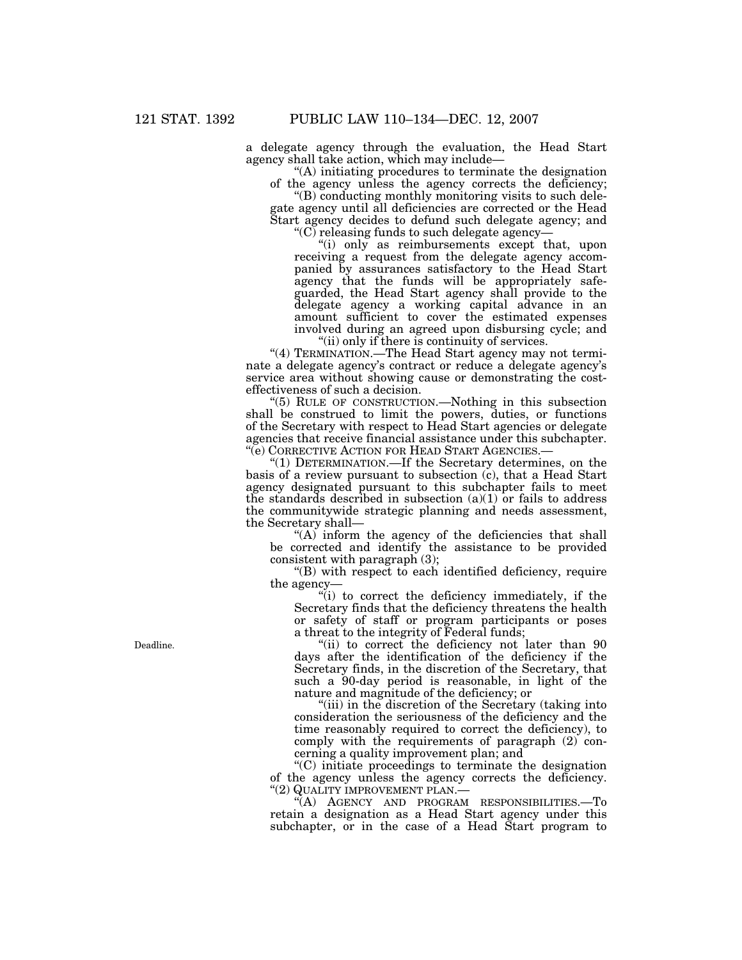a delegate agency through the evaluation, the Head Start agency shall take action, which may include—

''(A) initiating procedures to terminate the designation of the agency unless the agency corrects the deficiency;

''(B) conducting monthly monitoring visits to such delegate agency until all deficiencies are corrected or the Head Start agency decides to defund such delegate agency; and

" $(C)$  releasing funds to such delegate agency-

''(i) only as reimbursements except that, upon receiving a request from the delegate agency accompanied by assurances satisfactory to the Head Start agency that the funds will be appropriately safeguarded, the Head Start agency shall provide to the delegate agency a working capital advance in an amount sufficient to cover the estimated expenses involved during an agreed upon disbursing cycle; and ''(ii) only if there is continuity of services.

"(4) TERMINATION.—The Head Start agency may not terminate a delegate agency's contract or reduce a delegate agency's service area without showing cause or demonstrating the costeffectiveness of such a decision.

''(5) RULE OF CONSTRUCTION.—Nothing in this subsection shall be construed to limit the powers, duties, or functions of the Secretary with respect to Head Start agencies or delegate agencies that receive financial assistance under this subchapter. ''(e) CORRECTIVE ACTION FOR HEAD START AGENCIES.—

''(1) DETERMINATION.—If the Secretary determines, on the basis of a review pursuant to subsection (c), that a Head Start agency designated pursuant to this subchapter fails to meet the standards described in subsection  $(a)(1)$  or fails to address the communitywide strategic planning and needs assessment, the Secretary shall—

"(A) inform the agency of the deficiencies that shall be corrected and identify the assistance to be provided consistent with paragraph (3);

''(B) with respect to each identified deficiency, require the agency—

"(i) to correct the deficiency immediately, if the Secretary finds that the deficiency threatens the health or safety of staff or program participants or poses a threat to the integrity of Federal funds;

"(ii) to correct the deficiency not later than 90" days after the identification of the deficiency if the Secretary finds, in the discretion of the Secretary, that such a 90-day period is reasonable, in light of the nature and magnitude of the deficiency; or

''(iii) in the discretion of the Secretary (taking into consideration the seriousness of the deficiency and the time reasonably required to correct the deficiency), to comply with the requirements of paragraph (2) concerning a quality improvement plan; and

''(C) initiate proceedings to terminate the designation of the agency unless the agency corrects the deficiency. ''(2) QUALITY IMPROVEMENT PLAN.—

''(A) AGENCY AND PROGRAM RESPONSIBILITIES.—To retain a designation as a Head Start agency under this subchapter, or in the case of a Head Start program to

Deadline.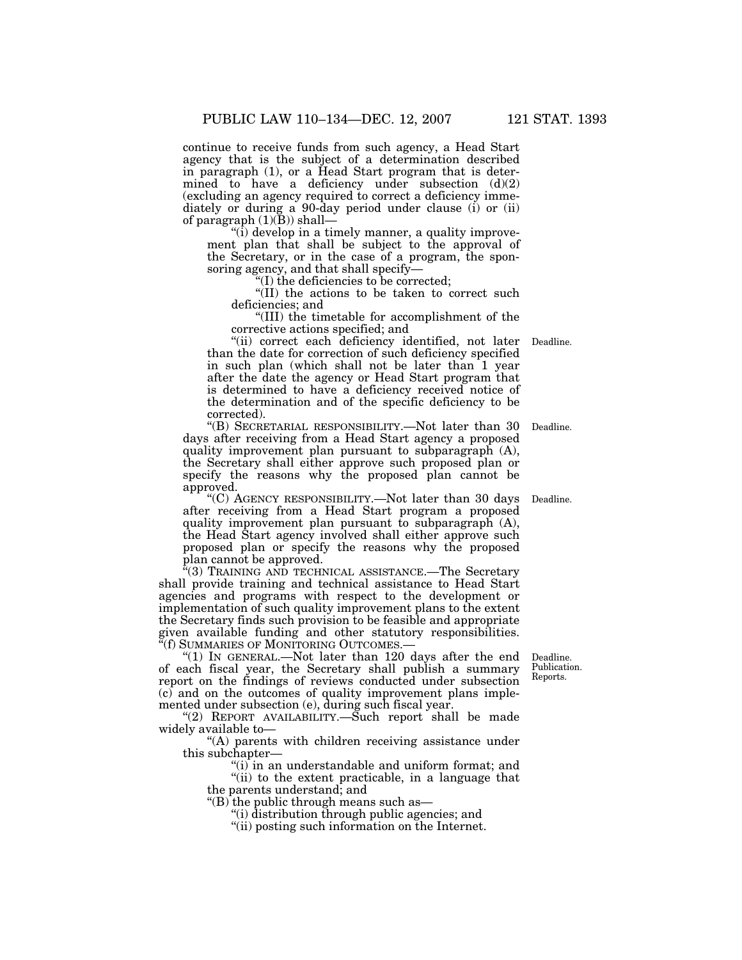continue to receive funds from such agency, a Head Start agency that is the subject of a determination described in paragraph (1), or a Head Start program that is determined to have a deficiency under subsection (d)(2) (excluding an agency required to correct a deficiency immediately or during a 90-day period under clause (i) or (ii) of paragraph  $(1)(B)$ ) shall—

 $\sqrt{\text{ii}}$  develop in a timely manner, a quality improvement plan that shall be subject to the approval of the Secretary, or in the case of a program, the sponsoring agency, and that shall specify—

''(I) the deficiencies to be corrected;

 $\sqrt{\text{II}}$ ) the actions to be taken to correct such deficiencies; and

''(III) the timetable for accomplishment of the corrective actions specified; and

''(ii) correct each deficiency identified, not later than the date for correction of such deficiency specified in such plan (which shall not be later than 1 year after the date the agency or Head Start program that is determined to have a deficiency received notice of the determination and of the specific deficiency to be corrected).

''(B) SECRETARIAL RESPONSIBILITY.—Not later than 30 days after receiving from a Head Start agency a proposed quality improvement plan pursuant to subparagraph (A), the Secretary shall either approve such proposed plan or specify the reasons why the proposed plan cannot be approved.

''(C) AGENCY RESPONSIBILITY.—Not later than 30 days after receiving from a Head Start program a proposed quality improvement plan pursuant to subparagraph (A), the Head Start agency involved shall either approve such proposed plan or specify the reasons why the proposed plan cannot be approved.

 $\mathbf{F}(3)$  Training and technical assistance.—The Secretary shall provide training and technical assistance to Head Start agencies and programs with respect to the development or implementation of such quality improvement plans to the extent the Secretary finds such provision to be feasible and appropriate given available funding and other statutory responsibilities. ''(f) SUMMARIES OF MONITORING OUTCOMES.—

"(1) In GENERAL.—Not later than 120 days after the end of each fiscal year, the Secretary shall publish a summary report on the findings of reviews conducted under subsection (c) and on the outcomes of quality improvement plans implemented under subsection (e), during such fiscal year.

"(2) REPORT AVAILABILITY.—Such report shall be made widely available to—

"(A) parents with children receiving assistance under this subchapter—

"(i) in an understandable and uniform format; and "(ii) to the extent practicable, in a language that

the parents understand; and

''(B) the public through means such as—

''(i) distribution through public agencies; and

''(ii) posting such information on the Internet.

Deadline. Publication. Reports.

Deadline.

Deadline.

Deadline.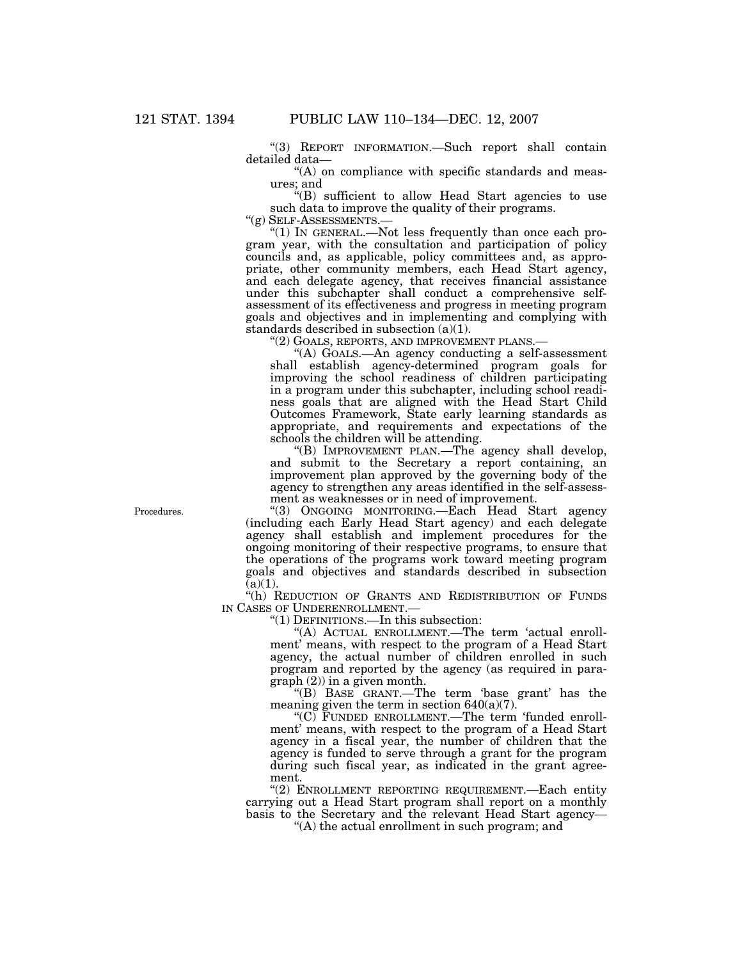''(3) REPORT INFORMATION.—Such report shall contain detailed data—

"(A) on compliance with specific standards and measures; and

''(B) sufficient to allow Head Start agencies to use such data to improve the quality of their programs. " $(g)$  SELF-ASSESSMENTS.—

" $(1)$  In GENERAL.—Not less frequently than once each program year, with the consultation and participation of policy councils and, as applicable, policy committees and, as appropriate, other community members, each Head Start agency, and each delegate agency, that receives financial assistance under this subchapter shall conduct a comprehensive selfassessment of its effectiveness and progress in meeting program goals and objectives and in implementing and complying with standards described in subsection (a)(1).

''(2) GOALS, REPORTS, AND IMPROVEMENT PLANS.—

''(A) GOALS.—An agency conducting a self-assessment shall establish agency-determined program goals for improving the school readiness of children participating in a program under this subchapter, including school readiness goals that are aligned with the Head Start Child Outcomes Framework, State early learning standards as appropriate, and requirements and expectations of the schools the children will be attending.

''(B) IMPROVEMENT PLAN.—The agency shall develop, and submit to the Secretary a report containing, an improvement plan approved by the governing body of the agency to strengthen any areas identified in the self-assessment as weaknesses or in need of improvement.

Procedures. ''(3) ONGOING MONITORING.—Each Head Start agency (including each Early Head Start agency) and each delegate agency shall establish and implement procedures for the ongoing monitoring of their respective programs, to ensure that the operations of the programs work toward meeting program goals and objectives and standards described in subsection  $(a)(1)$ .

"(h) REDUCTION OF GRANTS AND REDISTRIBUTION OF FUNDS IN CASES OF UNDERENROLLMENT.—

''(1) DEFINITIONS.—In this subsection:

''(A) ACTUAL ENROLLMENT.—The term 'actual enrollment' means, with respect to the program of a Head Start agency, the actual number of children enrolled in such program and reported by the agency (as required in paragraph (2)) in a given month.

''(B) BASE GRANT.—The term 'base grant' has the meaning given the term in section 640(a)(7).

" $(C)$  FUNDED ENROLLMENT.—The term 'funded enrollment' means, with respect to the program of a Head Start agency in a fiscal year, the number of children that the agency is funded to serve through a grant for the program during such fiscal year, as indicated in the grant agreement.

''(2) ENROLLMENT REPORTING REQUIREMENT.—Each entity carrying out a Head Start program shall report on a monthly basis to the Secretary and the relevant Head Start agency—

''(A) the actual enrollment in such program; and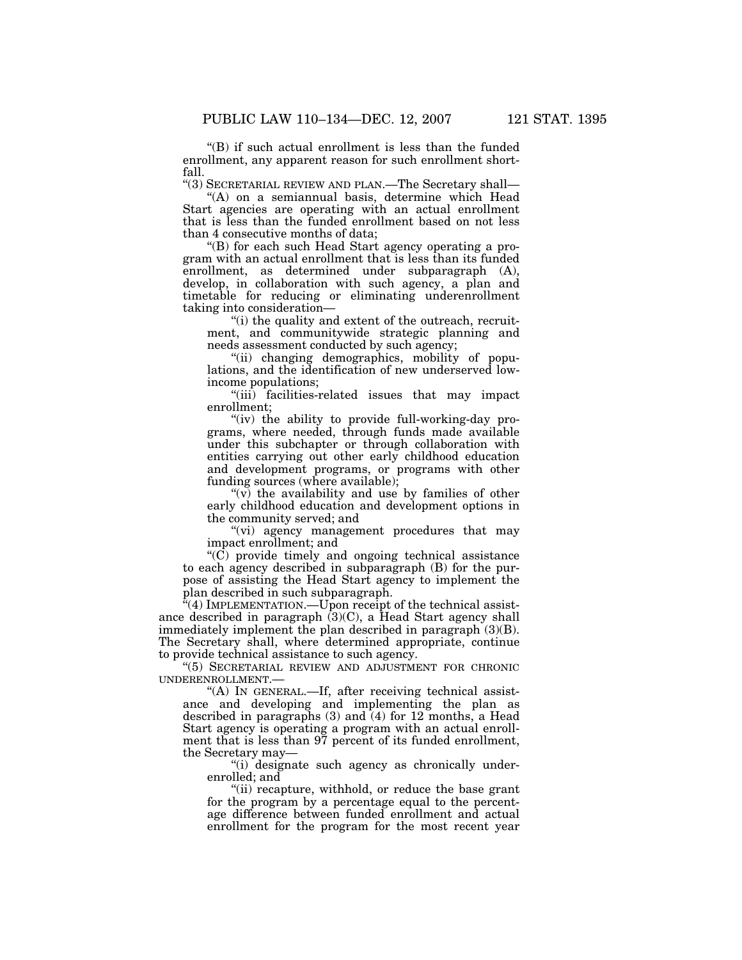''(B) if such actual enrollment is less than the funded enrollment, any apparent reason for such enrollment short-

fall. ''(3) SECRETARIAL REVIEW AND PLAN.—The Secretary shall—

"(A) on a semiannual basis, determine which Head Start agencies are operating with an actual enrollment that is less than the funded enrollment based on not less than 4 consecutive months of data;

''(B) for each such Head Start agency operating a program with an actual enrollment that is less than its funded enrollment, as determined under subparagraph (A), develop, in collaboration with such agency, a plan and timetable for reducing or eliminating underenrollment taking into consideration—

"(i) the quality and extent of the outreach, recruitment, and communitywide strategic planning and needs assessment conducted by such agency;

''(ii) changing demographics, mobility of populations, and the identification of new underserved lowincome populations;

''(iii) facilities-related issues that may impact enrollment;

"(iv) the ability to provide full-working-day programs, where needed, through funds made available under this subchapter or through collaboration with entities carrying out other early childhood education and development programs, or programs with other funding sources (where available);

" $(v)$  the availability and use by families of other early childhood education and development options in the community served; and

"(vi) agency management procedures that may impact enrollment; and

 $\rm ^{\prime\prime}(C)$  provide timely and ongoing technical assistance to each agency described in subparagraph (B) for the purpose of assisting the Head Start agency to implement the plan described in such subparagraph.

 $\sqrt{4}$ ) IMPLEMENTATION.—Upon receipt of the technical assistance described in paragraph  $(3)(C)$ , a Head Start agency shall immediately implement the plan described in paragraph (3)(B). The Secretary shall, where determined appropriate, continue to provide technical assistance to such agency.

''(5) SECRETARIAL REVIEW AND ADJUSTMENT FOR CHRONIC UNDERENROLLMENT.—

"(A) IN GENERAL.—If, after receiving technical assistance and developing and implementing the plan as described in paragraphs (3) and (4) for 12 months, a Head Start agency is operating a program with an actual enrollment that is less than 97 percent of its funded enrollment, the Secretary may—

''(i) designate such agency as chronically underenrolled; and

"(ii) recapture, withhold, or reduce the base grant for the program by a percentage equal to the percentage difference between funded enrollment and actual enrollment for the program for the most recent year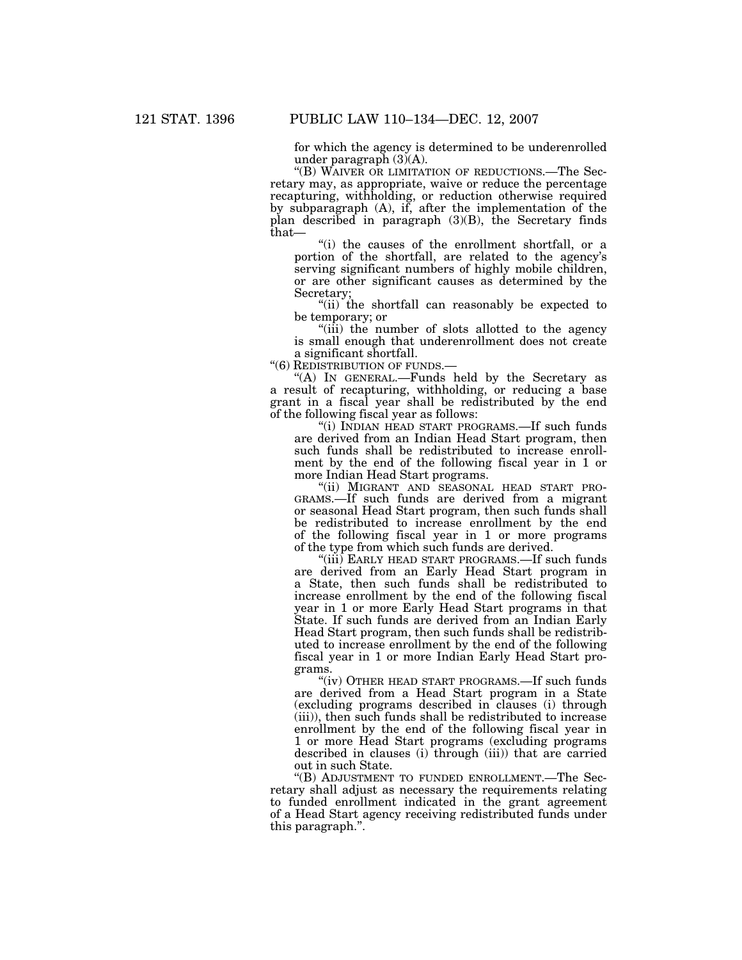for which the agency is determined to be underenrolled under paragraph  $(3)(A)$ .

''(B) WAIVER OR LIMITATION OF REDUCTIONS.—The Secretary may, as appropriate, waive or reduce the percentage recapturing, withholding, or reduction otherwise required by subparagraph (A), if, after the implementation of the plan described in paragraph  $(3)(B)$ , the Secretary finds that—

"(i) the causes of the enrollment shortfall, or a portion of the shortfall, are related to the agency's serving significant numbers of highly mobile children, or are other significant causes as determined by the Secretary;

"(ii) the shortfall can reasonably be expected to be temporary; or

''(iii) the number of slots allotted to the agency is small enough that underenrollment does not create a significant shortfall.

''(6) REDISTRIBUTION OF FUNDS.—

''(A) IN GENERAL.—Funds held by the Secretary as a result of recapturing, withholding, or reducing a base grant in a fiscal year shall be redistributed by the end of the following fiscal year as follows:

''(i) INDIAN HEAD START PROGRAMS.—If such funds are derived from an Indian Head Start program, then such funds shall be redistributed to increase enrollment by the end of the following fiscal year in 1 or more Indian Head Start programs.

"(ii) MIGRANT AND SEASONAL HEAD START PRO-GRAMS.—If such funds are derived from a migrant or seasonal Head Start program, then such funds shall be redistributed to increase enrollment by the end of the following fiscal year in 1 or more programs of the type from which such funds are derived.

"(iii) EARLY HEAD START PROGRAMS.—If such funds are derived from an Early Head Start program in a State, then such funds shall be redistributed to increase enrollment by the end of the following fiscal year in 1 or more Early Head Start programs in that State. If such funds are derived from an Indian Early Head Start program, then such funds shall be redistributed to increase enrollment by the end of the following fiscal year in 1 or more Indian Early Head Start programs.

"(iv) OTHER HEAD START PROGRAMS.—If such funds are derived from a Head Start program in a State (excluding programs described in clauses (i) through (iii)), then such funds shall be redistributed to increase enrollment by the end of the following fiscal year in 1 or more Head Start programs (excluding programs described in clauses (i) through (iii)) that are carried out in such State.

''(B) ADJUSTMENT TO FUNDED ENROLLMENT.—The Secretary shall adjust as necessary the requirements relating to funded enrollment indicated in the grant agreement of a Head Start agency receiving redistributed funds under this paragraph.''.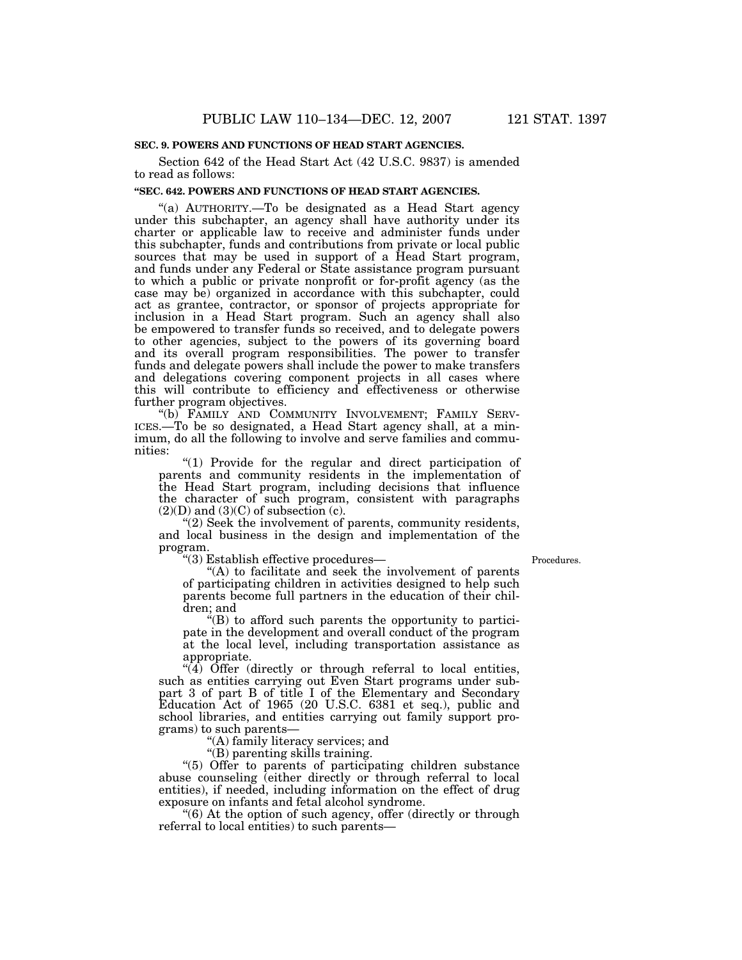Section 642 of the Head Start Act (42 U.S.C. 9837) is amended to read as follows:

# **''SEC. 642. POWERS AND FUNCTIONS OF HEAD START AGENCIES.**

''(a) AUTHORITY.—To be designated as a Head Start agency under this subchapter, an agency shall have authority under its charter or applicable law to receive and administer funds under this subchapter, funds and contributions from private or local public sources that may be used in support of a Head Start program, and funds under any Federal or State assistance program pursuant to which a public or private nonprofit or for-profit agency (as the case may be) organized in accordance with this subchapter, could act as grantee, contractor, or sponsor of projects appropriate for inclusion in a Head Start program. Such an agency shall also be empowered to transfer funds so received, and to delegate powers to other agencies, subject to the powers of its governing board and its overall program responsibilities. The power to transfer funds and delegate powers shall include the power to make transfers and delegations covering component projects in all cases where this will contribute to efficiency and effectiveness or otherwise further program objectives.

"(b) FAMILY AND COMMUNITY INVOLVEMENT; FAMILY SERV-ICES.—To be so designated, a Head Start agency shall, at a minimum, do all the following to involve and serve families and communities:

''(1) Provide for the regular and direct participation of parents and community residents in the implementation of the Head Start program, including decisions that influence the character of such program, consistent with paragraphs  $(2)(D)$  and  $(3)(C)$  of subsection (c).

''(2) Seek the involvement of parents, community residents, and local business in the design and implementation of the program.

''(3) Establish effective procedures—

Procedures.

''(A) to facilitate and seek the involvement of parents of participating children in activities designed to help such parents become full partners in the education of their children; and

 $E(B)$  to afford such parents the opportunity to participate in the development and overall conduct of the program at the local level, including transportation assistance as appropriate.

 $\sqrt[4]{4}$  Offer (directly or through referral to local entities, such as entities carrying out Even Start programs under subpart 3 of part B of title I of the Elementary and Secondary Education Act of 1965 (20 U.S.C. 6381 et seq.), public and school libraries, and entities carrying out family support programs) to such parents—

''(A) family literacy services; and

''(B) parenting skills training.

''(5) Offer to parents of participating children substance abuse counseling (either directly or through referral to local entities), if needed, including information on the effect of drug exposure on infants and fetal alcohol syndrome.

"(6) At the option of such agency, offer (directly or through referral to local entities) to such parents—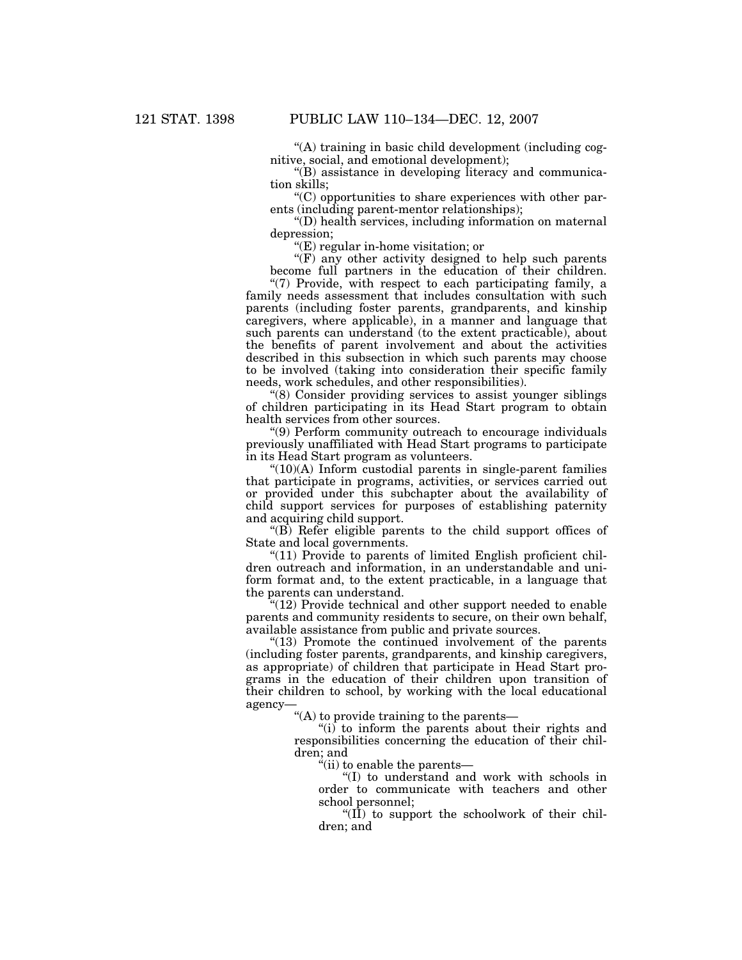''(A) training in basic child development (including cognitive, social, and emotional development);

''(B) assistance in developing literacy and communication skills;

''(C) opportunities to share experiences with other parents (including parent-mentor relationships);

''(D) health services, including information on maternal depression;

''(E) regular in-home visitation; or

"(F) any other activity designed to help such parents become full partners in the education of their children.

 $\degree$ (7) Provide, with respect to each participating family, a family needs assessment that includes consultation with such parents (including foster parents, grandparents, and kinship caregivers, where applicable), in a manner and language that such parents can understand (to the extent practicable), about the benefits of parent involvement and about the activities described in this subsection in which such parents may choose to be involved (taking into consideration their specific family needs, work schedules, and other responsibilities).

''(8) Consider providing services to assist younger siblings of children participating in its Head Start program to obtain health services from other sources.

''(9) Perform community outreach to encourage individuals previously unaffiliated with Head Start programs to participate in its Head Start program as volunteers.

 $f(10)(A)$  Inform custodial parents in single-parent families that participate in programs, activities, or services carried out or provided under this subchapter about the availability of child support services for purposes of establishing paternity and acquiring child support.

''(B) Refer eligible parents to the child support offices of State and local governments.

"(11) Provide to parents of limited English proficient children outreach and information, in an understandable and uniform format and, to the extent practicable, in a language that the parents can understand.

"(12) Provide technical and other support needed to enable parents and community residents to secure, on their own behalf, available assistance from public and private sources.

"(13) Promote the continued involvement of the parents" (including foster parents, grandparents, and kinship caregivers, as appropriate) of children that participate in Head Start programs in the education of their children upon transition of their children to school, by working with the local educational agency—

''(A) to provide training to the parents—

"(i) to inform the parents about their rights and responsibilities concerning the education of their children; and

''(ii) to enable the parents—

''(I) to understand and work with schools in order to communicate with teachers and other school personnel;

" $(II)$  to support the schoolwork of their children; and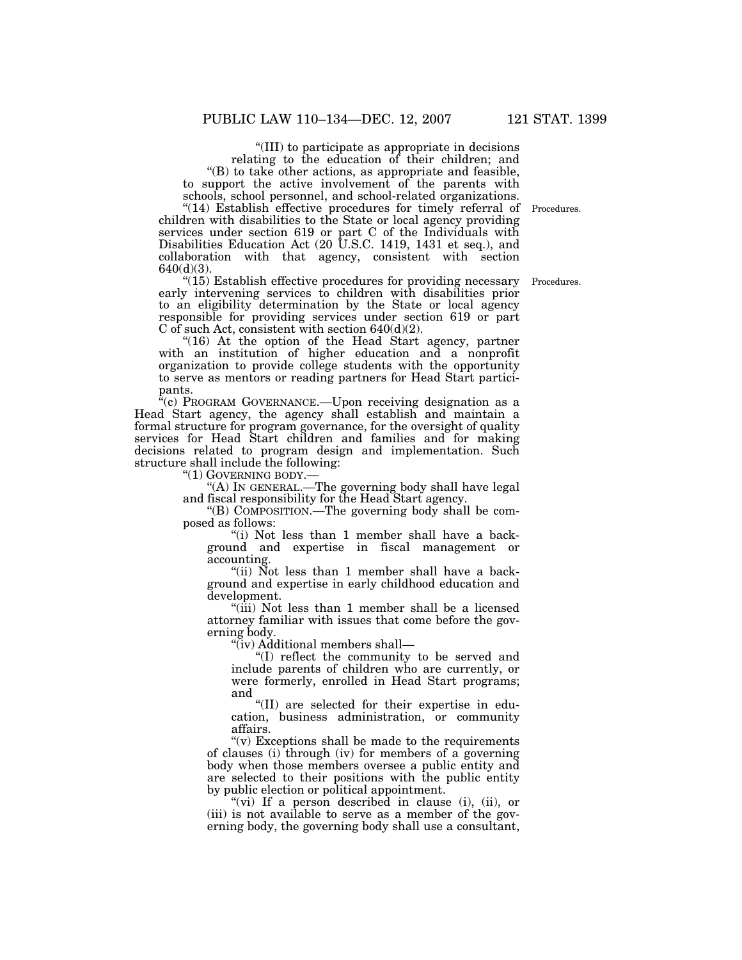''(III) to participate as appropriate in decisions relating to the education of their children; and ''(B) to take other actions, as appropriate and feasible, to support the active involvement of the parents with schools, school personnel, and school-related organizations.

"(14) Establish effective procedures for timely referral of Procedures. children with disabilities to the State or local agency providing services under section 619 or part C of the Individuals with Disabilities Education Act (20 U.S.C. 1419, 1431 et seq.), and collaboration with that agency, consistent with section 640(d)(3).

"(15) Establish effective procedures for providing necessary early intervening services to children with disabilities prior to an eligibility determination by the State or local agency responsible for providing services under section 619 or part C of such Act, consistent with section  $640(d)(2)$ .

" $(16)$  At the option of the Head Start agency, partner with an institution of higher education and a nonprofit organization to provide college students with the opportunity to serve as mentors or reading partners for Head Start participants.

 $^{a}(c)$  PROGRAM GOVERNANCE.—Upon receiving designation as a Head Start agency, the agency shall establish and maintain a formal structure for program governance, for the oversight of quality services for Head Start children and families and for making decisions related to program design and implementation. Such structure shall include the following:

''(1) GOVERNING BODY.—

''(A) IN GENERAL.—The governing body shall have legal and fiscal responsibility for the Head Start agency.

''(B) COMPOSITION.—The governing body shall be composed as follows:

''(i) Not less than 1 member shall have a background and expertise in fiscal management or accounting.

"(ii) Not less than 1 member shall have a background and expertise in early childhood education and development.

''(iii) Not less than 1 member shall be a licensed attorney familiar with issues that come before the governing body.

''(iv) Additional members shall—

''(I) reflect the community to be served and include parents of children who are currently, or were formerly, enrolled in Head Start programs; and

''(II) are selected for their expertise in education, business administration, or community affairs.

"(v) Exceptions shall be made to the requirements of clauses (i) through (iv) for members of a governing body when those members oversee a public entity and are selected to their positions with the public entity by public election or political appointment.

"(vi) If a person described in clause (i), (ii), or (iii) is not available to serve as a member of the governing body, the governing body shall use a consultant,

Procedures.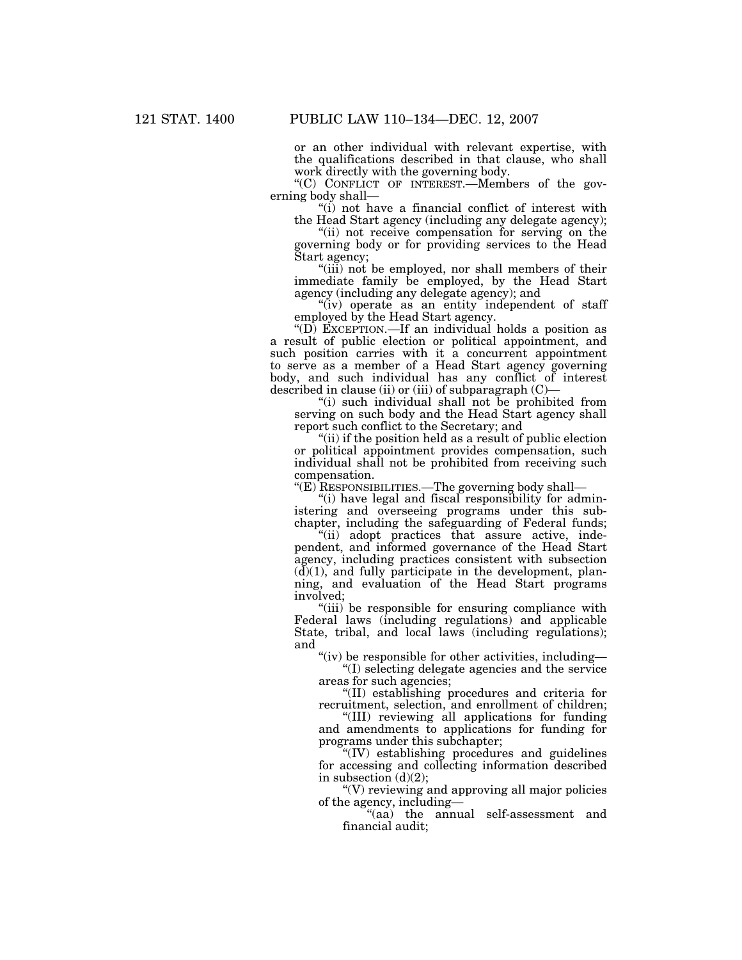or an other individual with relevant expertise, with the qualifications described in that clause, who shall work directly with the governing body.

''(C) CONFLICT OF INTEREST.—Members of the governing body shall—

''(i) not have a financial conflict of interest with the Head Start agency (including any delegate agency);

"(ii) not receive compensation for serving on the governing body or for providing services to the Head Start agency;

"(iii) not be employed, nor shall members of their immediate family be employed, by the Head Start agency (including any delegate agency); and

"(iv) operate as an entity independent of staff employed by the Head Start agency.

''(D) EXCEPTION.—If an individual holds a position as a result of public election or political appointment, and such position carries with it a concurrent appointment to serve as a member of a Head Start agency governing body, and such individual has any conflict of interest described in clause (ii) or (iii) of subparagraph  $(C)$ –

''(i) such individual shall not be prohibited from serving on such body and the Head Start agency shall report such conflict to the Secretary; and

''(ii) if the position held as a result of public election or political appointment provides compensation, such individual shall not be prohibited from receiving such compensation.

''(E) RESPONSIBILITIES.—The governing body shall—

"(i) have legal and fiscal responsibility for administering and overseeing programs under this subchapter, including the safeguarding of Federal funds;

"(ii) adopt practices that assure active, independent, and informed governance of the Head Start agency, including practices consistent with subsection  $(d)(1)$ , and fully participate in the development, planning, and evaluation of the Head Start programs involved;

''(iii) be responsible for ensuring compliance with Federal laws (including regulations) and applicable State, tribal, and local laws (including regulations); and

" $(iv)$  be responsible for other activities, including-

''(I) selecting delegate agencies and the service areas for such agencies;

''(II) establishing procedures and criteria for recruitment, selection, and enrollment of children;

''(III) reviewing all applications for funding and amendments to applications for funding for programs under this subchapter;

''(IV) establishing procedures and guidelines for accessing and collecting information described in subsection  $(d)(2)$ ;

''(V) reviewing and approving all major policies of the agency, including—

''(aa) the annual self-assessment and financial audit;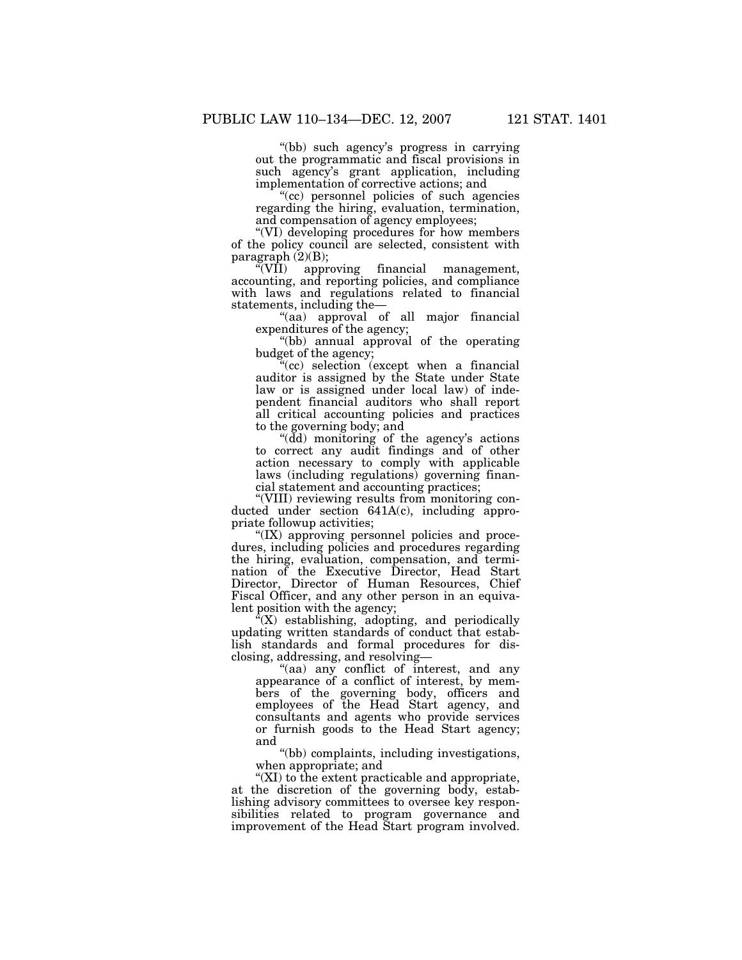''(bb) such agency's progress in carrying out the programmatic and fiscal provisions in such agency's grant application, including implementation of corrective actions; and

"(cc) personnel policies of such agencies regarding the hiring, evaluation, termination, and compensation of agency employees;

''(VI) developing procedures for how members of the policy council are selected, consistent with paragraph  $(2)(B)$ ;<br>"(VII) approximately

approving financial management, accounting, and reporting policies, and compliance with laws and regulations related to financial statements, including the—

"(aa) approval of all major financial expenditures of the agency;

''(bb) annual approval of the operating budget of the agency;

''(cc) selection (except when a financial auditor is assigned by the State under State law or is assigned under local law) of independent financial auditors who shall report all critical accounting policies and practices to the governing body; and

''(dd) monitoring of the agency's actions to correct any audit findings and of other action necessary to comply with applicable laws (including regulations) governing financial statement and accounting practices;

''(VIII) reviewing results from monitoring conducted under section 641A(c), including appropriate followup activities;

''(IX) approving personnel policies and procedures, including policies and procedures regarding the hiring, evaluation, compensation, and termination of the Executive Director, Head Start Director, Director of Human Resources, Chief Fiscal Officer, and any other person in an equivalent position with the agency;

 $f(X)$  establishing, adopting, and periodically updating written standards of conduct that establish standards and formal procedures for disclosing, addressing, and resolving—

"(aa) any conflict of interest, and any appearance of a conflict of interest, by members of the governing body, officers and employees of the Head Start agency, and consultants and agents who provide services or furnish goods to the Head Start agency; and

''(bb) complaints, including investigations, when appropriate; and

''(XI) to the extent practicable and appropriate, at the discretion of the governing body, establishing advisory committees to oversee key responsibilities related to program governance and improvement of the Head Start program involved.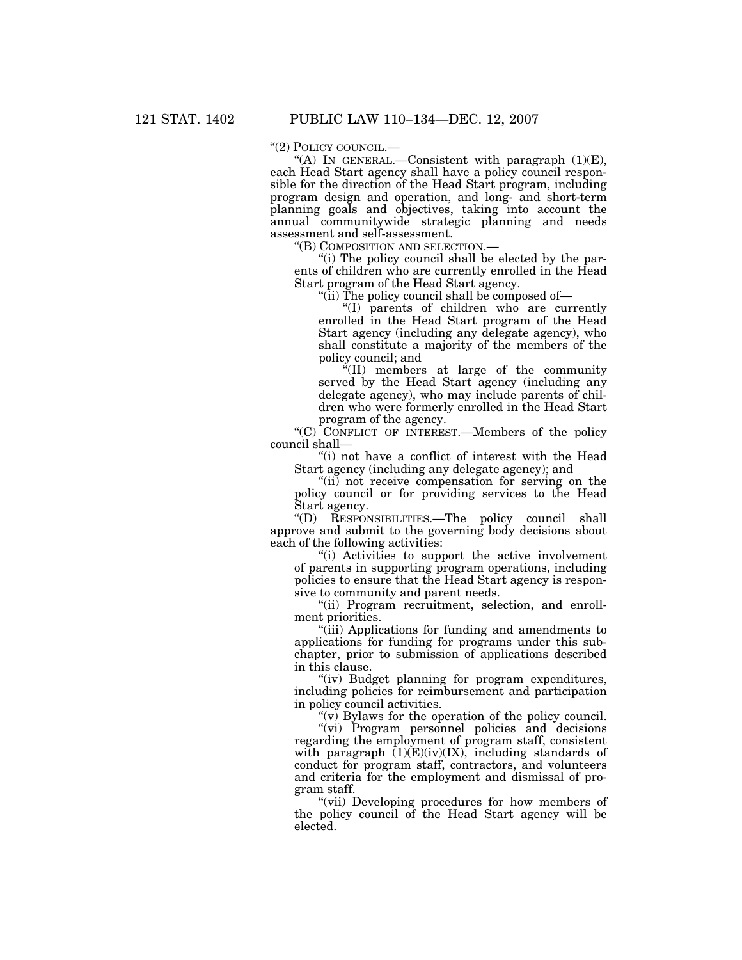''(2) POLICY COUNCIL.—

"(A) IN GENERAL.—Consistent with paragraph  $(1)(E)$ , each Head Start agency shall have a policy council responsible for the direction of the Head Start program, including program design and operation, and long- and short-term planning goals and objectives, taking into account the annual communitywide strategic planning and needs assessment and self-assessment.

''(B) COMPOSITION AND SELECTION.—

''(i) The policy council shall be elected by the parents of children who are currently enrolled in the Head Start program of the Head Start agency.

''(ii) The policy council shall be composed of—

''(I) parents of children who are currently enrolled in the Head Start program of the Head Start agency (including any delegate agency), who shall constitute a majority of the members of the policy council; and

''(II) members at large of the community served by the Head Start agency (including any delegate agency), who may include parents of children who were formerly enrolled in the Head Start program of the agency.

"(C) CONFLICT OF INTEREST.—Members of the policy council shall—

"(i) not have a conflict of interest with the Head" Start agency (including any delegate agency); and

"(ii) not receive compensation for serving on the policy council or for providing services to the Head Start agency.

''(D) RESPONSIBILITIES.—The policy council shall approve and submit to the governing body decisions about each of the following activities:

''(i) Activities to support the active involvement of parents in supporting program operations, including policies to ensure that the Head Start agency is responsive to community and parent needs.

"(ii) Program recruitment, selection, and enrollment priorities.

''(iii) Applications for funding and amendments to applications for funding for programs under this subchapter, prior to submission of applications described in this clause.

"(iv) Budget planning for program expenditures, including policies for reimbursement and participation in policy council activities.

" $(v)$  Bylaws for the operation of the policy council.

"(vi) Program personnel policies and decisions regarding the employment of program staff, consistent with paragraph  $(1)(E)(iv)(IX)$ , including standards of conduct for program staff, contractors, and volunteers and criteria for the employment and dismissal of program staff.

"(vii) Developing procedures for how members of the policy council of the Head Start agency will be elected.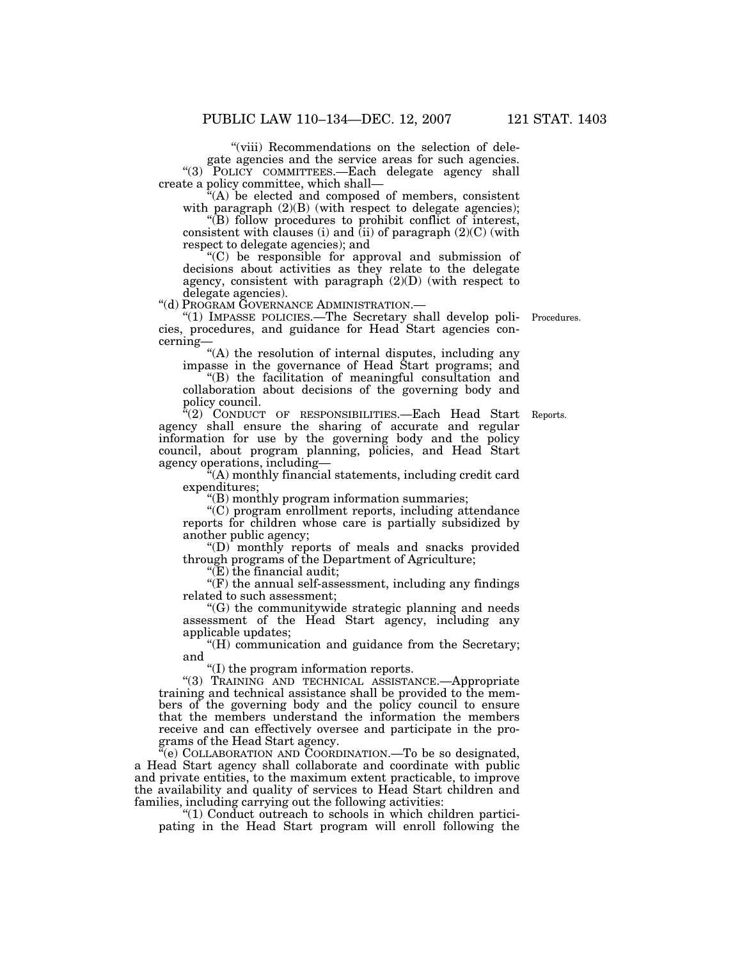"(viii) Recommendations on the selection of delegate agencies and the service areas for such agencies. "(3) POLICY COMMITTEES.—Each delegate agency shall create a policy committee, which shall—

 $(A)$  be elected and composed of members, consistent with paragraph  $(2)(B)$  (with respect to delegate agencies);

''(B) follow procedures to prohibit conflict of interest, consistent with clauses (i) and (ii) of paragraph  $(2)(C)$  (with respect to delegate agencies); and

''(C) be responsible for approval and submission of decisions about activities as they relate to the delegate agency, consistent with paragraph  $(2)(D)$  (with respect to delegate agencies).<br>"(d) PROGRAM GOVERNANCE ADMINISTRATION.—

Procedures.

"(1) IMPASSE POLICIES.—The Secretary shall develop policies, procedures, and guidance for Head Start agencies concerning—

"(A) the resolution of internal disputes, including any impasse in the governance of Head Start programs; and

''(B) the facilitation of meaningful consultation and collaboration about decisions of the governing body and policy council.

"(2) CONDUCT OF RESPONSIBILITIES.—Each Head Start Reports. agency shall ensure the sharing of accurate and regular information for use by the governing body and the policy council, about program planning, policies, and Head Start agency operations, including—

''(A) monthly financial statements, including credit card expenditures;

''(B) monthly program information summaries;

''(C) program enrollment reports, including attendance reports for children whose care is partially subsidized by another public agency;

''(D) monthly reports of meals and snacks provided through programs of the Department of Agriculture;

" $(E)$  the financial audit;

 $f(F)$  the annual self-assessment, including any findings related to such assessment;

''(G) the communitywide strategic planning and needs assessment of the Head Start agency, including any applicable updates;

''(H) communication and guidance from the Secretary; and

''(I) the program information reports.

''(3) TRAINING AND TECHNICAL ASSISTANCE.—Appropriate training and technical assistance shall be provided to the members of the governing body and the policy council to ensure that the members understand the information the members receive and can effectively oversee and participate in the programs of the Head Start agency.

 $\mathcal{C}(e)$  COLLABORATION AND COORDINATION.—To be so designated, a Head Start agency shall collaborate and coordinate with public and private entities, to the maximum extent practicable, to improve the availability and quality of services to Head Start children and families, including carrying out the following activities:

''(1) Conduct outreach to schools in which children participating in the Head Start program will enroll following the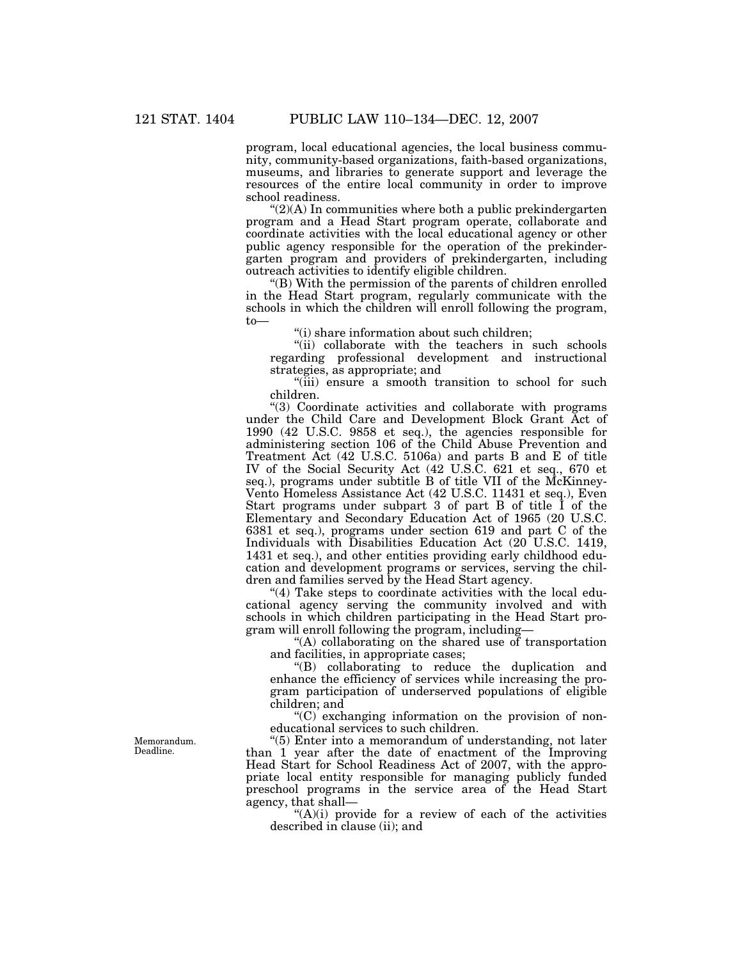program, local educational agencies, the local business community, community-based organizations, faith-based organizations, museums, and libraries to generate support and leverage the resources of the entire local community in order to improve school readiness.

 $\Gamma(2)$ (A) In communities where both a public prekindergarten program and a Head Start program operate, collaborate and coordinate activities with the local educational agency or other public agency responsible for the operation of the prekindergarten program and providers of prekindergarten, including outreach activities to identify eligible children.

''(B) With the permission of the parents of children enrolled in the Head Start program, regularly communicate with the schools in which the children will enroll following the program, to—

''(i) share information about such children;

"(ii) collaborate with the teachers in such schools regarding professional development and instructional strategies, as appropriate; and

"(iii) ensure a smooth transition to school for such children.

''(3) Coordinate activities and collaborate with programs under the Child Care and Development Block Grant Act of 1990 (42 U.S.C. 9858 et seq.), the agencies responsible for administering section 106 of the Child Abuse Prevention and Treatment Act (42 U.S.C. 5106a) and parts B and E of title IV of the Social Security Act (42 U.S.C. 621 et seq., 670 et seq.), programs under subtitle B of title VII of the McKinney-Vento Homeless Assistance Act (42 U.S.C. 11431 et seq.), Even Start programs under subpart 3 of part B of title I of the Elementary and Secondary Education Act of 1965 (20 U.S.C. 6381 et seq.), programs under section 619 and part C of the Individuals with Disabilities Education Act (20 U.S.C. 1419, 1431 et seq.), and other entities providing early childhood education and development programs or services, serving the children and families served by the Head Start agency.

"(4) Take steps to coordinate activities with the local educational agency serving the community involved and with schools in which children participating in the Head Start program will enroll following the program, including—

''(A) collaborating on the shared use of transportation and facilities, in appropriate cases;

''(B) collaborating to reduce the duplication and enhance the efficiency of services while increasing the program participation of underserved populations of eligible children; and

 $C^{\prime}(C)$  exchanging information on the provision of noneducational services to such children.

''(5) Enter into a memorandum of understanding, not later than 1 year after the date of enactment of the Improving Head Start for School Readiness Act of 2007, with the appropriate local entity responsible for managing publicly funded preschool programs in the service area of the Head Start agency, that shall—

 $(A)(i)$  provide for a review of each of the activities described in clause (ii); and

Memorandum. Deadline.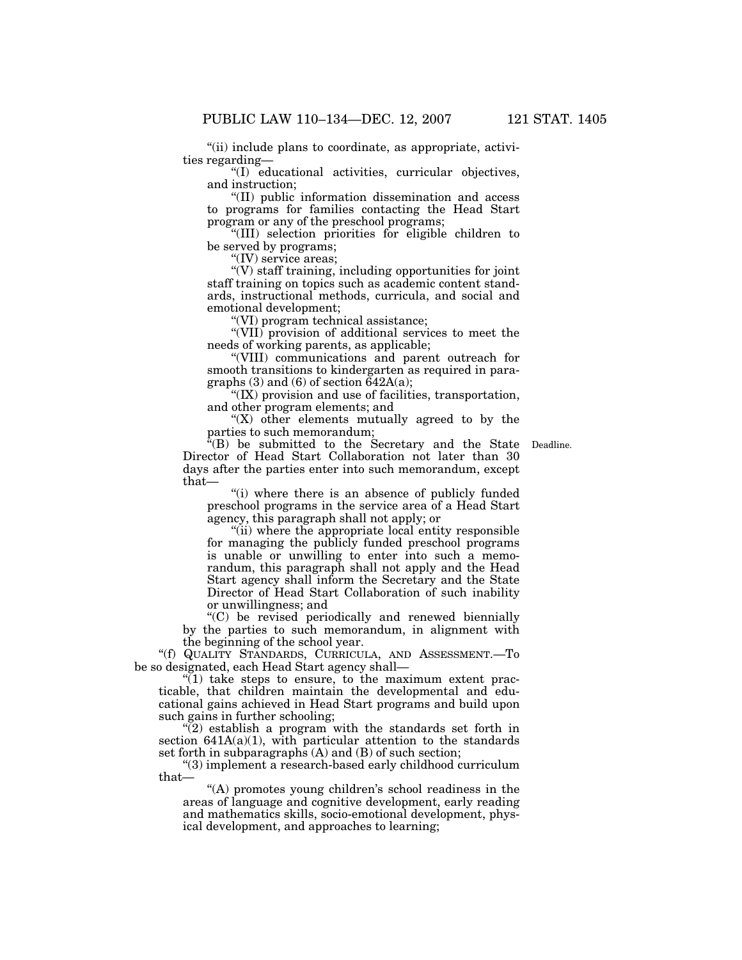"(ii) include plans to coordinate, as appropriate, activities regarding—

''(I) educational activities, curricular objectives, and instruction;

''(II) public information dissemination and access to programs for families contacting the Head Start program or any of the preschool programs;

''(III) selection priorities for eligible children to be served by programs;

"(IV) service areas;

 $\mathcal{C}(V)$  staff training, including opportunities for joint staff training on topics such as academic content standards, instructional methods, curricula, and social and emotional development;

''(VI) program technical assistance;

''(VII) provision of additional services to meet the needs of working parents, as applicable;

''(VIII) communications and parent outreach for smooth transitions to kindergarten as required in paragraphs (3) and (6) of section  $\tilde{6}42A(a)$ ;

''(IX) provision and use of facilities, transportation, and other program elements; and

" $(X)$  other elements mutually agreed to by the parties to such memorandum;

''(B) be submitted to the Secretary and the State Deadline. Director of Head Start Collaboration not later than 30 days after the parties enter into such memorandum, except that—

''(i) where there is an absence of publicly funded preschool programs in the service area of a Head Start agency, this paragraph shall not apply; or

''(ii) where the appropriate local entity responsible for managing the publicly funded preschool programs is unable or unwilling to enter into such a memorandum, this paragraph shall not apply and the Head Start agency shall inform the Secretary and the State Director of Head Start Collaboration of such inability or unwillingness; and

''(C) be revised periodically and renewed biennially by the parties to such memorandum, in alignment with the beginning of the school year.

''(f) QUALITY STANDARDS, CURRICULA, AND ASSESSMENT.—To be so designated, each Head Start agency shall—

 $\sqrt{\ }$ (1) take steps to ensure, to the maximum extent practicable, that children maintain the developmental and educational gains achieved in Head Start programs and build upon such gains in further schooling;

 $\sqrt{\left(2\right)}$  establish a program with the standards set forth in section  $641A(a)(1)$ , with particular attention to the standards set forth in subparagraphs (A) and (B) of such section;

''(3) implement a research-based early childhood curriculum that—

"(A) promotes young children's school readiness in the areas of language and cognitive development, early reading and mathematics skills, socio-emotional development, physical development, and approaches to learning;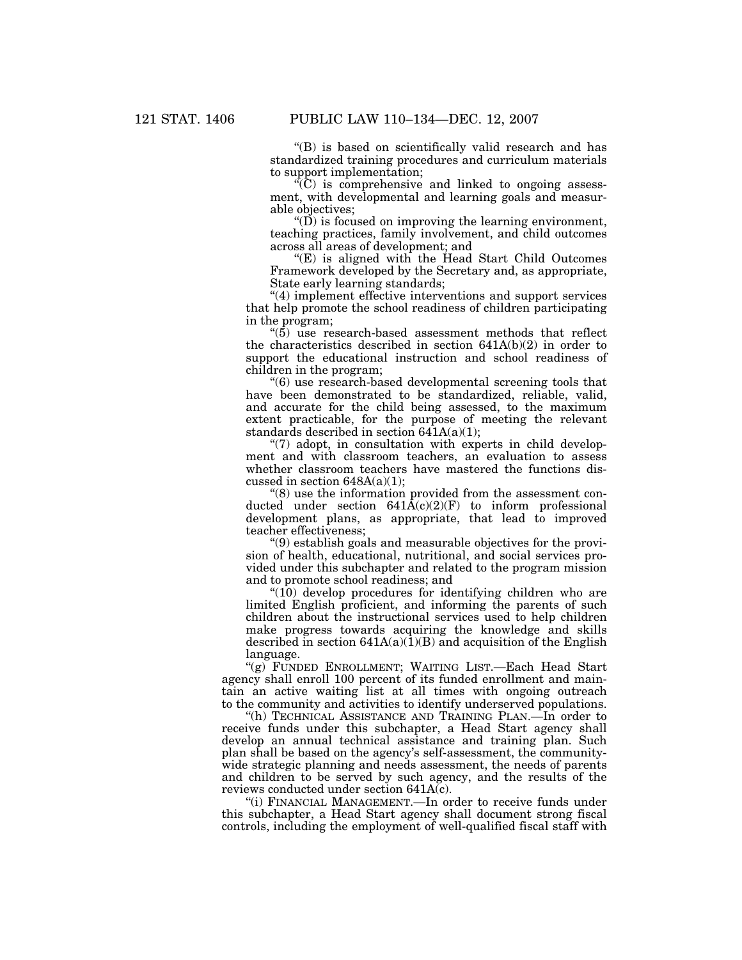''(B) is based on scientifically valid research and has standardized training procedures and curriculum materials to support implementation;

 $\sqrt{\text{C}}$  is comprehensive and linked to ongoing assessment, with developmental and learning goals and measurable objectives;

 $\mathrm{``(D)}$  is focused on improving the learning environment, teaching practices, family involvement, and child outcomes across all areas of development; and

 $E(E)$  is aligned with the Head Start Child Outcomes Framework developed by the Secretary and, as appropriate, State early learning standards;

''(4) implement effective interventions and support services that help promote the school readiness of children participating in the program;

''(5) use research-based assessment methods that reflect the characteristics described in section 641A(b)(2) in order to support the educational instruction and school readiness of children in the program;

''(6) use research-based developmental screening tools that have been demonstrated to be standardized, reliable, valid, and accurate for the child being assessed, to the maximum extent practicable, for the purpose of meeting the relevant standards described in section  $641A(a)(1)$ ;

"(7) adopt, in consultation with experts in child development and with classroom teachers, an evaluation to assess whether classroom teachers have mastered the functions discussed in section  $648A(a)(1)$ ;

''(8) use the information provided from the assessment conducted under section  $641\text{\AA}(c)(2)(F)$  to inform professional development plans, as appropriate, that lead to improved teacher effectiveness;

''(9) establish goals and measurable objectives for the provision of health, educational, nutritional, and social services provided under this subchapter and related to the program mission and to promote school readiness; and

" $(10)$  develop procedures for identifying children who are limited English proficient, and informing the parents of such children about the instructional services used to help children make progress towards acquiring the knowledge and skills described in section  $641A(a)(1)(B)$  and acquisition of the English language.

"(g) FUNDED ENROLLMENT; WAITING LIST.—Each Head Start agency shall enroll 100 percent of its funded enrollment and maintain an active waiting list at all times with ongoing outreach to the community and activities to identify underserved populations.

''(h) TECHNICAL ASSISTANCE AND TRAINING PLAN.—In order to receive funds under this subchapter, a Head Start agency shall develop an annual technical assistance and training plan. Such plan shall be based on the agency's self-assessment, the communitywide strategic planning and needs assessment, the needs of parents and children to be served by such agency, and the results of the reviews conducted under section 641A(c).

''(i) FINANCIAL MANAGEMENT.—In order to receive funds under this subchapter, a Head Start agency shall document strong fiscal controls, including the employment of well-qualified fiscal staff with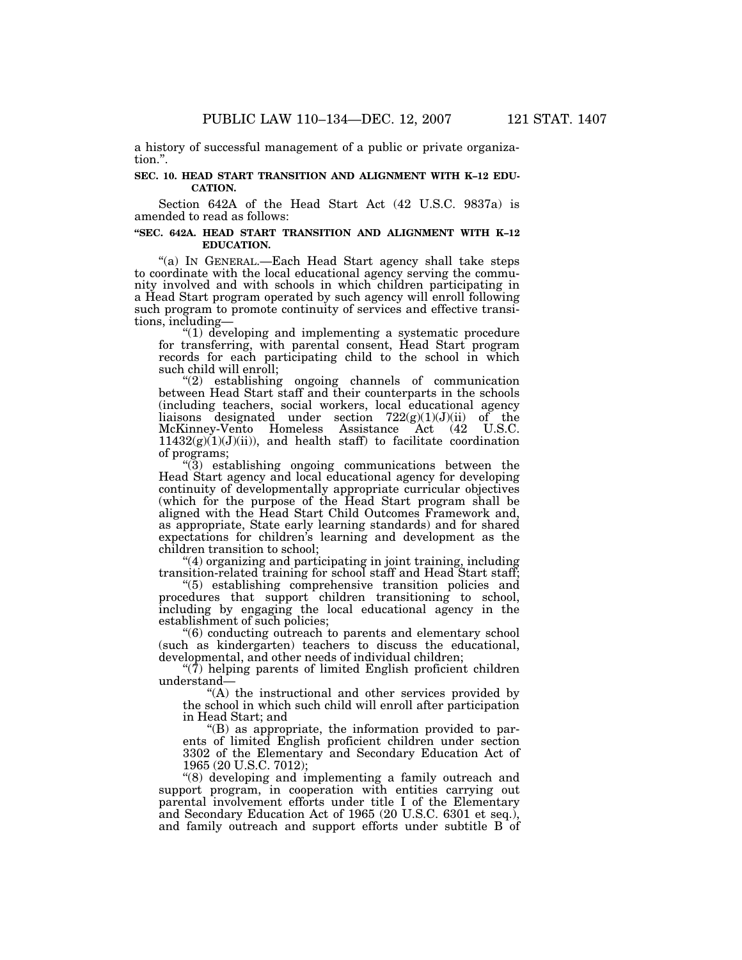a history of successful management of a public or private organization.''.

#### **SEC. 10. HEAD START TRANSITION AND ALIGNMENT WITH K–12 EDU-CATION.**

Section 642A of the Head Start Act (42 U.S.C. 9837a) is amended to read as follows:

#### **''SEC. 642A. HEAD START TRANSITION AND ALIGNMENT WITH K–12 EDUCATION.**

''(a) IN GENERAL.—Each Head Start agency shall take steps to coordinate with the local educational agency serving the community involved and with schools in which children participating in a Head Start program operated by such agency will enroll following such program to promote continuity of services and effective transitions, including—

''(1) developing and implementing a systematic procedure for transferring, with parental consent, Head Start program records for each participating child to the school in which such child will enroll;

''(2) establishing ongoing channels of communication between Head Start staff and their counterparts in the schools (including teachers, social workers, local educational agency liaisons designated under section 722(g)(1)(J)(ii) of the McKinney-Vento Homeless Assistance Act (42 U.S.C.  $11432(g)(1)(J)(ii)$ , and health staff) to facilitate coordination of programs;

''(3) establishing ongoing communications between the Head Start agency and local educational agency for developing continuity of developmentally appropriate curricular objectives (which for the purpose of the Head Start program shall be aligned with the Head Start Child Outcomes Framework and, as appropriate, State early learning standards) and for shared expectations for children's learning and development as the children transition to school;

''(4) organizing and participating in joint training, including transition-related training for school staff and Head Start staff;

''(5) establishing comprehensive transition policies and procedures that support children transitioning to school, including by engaging the local educational agency in the establishment of such policies;

''(6) conducting outreach to parents and elementary school (such as kindergarten) teachers to discuss the educational, developmental, and other needs of individual children;

 $\degree$ (7) helping parents of limited English proficient children understand—

''(A) the instructional and other services provided by the school in which such child will enroll after participation in Head Start; and

''(B) as appropriate, the information provided to parents of limited English proficient children under section 3302 of the Elementary and Secondary Education Act of 1965 (20 U.S.C. 7012);

''(8) developing and implementing a family outreach and support program, in cooperation with entities carrying out parental involvement efforts under title I of the Elementary and Secondary Education Act of 1965 (20 U.S.C. 6301 et seq.), and family outreach and support efforts under subtitle B of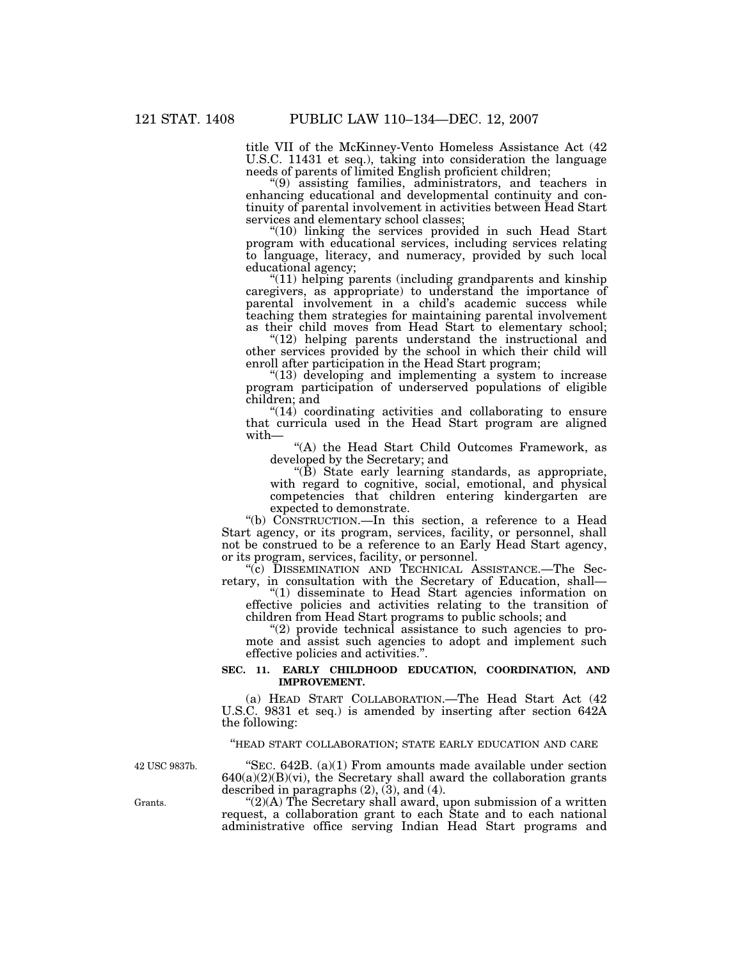title VII of the McKinney-Vento Homeless Assistance Act (42 U.S.C. 11431 et seq.), taking into consideration the language needs of parents of limited English proficient children;

''(9) assisting families, administrators, and teachers in enhancing educational and developmental continuity and continuity of parental involvement in activities between Head Start services and elementary school classes;

"(10) linking the services provided in such Head Start program with educational services, including services relating to language, literacy, and numeracy, provided by such local educational agency;

"(11) helping parents (including grandparents and kinship caregivers, as appropriate) to understand the importance of parental involvement in a child's academic success while teaching them strategies for maintaining parental involvement as their child moves from Head Start to elementary school;

"(12) helping parents understand the instructional and other services provided by the school in which their child will enroll after participation in the Head Start program;

" $(13)$  developing and implementing a system to increase program participation of underserved populations of eligible children; and

"(14) coordinating activities and collaborating to ensure that curricula used in the Head Start program are aligned with—

''(A) the Head Start Child Outcomes Framework, as developed by the Secretary; and

 $\angle$ <sup>"(B)</sup> State early learning standards, as appropriate, with regard to cognitive, social, emotional, and physical competencies that children entering kindergarten are expected to demonstrate.

"(b) CONSTRUCTION.—In this section, a reference to a Head Start agency, or its program, services, facility, or personnel, shall not be construed to be a reference to an Early Head Start agency, or its program, services, facility, or personnel.

''(c) DISSEMINATION AND TECHNICAL ASSISTANCE.—The Secretary, in consultation with the Secretary of Education, shall—

''(1) disseminate to Head Start agencies information on effective policies and activities relating to the transition of children from Head Start programs to public schools; and

''(2) provide technical assistance to such agencies to promote and assist such agencies to adopt and implement such effective policies and activities.''.

#### SEC. 11. EARLY CHILDHOOD EDUCATION, COORDINATION, AND **IMPROVEMENT.**

(a) HEAD START COLLABORATION.—The Head Start Act (42 U.S.C. 9831 et seq.) is amended by inserting after section 642A the following:

# ''HEAD START COLLABORATION; STATE EARLY EDUCATION AND CARE

42 USC 9837b.

"SEC. 642B. (a)(1) From amounts made available under section  $640(a)(2)(B)(vi)$ , the Secretary shall award the collaboration grants described in paragraphs (2), (3), and (4).

" $(2)(A)$  The Secretary shall award, upon submission of a written request, a collaboration grant to each State and to each national administrative office serving Indian Head Start programs and

Grants.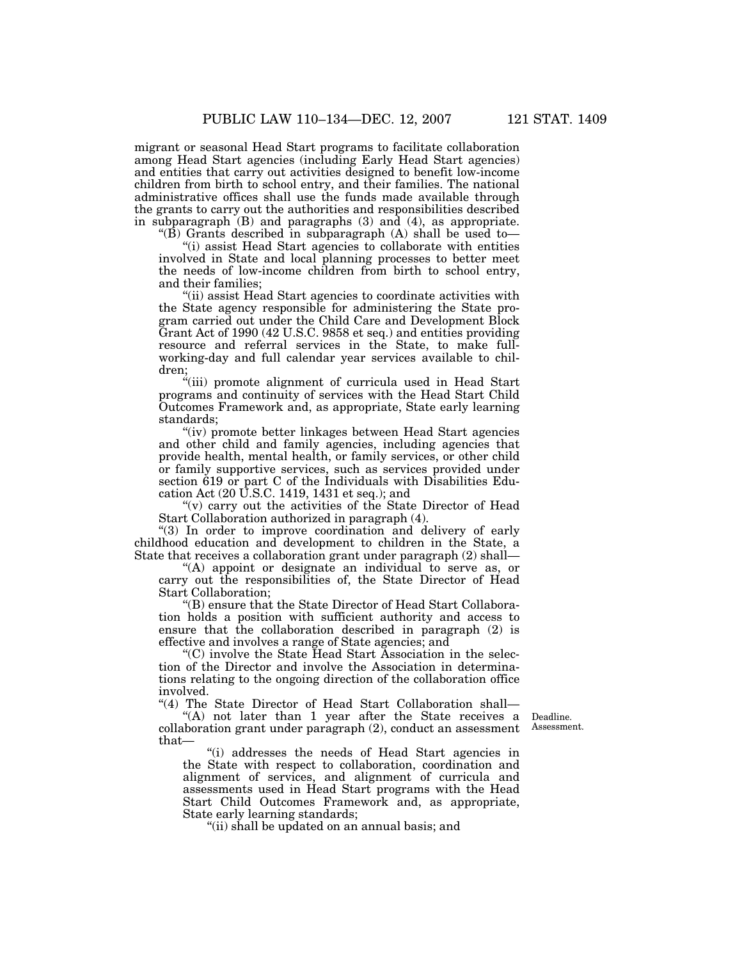migrant or seasonal Head Start programs to facilitate collaboration among Head Start agencies (including Early Head Start agencies) and entities that carry out activities designed to benefit low-income children from birth to school entry, and their families. The national administrative offices shall use the funds made available through the grants to carry out the authorities and responsibilities described in subparagraph (B) and paragraphs (3) and (4), as appropriate.

"(B) Grants described in subparagraph (A) shall be used to-

''(i) assist Head Start agencies to collaborate with entities involved in State and local planning processes to better meet the needs of low-income children from birth to school entry, and their families;

''(ii) assist Head Start agencies to coordinate activities with the State agency responsible for administering the State program carried out under the Child Care and Development Block Grant Act of 1990 (42 U.S.C. 9858 et seq.) and entities providing resource and referral services in the State, to make fullworking-day and full calendar year services available to children;

"(iii) promote alignment of curricula used in Head Start programs and continuity of services with the Head Start Child Outcomes Framework and, as appropriate, State early learning standards;

''(iv) promote better linkages between Head Start agencies and other child and family agencies, including agencies that provide health, mental health, or family services, or other child or family supportive services, such as services provided under section 619 or part C of the Individuals with Disabilities Education Act (20 U.S.C. 1419, 1431 et seq.); and

"(v) carry out the activities of the State Director of Head Start Collaboration authorized in paragraph (4).

''(3) In order to improve coordination and delivery of early childhood education and development to children in the State, a State that receives a collaboration grant under paragraph (2) shall—

''(A) appoint or designate an individual to serve as, or carry out the responsibilities of, the State Director of Head Start Collaboration;

''(B) ensure that the State Director of Head Start Collaboration holds a position with sufficient authority and access to ensure that the collaboration described in paragraph (2) is effective and involves a range of State agencies; and

''(C) involve the State Head Start Association in the selection of the Director and involve the Association in determinations relating to the ongoing direction of the collaboration office involved.

''(4) The State Director of Head Start Collaboration shall—

"(A) not later than 1 year after the State receives a Deadline. collaboration grant under paragraph (2), conduct an assessment Assessment. that—

''(i) addresses the needs of Head Start agencies in the State with respect to collaboration, coordination and alignment of services, and alignment of curricula and assessments used in Head Start programs with the Head Start Child Outcomes Framework and, as appropriate, State early learning standards;

''(ii) shall be updated on an annual basis; and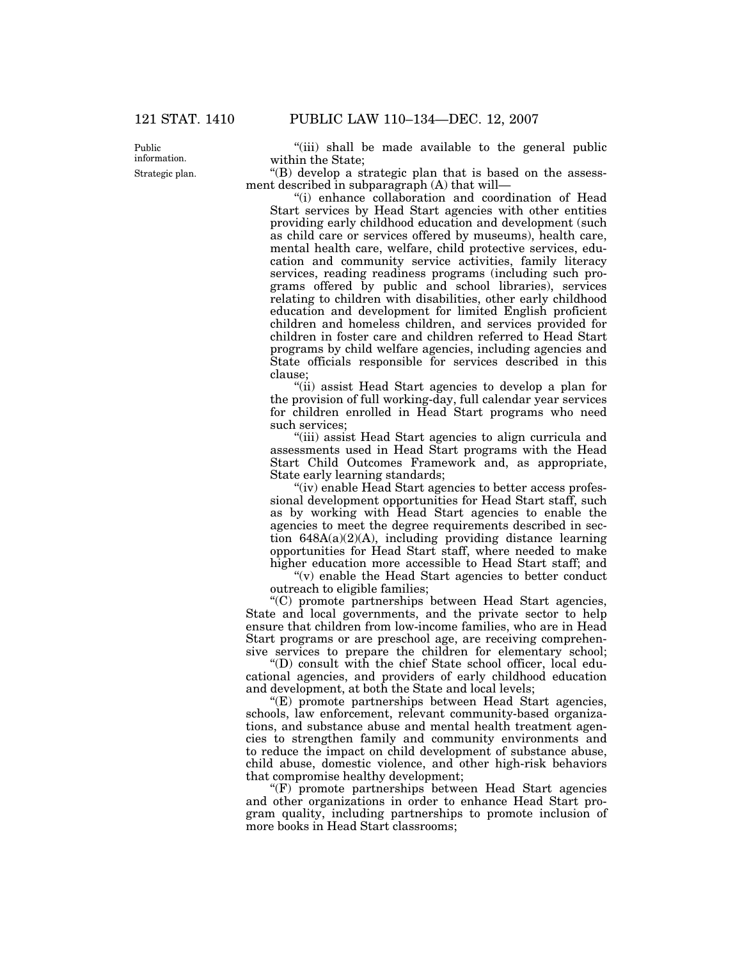Public information. Strategic plan.

"(iii) shall be made available to the general public within the State;

''(B) develop a strategic plan that is based on the assessment described in subparagraph (A) that will—

''(i) enhance collaboration and coordination of Head Start services by Head Start agencies with other entities providing early childhood education and development (such as child care or services offered by museums), health care, mental health care, welfare, child protective services, education and community service activities, family literacy services, reading readiness programs (including such programs offered by public and school libraries), services relating to children with disabilities, other early childhood education and development for limited English proficient children and homeless children, and services provided for children in foster care and children referred to Head Start programs by child welfare agencies, including agencies and State officials responsible for services described in this clause;

''(ii) assist Head Start agencies to develop a plan for the provision of full working-day, full calendar year services for children enrolled in Head Start programs who need such services;

''(iii) assist Head Start agencies to align curricula and assessments used in Head Start programs with the Head Start Child Outcomes Framework and, as appropriate, State early learning standards;

''(iv) enable Head Start agencies to better access professional development opportunities for Head Start staff, such as by working with Head Start agencies to enable the agencies to meet the degree requirements described in section 648A(a)(2)(A), including providing distance learning opportunities for Head Start staff, where needed to make higher education more accessible to Head Start staff; and

" $(v)$  enable the Head Start agencies to better conduct outreach to eligible families;

''(C) promote partnerships between Head Start agencies, State and local governments, and the private sector to help ensure that children from low-income families, who are in Head Start programs or are preschool age, are receiving comprehensive services to prepare the children for elementary school;

''(D) consult with the chief State school officer, local educational agencies, and providers of early childhood education and development, at both the State and local levels;

''(E) promote partnerships between Head Start agencies, schools, law enforcement, relevant community-based organizations, and substance abuse and mental health treatment agencies to strengthen family and community environments and to reduce the impact on child development of substance abuse, child abuse, domestic violence, and other high-risk behaviors that compromise healthy development;

''(F) promote partnerships between Head Start agencies and other organizations in order to enhance Head Start program quality, including partnerships to promote inclusion of more books in Head Start classrooms;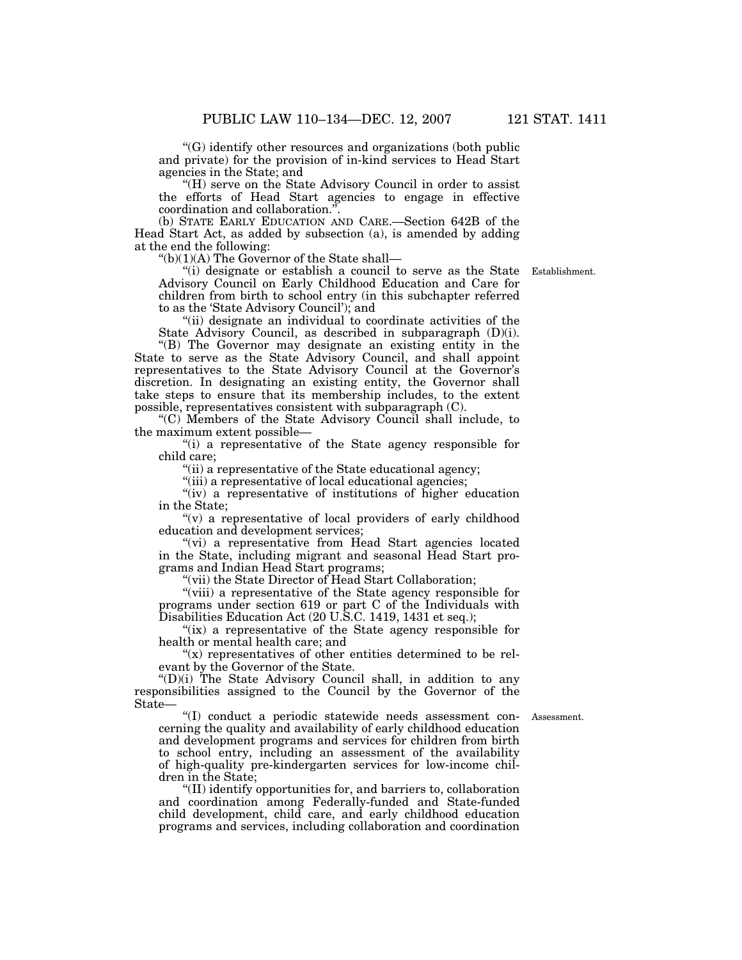''(G) identify other resources and organizations (both public and private) for the provision of in-kind services to Head Start agencies in the State; and

"(H) serve on the State Advisory Council in order to assist the efforts of Head Start agencies to engage in effective coordination and collaboration."

 (b) STATE EARLY EDUCATION AND CARE.—Section 642B of the Head Start Act, as added by subsection (a), is amended by adding at the end the following:

 $"(b)(1)(A)$  The Governor of the State shall—

''(i) designate or establish a council to serve as the State Establishment. Advisory Council on Early Childhood Education and Care for children from birth to school entry (in this subchapter referred to as the 'State Advisory Council'); and

"(ii) designate an individual to coordinate activities of the State Advisory Council, as described in subparagraph (D)(i).

''(B) The Governor may designate an existing entity in the State to serve as the State Advisory Council, and shall appoint representatives to the State Advisory Council at the Governor's discretion. In designating an existing entity, the Governor shall take steps to ensure that its membership includes, to the extent possible, representatives consistent with subparagraph (C).

''(C) Members of the State Advisory Council shall include, to the maximum extent possible—

''(i) a representative of the State agency responsible for child care;

''(ii) a representative of the State educational agency;

"(iii) a representative of local educational agencies;

 ''(iv) a representative of institutions of higher education in the State;

"(v) a representative of local providers of early childhood education and development services;

"(vi) a representative from Head Start agencies located in the State, including migrant and seasonal Head Start programs and Indian Head Start programs;

"(vii) the State Director of Head Start Collaboration;

''(viii) a representative of the State agency responsible for programs under section 619 or part C of the Individuals with Disabilities Education Act (20 U.S.C. 1419, 1431 et seq.);

"(ix) a representative of the State agency responsible for health or mental health care; and

" $(x)$  representatives of other entities determined to be relevant by the Governor of the State.

 ''(D)(i) The State Advisory Council shall, in addition to any responsibilities assigned to the Council by the Governor of the State—

''(I) conduct a periodic statewide needs assessment con- Assessment. cerning the quality and availability of early childhood education and development programs and services for children from birth to school entry, including an assessment of the availability of high-quality pre-kindergarten services for low-income children in the State;

''(II) identify opportunities for, and barriers to, collaboration and coordination among Federally-funded and State-funded child development, child care, and early childhood education programs and services, including collaboration and coordination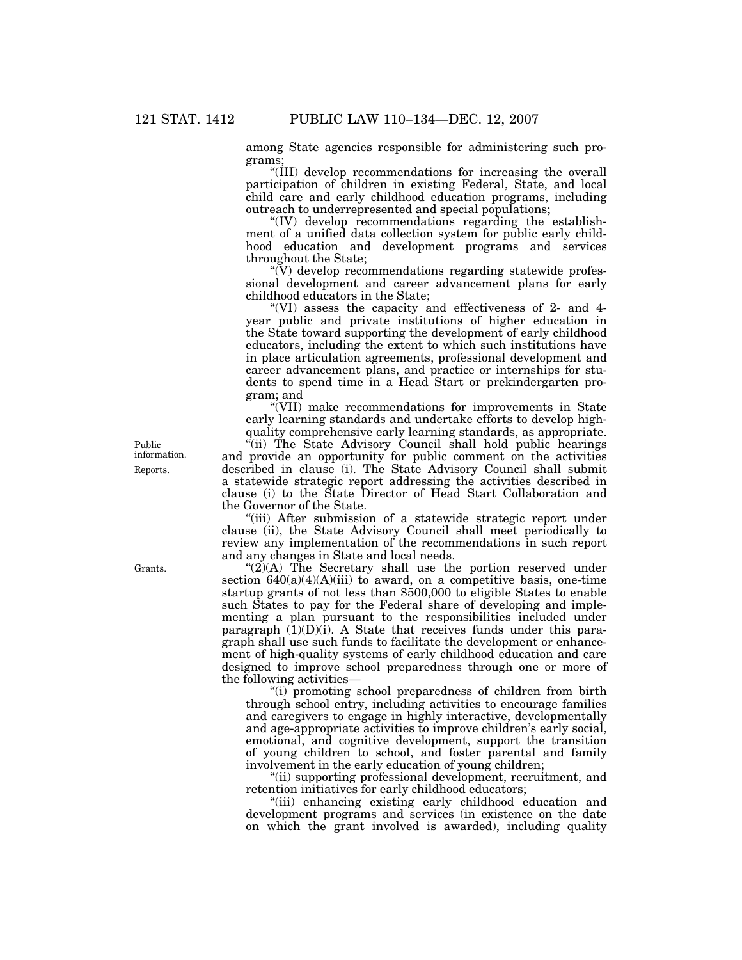among State agencies responsible for administering such programs;

''(III) develop recommendations for increasing the overall participation of children in existing Federal, State, and local child care and early childhood education programs, including outreach to underrepresented and special populations;

''(IV) develop recommendations regarding the establishment of a unified data collection system for public early childhood education and development programs and services throughout the State;

''(V) develop recommendations regarding statewide professional development and career advancement plans for early childhood educators in the State;

''(VI) assess the capacity and effectiveness of 2- and 4 year public and private institutions of higher education in the State toward supporting the development of early childhood educators, including the extent to which such institutions have in place articulation agreements, professional development and career advancement plans, and practice or internships for students to spend time in a Head Start or prekindergarten program; and

''(VII) make recommendations for improvements in State early learning standards and undertake efforts to develop highquality comprehensive early learning standards, as appropriate.

''(ii) The State Advisory Council shall hold public hearings and provide an opportunity for public comment on the activities described in clause (i). The State Advisory Council shall submit a statewide strategic report addressing the activities described in clause (i) to the State Director of Head Start Collaboration and the Governor of the State.

(iii) After submission of a statewide strategic report under clause (ii), the State Advisory Council shall meet periodically to review any implementation of the recommendations in such report and any changes in State and local needs.

" $(2)(A)$  The Secretary shall use the portion reserved under section  $640(a)(4)(A)(iii)$  to award, on a competitive basis, one-time startup grants of not less than \$500,000 to eligible States to enable such States to pay for the Federal share of developing and implementing a plan pursuant to the responsibilities included under paragraph  $(1)(D)(i)$ . A State that receives funds under this paragraph shall use such funds to facilitate the development or enhancement of high-quality systems of early childhood education and care designed to improve school preparedness through one or more of the following activities—

''(i) promoting school preparedness of children from birth through school entry, including activities to encourage families and caregivers to engage in highly interactive, developmentally and age-appropriate activities to improve children's early social, emotional, and cognitive development, support the transition of young children to school, and foster parental and family involvement in the early education of young children;

''(ii) supporting professional development, recruitment, and retention initiatives for early childhood educators;

''(iii) enhancing existing early childhood education and development programs and services (in existence on the date on which the grant involved is awarded), including quality

Public information. Reports.

Grants.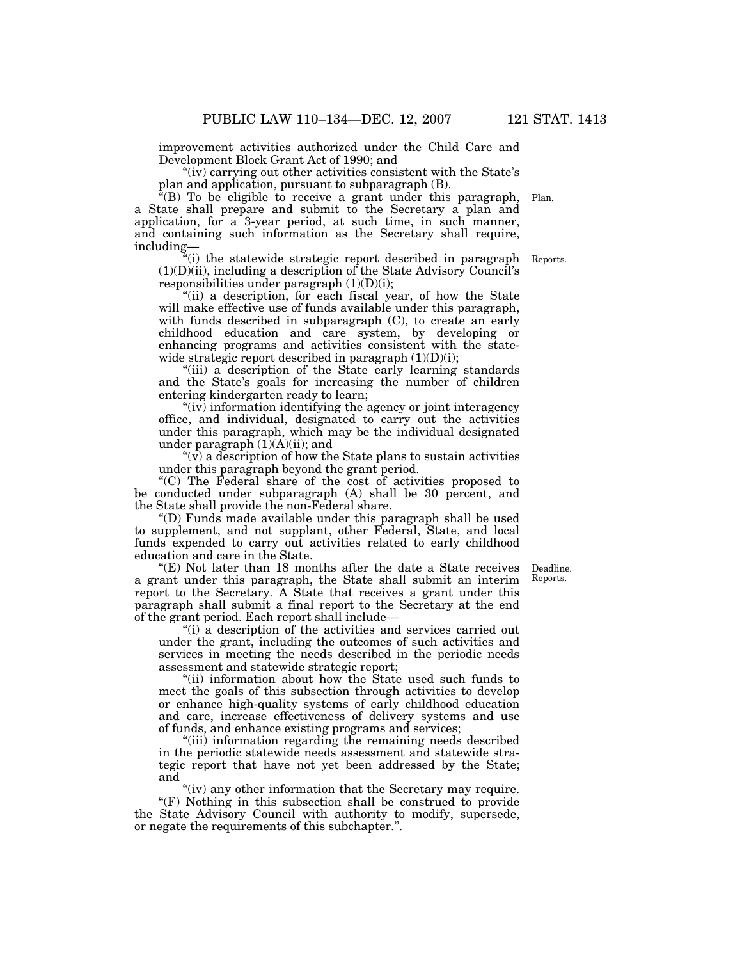improvement activities authorized under the Child Care and Development Block Grant Act of 1990; and

" $(iv)$  carrying out other activities consistent with the State's plan and application, pursuant to subparagraph (B).

 $E^{\text{th}}(B)$  To be eligible to receive a grant under this paragraph, a State shall prepare and submit to the Secretary a plan and application, for a 3-year period, at such time, in such manner, and containing such information as the Secretary shall require, including— Plan.

"(i) the statewide strategic report described in paragraph Reports.  $(1)(D)(ii)$ , including a description of the State Advisory Council's responsibilities under paragraph  $(1)(D)(i)$ ;

"(ii) a description, for each fiscal year, of how the State will make effective use of funds available under this paragraph, with funds described in subparagraph (C), to create an early childhood education and care system, by developing or enhancing programs and activities consistent with the statewide strategic report described in paragraph  $(1)(D)(i)$ ;

''(iii) a description of the State early learning standards and the State's goals for increasing the number of children entering kindergarten ready to learn;

"(iv) information identifying the agency or joint interagency office, and individual, designated to carry out the activities under this paragraph, which may be the individual designated under paragraph  $(1)(A)(ii)$ ; and

 $(v)$  a description of how the State plans to sustain activities under this paragraph beyond the grant period.

''(C) The Federal share of the cost of activities proposed to be conducted under subparagraph (A) shall be 30 percent, and the State shall provide the non-Federal share.

''(D) Funds made available under this paragraph shall be used to supplement, and not supplant, other Federal, State, and local funds expended to carry out activities related to early childhood education and care in the State.

"(E) Not later than 18 months after the date a State receives a grant under this paragraph, the State shall submit an interim report to the Secretary. A State that receives a grant under this paragraph shall submit a final report to the Secretary at the end of the grant period. Each report shall include—

''(i) a description of the activities and services carried out under the grant, including the outcomes of such activities and services in meeting the needs described in the periodic needs assessment and statewide strategic report;

"(ii) information about how the State used such funds to meet the goals of this subsection through activities to develop or enhance high-quality systems of early childhood education and care, increase effectiveness of delivery systems and use of funds, and enhance existing programs and services;

"(iii) information regarding the remaining needs described in the periodic statewide needs assessment and statewide strategic report that have not yet been addressed by the State; and

"(iv) any other information that the Secretary may require.

''(F) Nothing in this subsection shall be construed to provide the State Advisory Council with authority to modify, supersede, or negate the requirements of this subchapter.''.

Deadline. Reports.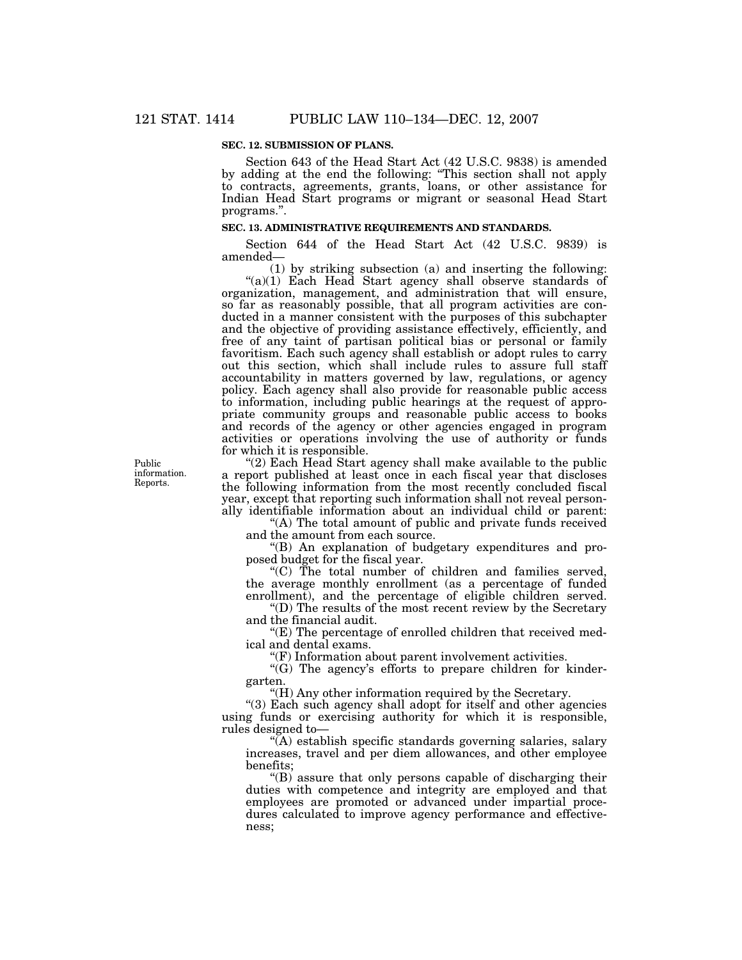# **SEC. 12. SUBMISSION OF PLANS.**

Section 643 of the Head Start Act (42 U.S.C. 9838) is amended by adding at the end the following: ''This section shall not apply to contracts, agreements, grants, loans, or other assistance for Indian Head Start programs or migrant or seasonal Head Start programs.''.

## **SEC. 13. ADMINISTRATIVE REQUIREMENTS AND STANDARDS.**

Section 644 of the Head Start Act (42 U.S.C. 9839) is amended—

(1) by striking subsection (a) and inserting the following: "(a)(1) Each Head Start agency shall observe standards of organization, management, and administration that will ensure, so far as reasonably possible, that all program activities are conducted in a manner consistent with the purposes of this subchapter and the objective of providing assistance effectively, efficiently, and free of any taint of partisan political bias or personal or family favoritism. Each such agency shall establish or adopt rules to carry out this section, which shall include rules to assure full staff accountability in matters governed by law, regulations, or agency policy. Each agency shall also provide for reasonable public access to information, including public hearings at the request of appropriate community groups and reasonable public access to books and records of the agency or other agencies engaged in program activities or operations involving the use of authority or funds for which it is responsible.

"(2) Each Head Start agency shall make available to the public a report published at least once in each fiscal year that discloses the following information from the most recently concluded fiscal year, except that reporting such information shall not reveal personally identifiable information about an individual child or parent:

"(A) The total amount of public and private funds received and the amount from each source.

''(B) An explanation of budgetary expenditures and proposed budget for the fiscal year.

"(C) The total number of children and families served, the average monthly enrollment (as a percentage of funded enrollment), and the percentage of eligible children served.

''(D) The results of the most recent review by the Secretary and the financial audit.

"(E) The percentage of enrolled children that received medical and dental exams.

"(F) Information about parent involvement activities.

 $'(G)$  The agency's efforts to prepare children for kindergarten.

''(H) Any other information required by the Secretary.

''(3) Each such agency shall adopt for itself and other agencies using funds or exercising authority for which it is responsible, rules designed to—

''(A) establish specific standards governing salaries, salary increases, travel and per diem allowances, and other employee benefits;

''(B) assure that only persons capable of discharging their duties with competence and integrity are employed and that employees are promoted or advanced under impartial procedures calculated to improve agency performance and effectiveness;

Public information. Reports.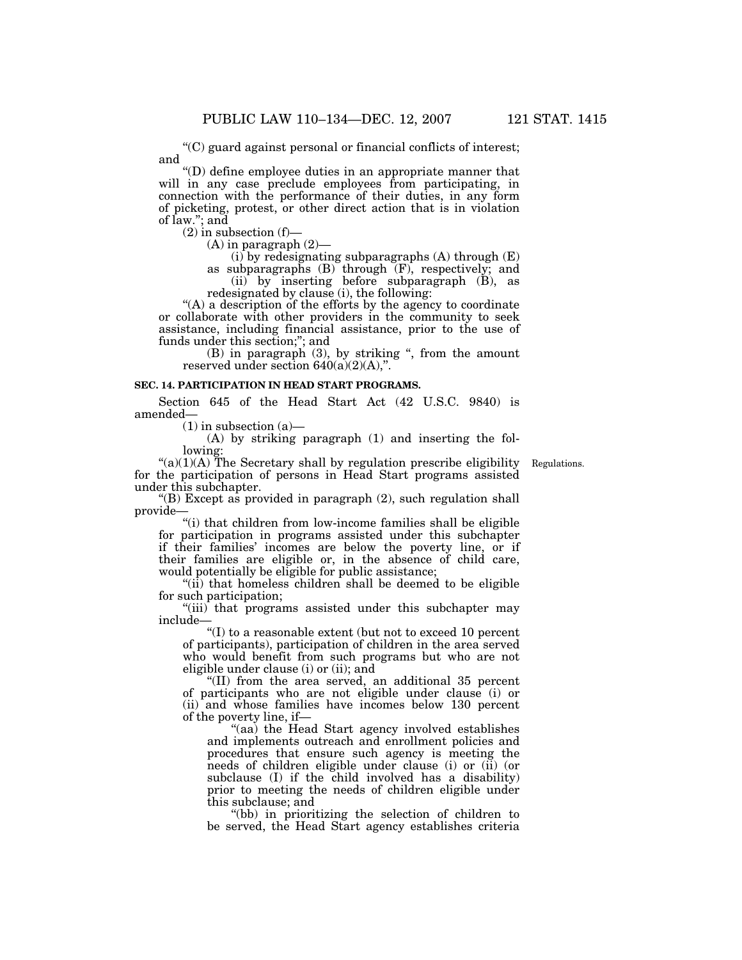''(C) guard against personal or financial conflicts of interest;

''(D) define employee duties in an appropriate manner that will in any case preclude employees from participating, in connection with the performance of their duties, in any form of picketing, protest, or other direct action that is in violation of law.''; and

 $(2)$  in subsection  $(f)$ —

and

 $(A)$  in paragraph  $(2)$ —

 $(i)$  by redesignating subparagraphs  $(A)$  through  $(E)$ 

as subparagraphs (B) through (F), respectively; and (ii) by inserting before subparagraph (B), as redesignated by clause (i), the following:

"(A) a description of the efforts by the agency to coordinate or collaborate with other providers in the community to seek assistance, including financial assistance, prior to the use of funds under this section;''; and

(B) in paragraph (3), by striking '', from the amount reserved under section  $640(a)(2)(A)$ ,".

# **SEC. 14. PARTICIPATION IN HEAD START PROGRAMS.**

Section 645 of the Head Start Act (42 U.S.C. 9840) is amended—

 $(1)$  in subsection  $(a)$ —

(A) by striking paragraph (1) and inserting the following:

 $\mathcal{L}(a)(1)(A)$  The Secretary shall by regulation prescribe eligibility for the participation of persons in Head Start programs assisted under this subchapter.

Regulations.

"(B) Except as provided in paragraph  $(2)$ , such regulation shall provide—

''(i) that children from low-income families shall be eligible for participation in programs assisted under this subchapter if their families' incomes are below the poverty line, or if their families are eligible or, in the absence of child care, would potentially be eligible for public assistance;

''(ii) that homeless children shall be deemed to be eligible for such participation;

"(iii) that programs assisted under this subchapter may include—

''(I) to a reasonable extent (but not to exceed 10 percent of participants), participation of children in the area served who would benefit from such programs but who are not eligible under clause (i) or (ii); and

''(II) from the area served, an additional 35 percent of participants who are not eligible under clause (i) or (ii) and whose families have incomes below 130 percent of the poverty line, if—

''(aa) the Head Start agency involved establishes and implements outreach and enrollment policies and procedures that ensure such agency is meeting the needs of children eligible under clause (i) or (ii) (or subclause (I) if the child involved has a disability) prior to meeting the needs of children eligible under this subclause; and

''(bb) in prioritizing the selection of children to be served, the Head Start agency establishes criteria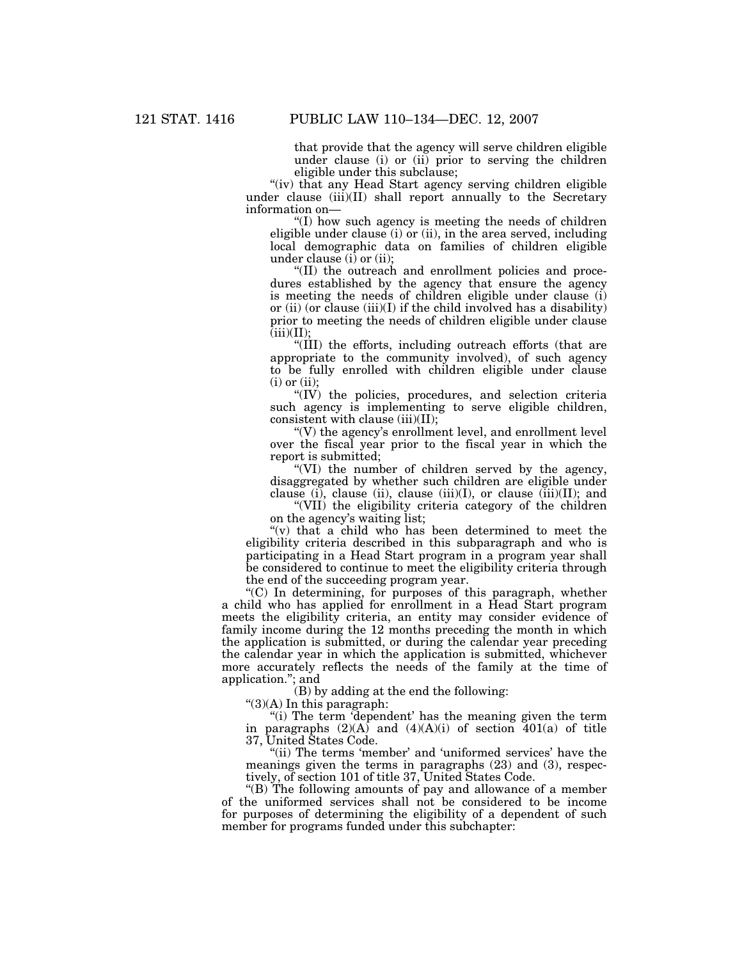that provide that the agency will serve children eligible under clause (i) or (ii) prior to serving the children eligible under this subclause;

"(iv) that any Head Start agency serving children eligible under clause  $(iii)(II)$  shall report annually to the Secretary information on—

''(I) how such agency is meeting the needs of children eligible under clause (i) or (ii), in the area served, including local demographic data on families of children eligible under clause  $(i)$  or  $(ii)$ ;

''(II) the outreach and enrollment policies and procedures established by the agency that ensure the agency is meeting the needs of children eligible under clause (i) or (ii) (or clause (iii)(I) if the child involved has a disability) prior to meeting the needs of children eligible under clause  $(iii)(II);$ 

''(III) the efforts, including outreach efforts (that are appropriate to the community involved), of such agency to be fully enrolled with children eligible under clause  $(i)$  or  $(ii)$ ;

"(IV) the policies, procedures, and selection criteria such agency is implementing to serve eligible children, consistent with clause (iii)(II);

 $\degree$ (V) the agency's enrollment level, and enrollment level over the fiscal year prior to the fiscal year in which the report is submitted;

''(VI) the number of children served by the agency, disaggregated by whether such children are eligible under clause (i), clause (ii), clause (iii)(I), or clause (iii)(II); and

''(VII) the eligibility criteria category of the children on the agency's waiting list;

''(v) that a child who has been determined to meet the eligibility criteria described in this subparagraph and who is participating in a Head Start program in a program year shall be considered to continue to meet the eligibility criteria through the end of the succeeding program year.

"(C) In determining, for purposes of this paragraph, whether a child who has applied for enrollment in a Head Start program meets the eligibility criteria, an entity may consider evidence of family income during the 12 months preceding the month in which the application is submitted, or during the calendar year preceding the calendar year in which the application is submitted, whichever more accurately reflects the needs of the family at the time of application.''; and

(B) by adding at the end the following:

 $\degree$ (3)(A) In this paragraph:

"(i) The term 'dependent' has the meaning given the term paragraphs  $(2)(A)$  and  $(4)(A)(i)$  of section  $401(a)$  of title 37, United States Code.

"(ii) The terms 'member' and 'uniformed services' have the meanings given the terms in paragraphs (23) and (3), respectively, of section 101 of title 37, United States Code.

''(B) The following amounts of pay and allowance of a member of the uniformed services shall not be considered to be income for purposes of determining the eligibility of a dependent of such member for programs funded under this subchapter: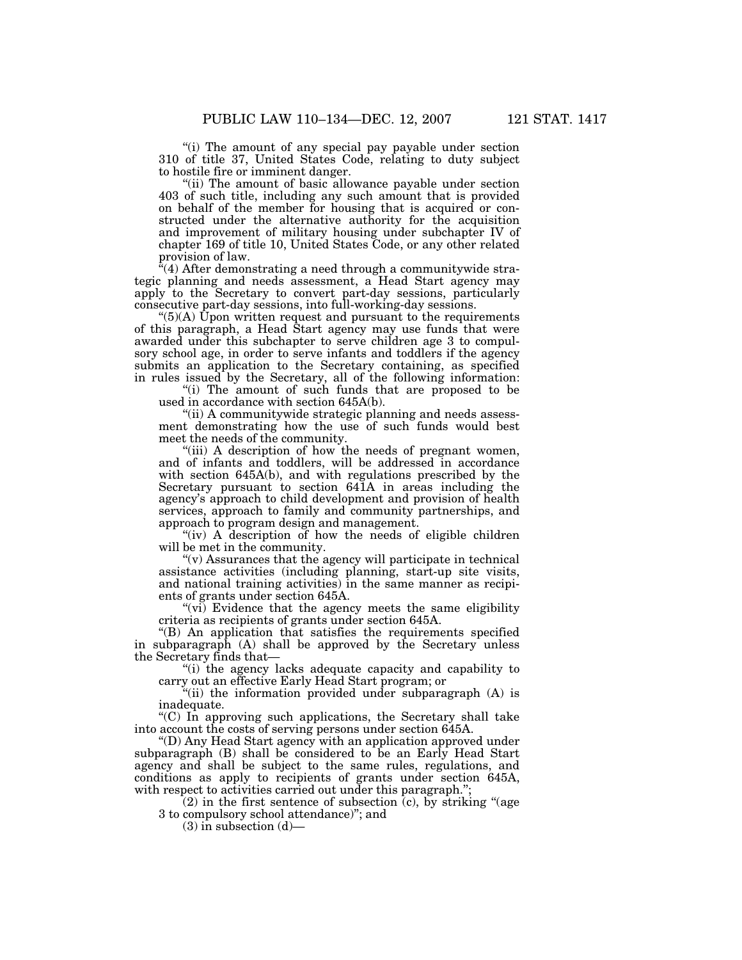"(i) The amount of any special pay payable under section 310 of title 37, United States Code, relating to duty subject to hostile fire or imminent danger.

''(ii) The amount of basic allowance payable under section 403 of such title, including any such amount that is provided on behalf of the member for housing that is acquired or constructed under the alternative authority for the acquisition and improvement of military housing under subchapter IV of chapter 169 of title 10, United States Code, or any other related provision of law.

 $(4)$  After demonstrating a need through a communitywide strategic planning and needs assessment, a Head Start agency may apply to the Secretary to convert part-day sessions, particularly consecutive part-day sessions, into full-working-day sessions.

 $^{(6)}$ (A) Upon written request and pursuant to the requirements of this paragraph, a Head Start agency may use funds that were awarded under this subchapter to serve children age 3 to compulsory school age, in order to serve infants and toddlers if the agency submits an application to the Secretary containing, as specified in rules issued by the Secretary, all of the following information:

"(i) The amount of such funds that are proposed to be used in accordance with section 645A(b).

"(ii) A communitywide strategic planning and needs assessment demonstrating how the use of such funds would best meet the needs of the community.

"(iii) A description of how the needs of pregnant women, and of infants and toddlers, will be addressed in accordance with section 645A(b), and with regulations prescribed by the Secretary pursuant to section 641A in areas including the agency's approach to child development and provision of health services, approach to family and community partnerships, and approach to program design and management.

"(iv) A description of how the needs of eligible children will be met in the community.

 $\mathcal{L}(v)$  Assurances that the agency will participate in technical assistance activities (including planning, start-up site visits, and national training activities) in the same manner as recipients of grants under section 645A.

 $(v_i)$  Evidence that the agency meets the same eligibility criteria as recipients of grants under section 645A.

''(B) An application that satisfies the requirements specified in subparagraph (A) shall be approved by the Secretary unless the Secretary finds that—

''(i) the agency lacks adequate capacity and capability to carry out an effective Early Head Start program; or

''(ii) the information provided under subparagraph (A) is inadequate.

''(C) In approving such applications, the Secretary shall take into account the costs of serving persons under section 645A.

''(D) Any Head Start agency with an application approved under subparagraph (B) shall be considered to be an Early Head Start agency and shall be subject to the same rules, regulations, and conditions as apply to recipients of grants under section 645A, with respect to activities carried out under this paragraph.";

 $(2)$  in the first sentence of subsection  $(c)$ , by striking "(age 3 to compulsory school attendance)''; and

 $(3)$  in subsection  $(d)$ —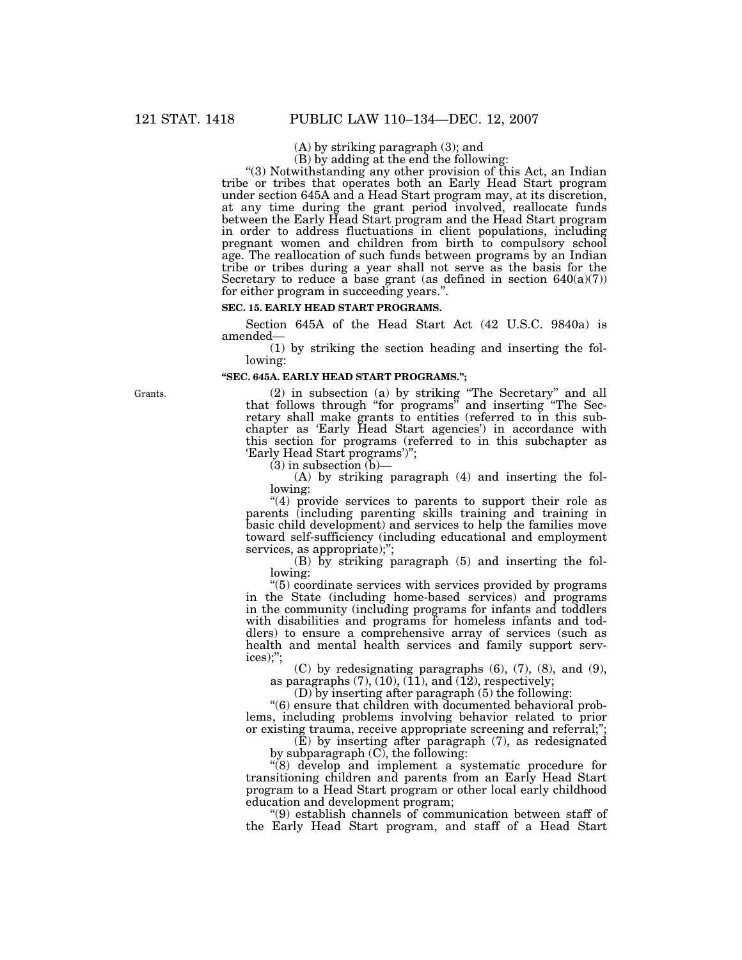(A) by striking paragraph (3); and

(B) by adding at the end the following:

''(3) Notwithstanding any other provision of this Act, an Indian tribe or tribes that operates both an Early Head Start program under section 645A and a Head Start program may, at its discretion, at any time during the grant period involved, reallocate funds between the Early Head Start program and the Head Start program in order to address fluctuations in client populations, including pregnant women and children from birth to compulsory school age. The reallocation of such funds between programs by an Indian tribe or tribes during a year shall not serve as the basis for the Secretary to reduce a base grant (as defined in section  $640(a)(7)$ ) for either program in succeeding years.''.

# **SEC. 15. EARLY HEAD START PROGRAMS.**

Section 645A of the Head Start Act (42 U.S.C. 9840a) is amended—

(1) by striking the section heading and inserting the following:

#### **''SEC. 645A. EARLY HEAD START PROGRAMS.'';**

Grants. (2) in subsection (a) by striking "The Secretary" and all that follows through ''for programs'' and inserting ''The Secretary shall make grants to entities (referred to in this subchapter as 'Early Head Start agencies') in accordance with this section for programs (referred to in this subchapter as 'Early Head Start programs')'';

 $(3)$  in subsection  $(b)$ —

(A) by striking paragraph (4) and inserting the following:

" $(4)$  provide services to parents to support their role as parents (including parenting skills training and training in basic child development) and services to help the families move toward self-sufficiency (including educational and employment services, as appropriate);";

(B) by striking paragraph (5) and inserting the following:

''(5) coordinate services with services provided by programs in the State (including home-based services) and programs in the community (including programs for infants and toddlers with disabilities and programs for homeless infants and toddlers) to ensure a comprehensive array of services (such as health and mental health services and family support services);'';

(C) by redesignating paragraphs (6), (7), (8), and (9), as paragraphs  $(7)$ ,  $(10)$ ,  $(11)$ , and  $(12)$ , respectively;

(D) by inserting after paragraph (5) the following:

''(6) ensure that children with documented behavioral problems, including problems involving behavior related to prior or existing trauma, receive appropriate screening and referral;

(E) by inserting after paragraph (7), as redesignated by subparagraph (C), the following:

''(8) develop and implement a systematic procedure for transitioning children and parents from an Early Head Start program to a Head Start program or other local early childhood education and development program;

''(9) establish channels of communication between staff of the Early Head Start program, and staff of a Head Start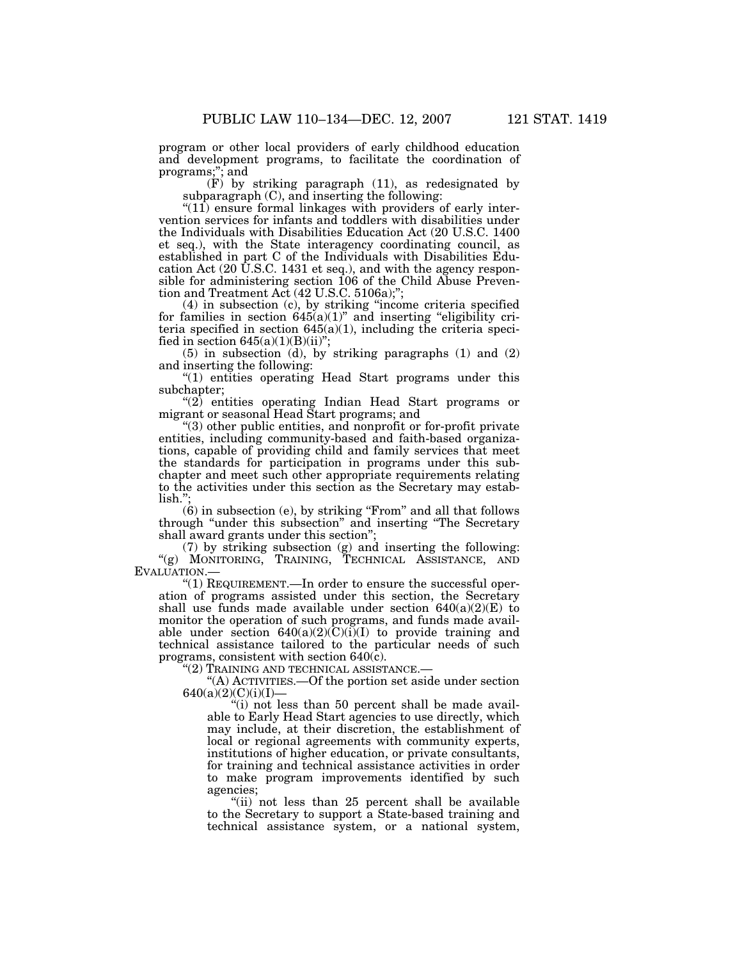program or other local providers of early childhood education and development programs, to facilitate the coordination of programs;''; and

(F) by striking paragraph (11), as redesignated by subparagraph (C), and inserting the following:

" $(11)$  ensure formal linkages with providers of early intervention services for infants and toddlers with disabilities under the Individuals with Disabilities Education Act (20 U.S.C. 1400 et seq.), with the State interagency coordinating council, as established in part C of the Individuals with Disabilities Education Act (20 U.S.C. 1431 et seq.), and with the agency responsible for administering section 106 of the Child Abuse Prevention and Treatment Act (42 U.S.C. 5106a);'';

(4) in subsection (c), by striking ''income criteria specified for families in section  $645(a)(1)$ " and inserting "eligibility criteria specified in section  $645(a)(1)$ , including the criteria specified in section  $645(a)(1)(B)(ii)$ ";

(5) in subsection (d), by striking paragraphs (1) and (2) and inserting the following:

"(1) entities operating Head Start programs under this subchapter;

''(2) entities operating Indian Head Start programs or migrant or seasonal Head Start programs; and

''(3) other public entities, and nonprofit or for-profit private entities, including community-based and faith-based organizations, capable of providing child and family services that meet the standards for participation in programs under this subchapter and meet such other appropriate requirements relating to the activities under this section as the Secretary may estab- $\overline{\text{lish}}$ ."

(6) in subsection (e), by striking ''From'' and all that follows through ''under this subsection'' and inserting ''The Secretary shall award grants under this section'';

(7) by striking subsection (g) and inserting the following: ''(g) MONITORING, TRAINING, TECHNICAL ASSISTANCE, AND EVALUATION.—

''(1) REQUIREMENT.—In order to ensure the successful operation of programs assisted under this section, the Secretary shall use funds made available under section  $640(a)(2)(E)$  to monitor the operation of such programs, and funds made available under section  $640(a)(2)(C)(i)(I)$  to provide training and technical assistance tailored to the particular needs of such programs, consistent with section  $640(\hat{c})$ .

''(2) TRAINING AND TECHNICAL ASSISTANCE.—

''(A) ACTIVITIES.—Of the portion set aside under section  $640(a)(2)(C)(i)(I)$ 

"(i) not less than 50 percent shall be made available to Early Head Start agencies to use directly, which may include, at their discretion, the establishment of local or regional agreements with community experts, institutions of higher education, or private consultants, for training and technical assistance activities in order to make program improvements identified by such agencies;

''(ii) not less than 25 percent shall be available to the Secretary to support a State-based training and technical assistance system, or a national system,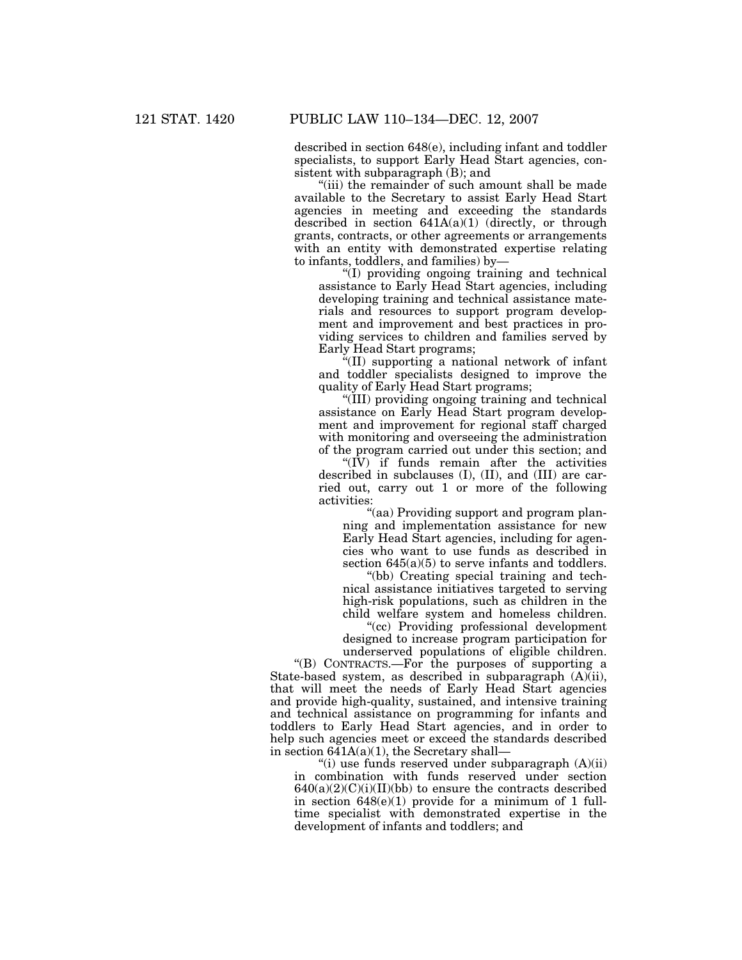described in section 648(e), including infant and toddler specialists, to support Early Head Start agencies, consistent with subparagraph (B); and

''(iii) the remainder of such amount shall be made available to the Secretary to assist Early Head Start agencies in meeting and exceeding the standards described in section 641A(a)(1) (directly, or through grants, contracts, or other agreements or arrangements with an entity with demonstrated expertise relating to infants, toddlers, and families) by—

''(I) providing ongoing training and technical assistance to Early Head Start agencies, including developing training and technical assistance materials and resources to support program development and improvement and best practices in providing services to children and families served by Early Head Start programs;

''(II) supporting a national network of infant and toddler specialists designed to improve the quality of Early Head Start programs;

''(III) providing ongoing training and technical assistance on Early Head Start program development and improvement for regional staff charged with monitoring and overseeing the administration of the program carried out under this section; and

" $(\overline{IV})$  if funds remain after the activities described in subclauses (I), (II), and (III) are carried out, carry out 1 or more of the following activities:

''(aa) Providing support and program planning and implementation assistance for new Early Head Start agencies, including for agencies who want to use funds as described in section  $645(a)(5)$  to serve infants and toddlers.

''(bb) Creating special training and technical assistance initiatives targeted to serving high-risk populations, such as children in the child welfare system and homeless children.

''(cc) Providing professional development designed to increase program participation for underserved populations of eligible children.

''(B) CONTRACTS.—For the purposes of supporting a State-based system, as described in subparagraph  $(A)$ (ii), that will meet the needs of Early Head Start agencies and provide high-quality, sustained, and intensive training and technical assistance on programming for infants and toddlers to Early Head Start agencies, and in order to help such agencies meet or exceed the standards described in section  $641A(a)(1)$ , the Secretary shall-

"(i) use funds reserved under subparagraph  $(A)(ii)$ in combination with funds reserved under section  $640(a)(2)(C)(i)(II)(bb)$  to ensure the contracts described in section  $648(e)(1)$  provide for a minimum of 1 fulltime specialist with demonstrated expertise in the development of infants and toddlers; and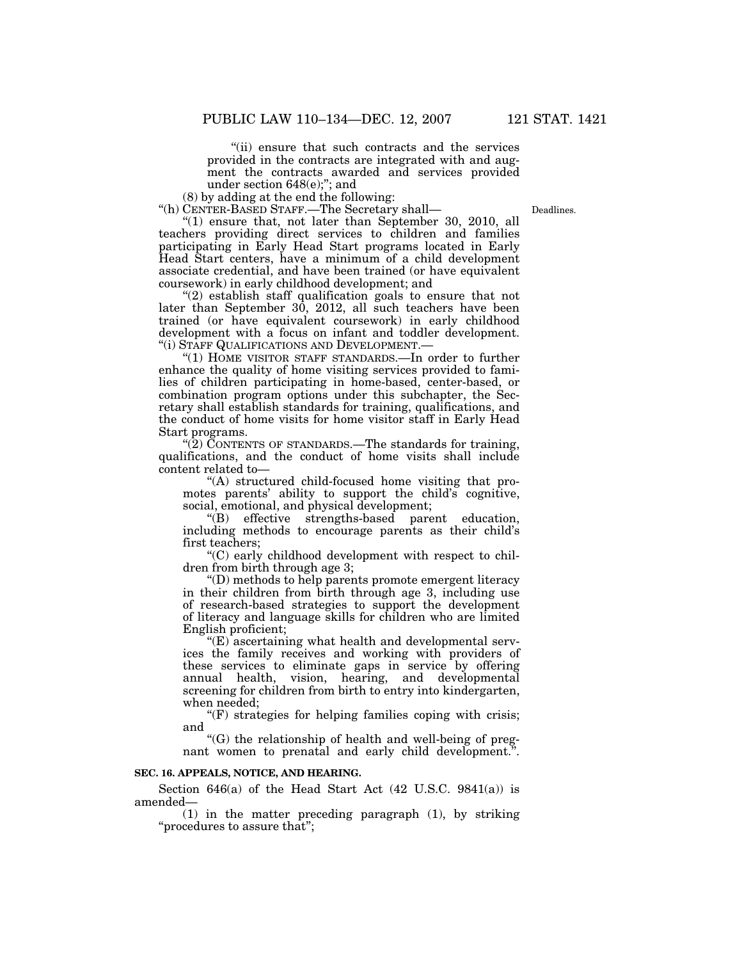''(ii) ensure that such contracts and the services provided in the contracts are integrated with and augment the contracts awarded and services provided under section 648(e);''; and

(8) by adding at the end the following:

''(h) CENTER-BASED STAFF.—The Secretary shall—

" $(1)$  ensure that, not later than September 30, 2010, all teachers providing direct services to children and families participating in Early Head Start programs located in Early Head Start centers, have a minimum of a child development associate credential, and have been trained (or have equivalent coursework) in early childhood development; and

"(2) establish staff qualification goals to ensure that not later than September  $30, 2012,$  all such teachers have been trained (or have equivalent coursework) in early childhood development with a focus on infant and toddler development. ''(i) STAFF QUALIFICATIONS AND DEVELOPMENT.—

"(1) HOME VISITOR STAFF STANDARDS.—In order to further enhance the quality of home visiting services provided to families of children participating in home-based, center-based, or combination program options under this subchapter, the Secretary shall establish standards for training, qualifications, and the conduct of home visits for home visitor staff in Early Head Start programs.

 $\sqrt{\left(2\right)}$  CONTENTS OF STANDARDS.—The standards for training, qualifications, and the conduct of home visits shall include content related to—

''(A) structured child-focused home visiting that promotes parents' ability to support the child's cognitive, social, emotional, and physical development;

''(B) effective strengths-based parent education, including methods to encourage parents as their child's first teachers;

''(C) early childhood development with respect to children from birth through age 3;

''(D) methods to help parents promote emergent literacy in their children from birth through age 3, including use of research-based strategies to support the development of literacy and language skills for children who are limited English proficient;

 $E(\mathbf{E})$  ascertaining what health and developmental services the family receives and working with providers of these services to eliminate gaps in service by offering annual health, vision, hearing, and developmental screening for children from birth to entry into kindergarten, when needed;

 $(F)$  strategies for helping families coping with crisis; and

''(G) the relationship of health and well-being of pregnant women to prenatal and early child development."

# **SEC. 16. APPEALS, NOTICE, AND HEARING.**

Section 646(a) of the Head Start Act  $(42 \text{ U.S.C. } 9841(a))$  is amended—

(1) in the matter preceding paragraph (1), by striking ''procedures to assure that'';

Deadlines.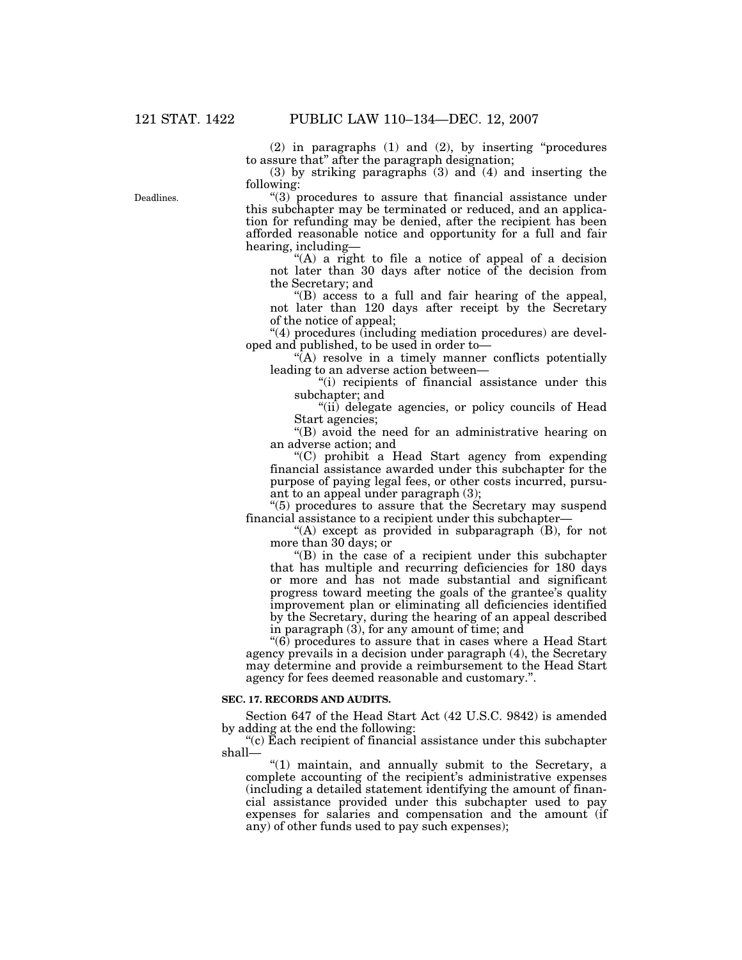(2) in paragraphs (1) and (2), by inserting ''procedures to assure that'' after the paragraph designation;

(3) by striking paragraphs (3) and (4) and inserting the following:

''(3) procedures to assure that financial assistance under this subchapter may be terminated or reduced, and an application for refunding may be denied, after the recipient has been afforded reasonable notice and opportunity for a full and fair hearing, including—

"(A) a right to file a notice of appeal of a decision not later than 30 days after notice of the decision from the Secretary; and

''(B) access to a full and fair hearing of the appeal, not later than 120 days after receipt by the Secretary of the notice of appeal;

"(4) procedures (including mediation procedures) are developed and published, to be used in order to—

 $\sqrt{\hat{A}}$  resolve in a timely manner conflicts potentially leading to an adverse action between—

"(i) recipients of financial assistance under this subchapter; and

"(ii) delegate agencies, or policy councils of Head Start agencies;

"(B) avoid the need for an administrative hearing on an adverse action; and

''(C) prohibit a Head Start agency from expending financial assistance awarded under this subchapter for the purpose of paying legal fees, or other costs incurred, pursuant to an appeal under paragraph (3);

''(5) procedures to assure that the Secretary may suspend financial assistance to a recipient under this subchapter—

"(A) except as provided in subparagraph  $(B)$ , for not more than 30 days; or

''(B) in the case of a recipient under this subchapter that has multiple and recurring deficiencies for 180 days or more and has not made substantial and significant progress toward meeting the goals of the grantee's quality improvement plan or eliminating all deficiencies identified by the Secretary, during the hearing of an appeal described in paragraph (3), for any amount of time; and

''(6) procedures to assure that in cases where a Head Start agency prevails in a decision under paragraph (4), the Secretary may determine and provide a reimbursement to the Head Start agency for fees deemed reasonable and customary.''.

#### **SEC. 17. RECORDS AND AUDITS.**

Section 647 of the Head Start Act (42 U.S.C. 9842) is amended by adding at the end the following:

 $C$ <sup>''</sup>(c) Each recipient of financial assistance under this subchapter shall—

"(1) maintain, and annually submit to the Secretary, a complete accounting of the recipient's administrative expenses (including a detailed statement identifying the amount of financial assistance provided under this subchapter used to pay expenses for salaries and compensation and the amount (if any) of other funds used to pay such expenses);

Deadlines.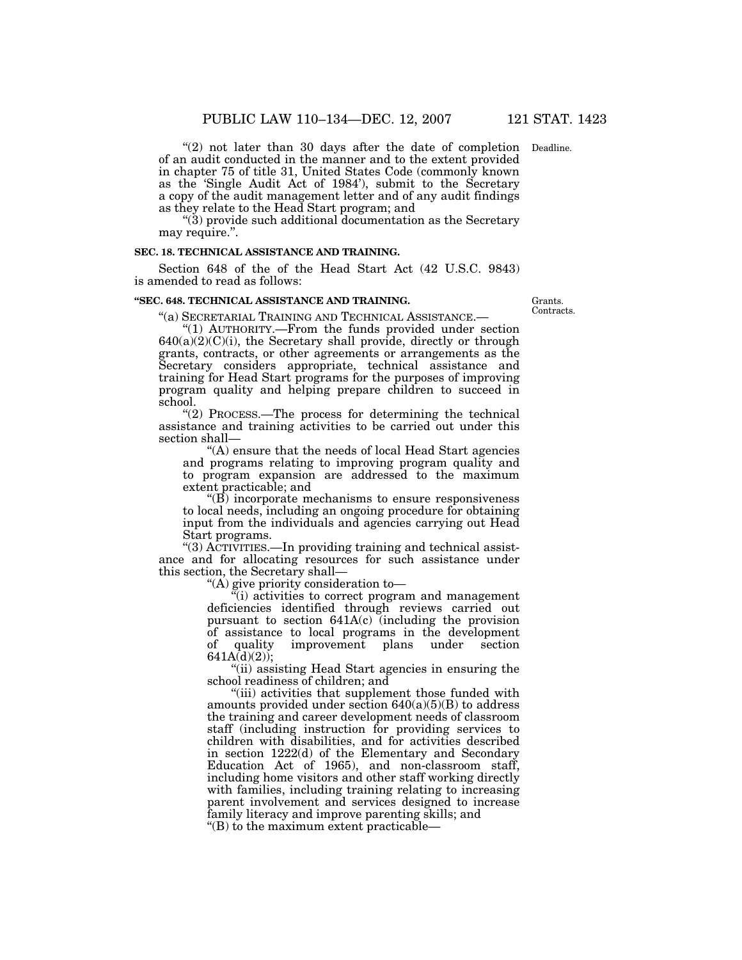"(2) not later than 30 days after the date of completion Deadline. of an audit conducted in the manner and to the extent provided in chapter 75 of title 31, United States Code (commonly known as the 'Single Audit Act of 1984'), submit to the Secretary a copy of the audit management letter and of any audit findings as they relate to the Head Start program; and

''(3) provide such additional documentation as the Secretary may require.".

#### **SEC. 18. TECHNICAL ASSISTANCE AND TRAINING.**

Section 648 of the of the Head Start Act (42 U.S.C. 9843) is amended to read as follows:

# **''SEC. 648. TECHNICAL ASSISTANCE AND TRAINING.**

Grants. Contracts.

''(a) SECRETARIAL TRAINING AND TECHNICAL ASSISTANCE.— ''(1) AUTHORITY.—From the funds provided under section  $640(a)(2)(C)(i)$ , the Secretary shall provide, directly or through grants, contracts, or other agreements or arrangements as the Secretary considers appropriate, technical assistance and training for Head Start programs for the purposes of improving program quality and helping prepare children to succeed in school.

"(2) PROCESS.—The process for determining the technical assistance and training activities to be carried out under this section shall—

''(A) ensure that the needs of local Head Start agencies and programs relating to improving program quality and to program expansion are addressed to the maximum extent practicable; and

 $\mathrm{``(B)}$  incorporate mechanisms to ensure responsiveness to local needs, including an ongoing procedure for obtaining input from the individuals and agencies carrying out Head Start programs.

"(3) ACTIVITIES.—In providing training and technical assistance and for allocating resources for such assistance under this section, the Secretary shall—

''(A) give priority consideration to—

 $\tilde{f}(i)$  activities to correct program and management deficiencies identified through reviews carried out pursuant to section 641A(c) (including the provision of assistance to local programs in the development of quality improvement plans under section  $641A(d)(2)$ ;

''(ii) assisting Head Start agencies in ensuring the school readiness of children; and

''(iii) activities that supplement those funded with amounts provided under section  $640(a)(5)(B)$  to address the training and career development needs of classroom staff (including instruction for providing services to children with disabilities, and for activities described in section 1222(d) of the Elementary and Secondary Education Act of 1965), and non-classroom staff, including home visitors and other staff working directly with families, including training relating to increasing parent involvement and services designed to increase family literacy and improve parenting skills; and

''(B) to the maximum extent practicable—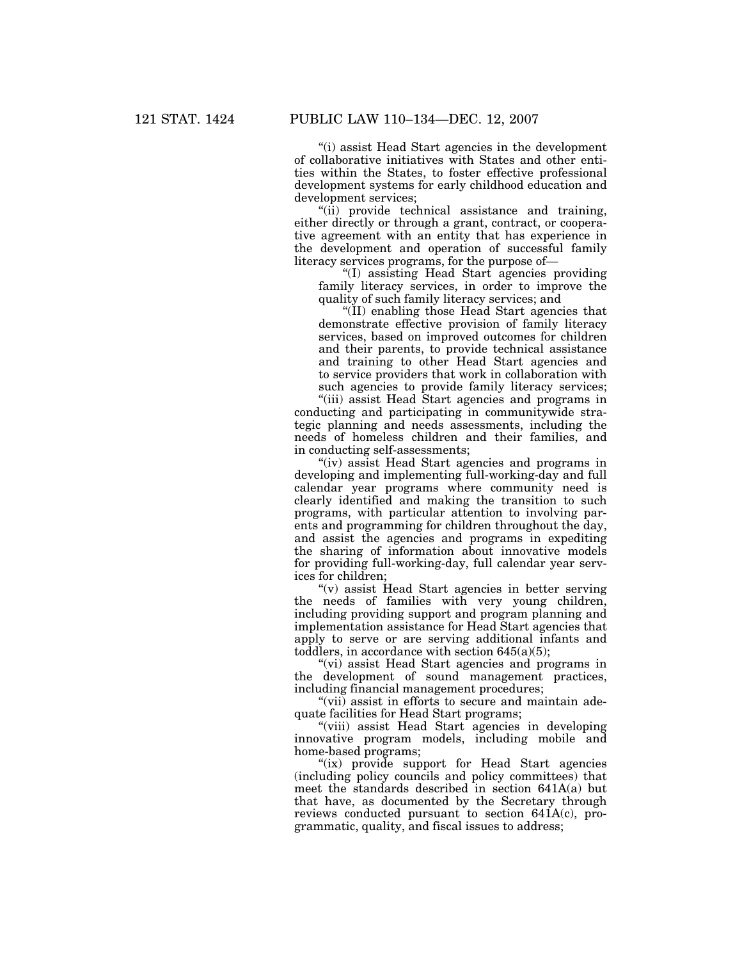''(i) assist Head Start agencies in the development of collaborative initiatives with States and other entities within the States, to foster effective professional development systems for early childhood education and development services;

''(ii) provide technical assistance and training, either directly or through a grant, contract, or cooperative agreement with an entity that has experience in the development and operation of successful family literacy services programs, for the purpose of—

''(I) assisting Head Start agencies providing family literacy services, in order to improve the quality of such family literacy services; and

''(II) enabling those Head Start agencies that demonstrate effective provision of family literacy services, based on improved outcomes for children and their parents, to provide technical assistance and training to other Head Start agencies and to service providers that work in collaboration with such agencies to provide family literacy services;

''(iii) assist Head Start agencies and programs in conducting and participating in communitywide strategic planning and needs assessments, including the needs of homeless children and their families, and in conducting self-assessments;

"(iv) assist Head Start agencies and programs in developing and implementing full-working-day and full calendar year programs where community need is clearly identified and making the transition to such programs, with particular attention to involving parents and programming for children throughout the day, and assist the agencies and programs in expediting the sharing of information about innovative models for providing full-working-day, full calendar year services for children;

''(v) assist Head Start agencies in better serving the needs of families with very young children, including providing support and program planning and implementation assistance for Head Start agencies that apply to serve or are serving additional infants and toddlers, in accordance with section  $645(a)(5)$ ;

"(vi) assist Head Start agencies and programs in the development of sound management practices, including financial management procedures;

"(vii) assist in efforts to secure and maintain adequate facilities for Head Start programs;

''(viii) assist Head Start agencies in developing innovative program models, including mobile and home-based programs;

"(ix) provide support for Head Start agencies" (including policy councils and policy committees) that meet the standards described in section 641A(a) but that have, as documented by the Secretary through reviews conducted pursuant to section 641A(c), programmatic, quality, and fiscal issues to address;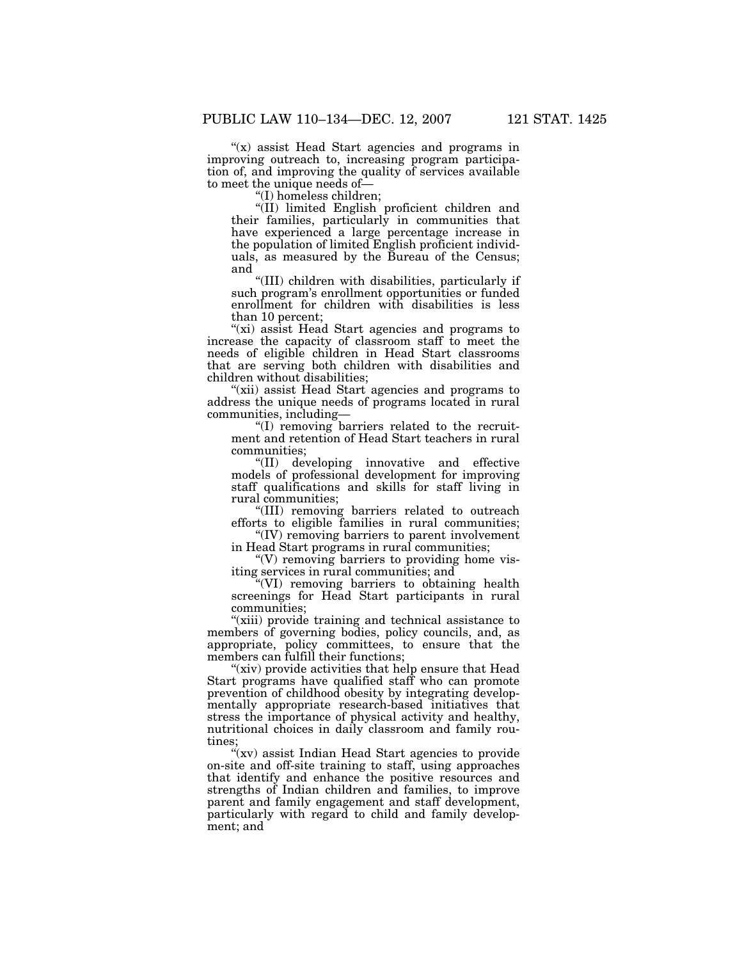" $(x)$  assist Head Start agencies and programs in improving outreach to, increasing program participation of, and improving the quality of services available to meet the unique needs of—

''(I) homeless children;

"(II) limited English proficient children and their families, particularly in communities that have experienced a large percentage increase in the population of limited English proficient individuals, as measured by the Bureau of the Census; and

''(III) children with disabilities, particularly if such program's enrollment opportunities or funded enrollment for children with disabilities is less than 10 percent;

"(xi) assist Head Start agencies and programs to increase the capacity of classroom staff to meet the needs of eligible children in Head Start classrooms that are serving both children with disabilities and children without disabilities;

"(xii) assist Head Start agencies and programs to address the unique needs of programs located in rural communities, including—

''(I) removing barriers related to the recruitment and retention of Head Start teachers in rural communities;

''(II) developing innovative and effective models of professional development for improving staff qualifications and skills for staff living in rural communities;

''(III) removing barriers related to outreach efforts to eligible families in rural communities;

''(IV) removing barriers to parent involvement in Head Start programs in rural communities;

 $\degree$ (V) removing barriers to providing home visiting services in rural communities; and

''(VI) removing barriers to obtaining health screenings for Head Start participants in rural communities;

"(xiii) provide training and technical assistance to members of governing bodies, policy councils, and, as appropriate, policy committees, to ensure that the members can fulfill their functions;

"(xiv) provide activities that help ensure that Head Start programs have qualified staff who can promote prevention of childhood obesity by integrating developmentally appropriate research-based initiatives that stress the importance of physical activity and healthy, nutritional choices in daily classroom and family routines;

"(xv) assist Indian Head Start agencies to provide on-site and off-site training to staff, using approaches that identify and enhance the positive resources and strengths of Indian children and families, to improve parent and family engagement and staff development, particularly with regard to child and family development; and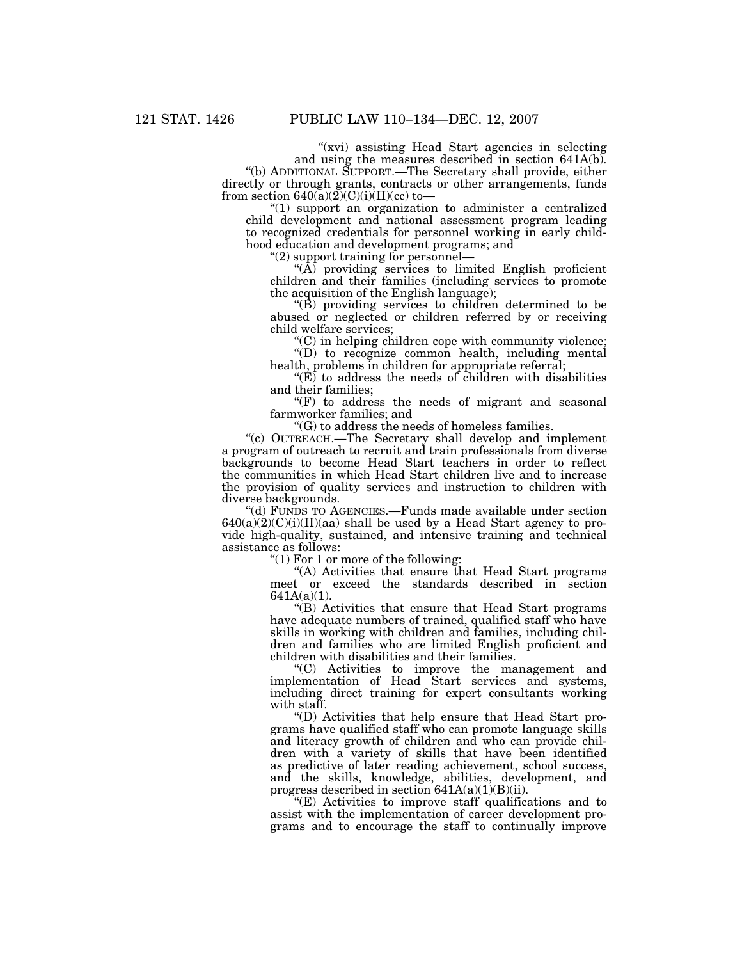"(xvi) assisting Head Start agencies in selecting and using the measures described in section 641A(b).

''(b) ADDITIONAL SUPPORT.—The Secretary shall provide, either directly or through grants, contracts or other arrangements, funds from section  $640(a)(2)(C)(i)(II)(cc)$  to-

 $''(1)$  support an organization to administer a centralized child development and national assessment program leading to recognized credentials for personnel working in early childhood education and development programs; and

''(2) support training for personnel—

''(A) providing services to limited English proficient children and their families (including services to promote the acquisition of the English language);

 $\mathcal{L}(\hat{B})$  providing services to children determined to be abused or neglected or children referred by or receiving child welfare services;

 $C$ ) in helping children cope with community violence; ''(D) to recognize common health, including mental

health, problems in children for appropriate referral;

 $E$  to address the needs of children with disabilities and their families;

 $f(F)$  to address the needs of migrant and seasonal farmworker families; and

''(G) to address the needs of homeless families.

''(c) OUTREACH.—The Secretary shall develop and implement a program of outreach to recruit and train professionals from diverse backgrounds to become Head Start teachers in order to reflect the communities in which Head Start children live and to increase the provision of quality services and instruction to children with diverse backgrounds.

''(d) FUNDS TO AGENCIES.—Funds made available under section  $640(a)(2)(C)(i)(II)(aa)$  shall be used by a Head Start agency to provide high-quality, sustained, and intensive training and technical assistance as follows:

" $(1)$  For 1 or more of the following:

"(A) Activities that ensure that Head Start programs meet or exceed the standards described in section 641A(a)(1).

''(B) Activities that ensure that Head Start programs have adequate numbers of trained, qualified staff who have skills in working with children and families, including children and families who are limited English proficient and children with disabilities and their families.

''(C) Activities to improve the management and implementation of Head Start services and systems, including direct training for expert consultants working with staff.

''(D) Activities that help ensure that Head Start programs have qualified staff who can promote language skills and literacy growth of children and who can provide children with a variety of skills that have been identified as predictive of later reading achievement, school success, and the skills, knowledge, abilities, development, and progress described in section  $641A(a)(1)(B)(ii)$ .

''(E) Activities to improve staff qualifications and to assist with the implementation of career development programs and to encourage the staff to continually improve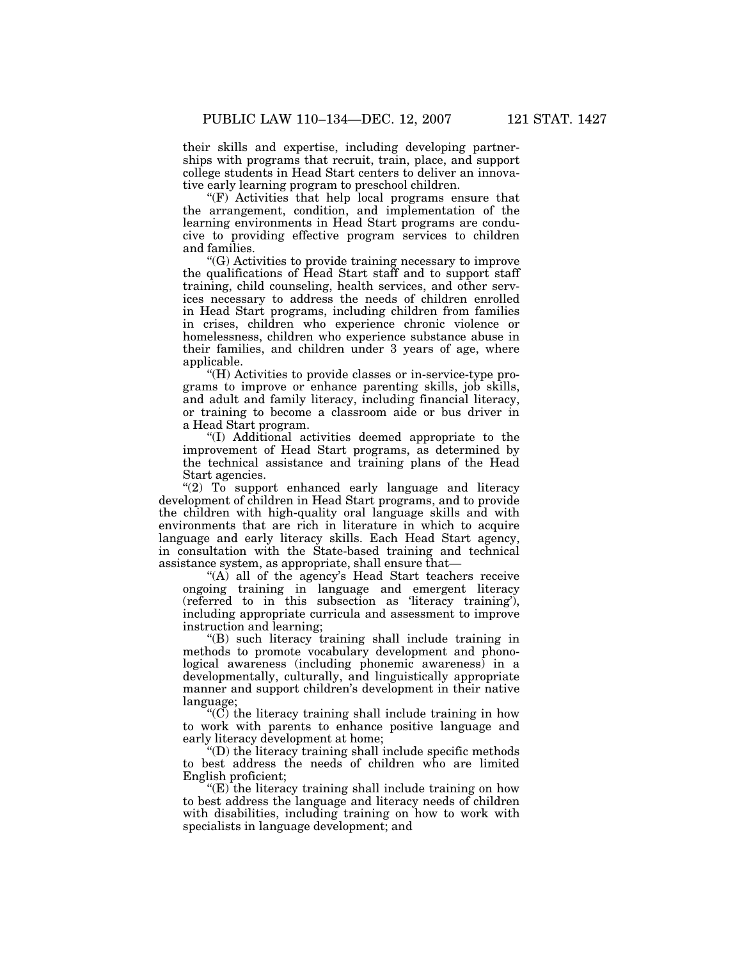their skills and expertise, including developing partnerships with programs that recruit, train, place, and support college students in Head Start centers to deliver an innovative early learning program to preschool children.

''(F) Activities that help local programs ensure that the arrangement, condition, and implementation of the learning environments in Head Start programs are conducive to providing effective program services to children and families.

''(G) Activities to provide training necessary to improve the qualifications of Head Start staff and to support staff training, child counseling, health services, and other services necessary to address the needs of children enrolled in Head Start programs, including children from families in crises, children who experience chronic violence or homelessness, children who experience substance abuse in their families, and children under 3 years of age, where applicable.

''(H) Activities to provide classes or in-service-type programs to improve or enhance parenting skills, job skills, and adult and family literacy, including financial literacy, or training to become a classroom aide or bus driver in a Head Start program.

''(I) Additional activities deemed appropriate to the improvement of Head Start programs, as determined by the technical assistance and training plans of the Head Start agencies.

"(2) To support enhanced early language and literacy development of children in Head Start programs, and to provide the children with high-quality oral language skills and with environments that are rich in literature in which to acquire language and early literacy skills. Each Head Start agency, in consultation with the State-based training and technical assistance system, as appropriate, shall ensure that—

" $(A)$  all of the agency's Head Start teachers receive ongoing training in language and emergent literacy (referred to in this subsection as 'literacy training'), including appropriate curricula and assessment to improve instruction and learning;

''(B) such literacy training shall include training in methods to promote vocabulary development and phonological awareness (including phonemic awareness) in a developmentally, culturally, and linguistically appropriate manner and support children's development in their native language;

''(C) the literacy training shall include training in how to work with parents to enhance positive language and early literacy development at home;

''(D) the literacy training shall include specific methods to best address the needs of children who are limited English proficient;

 $E(E)$  the literacy training shall include training on how to best address the language and literacy needs of children with disabilities, including training on how to work with specialists in language development; and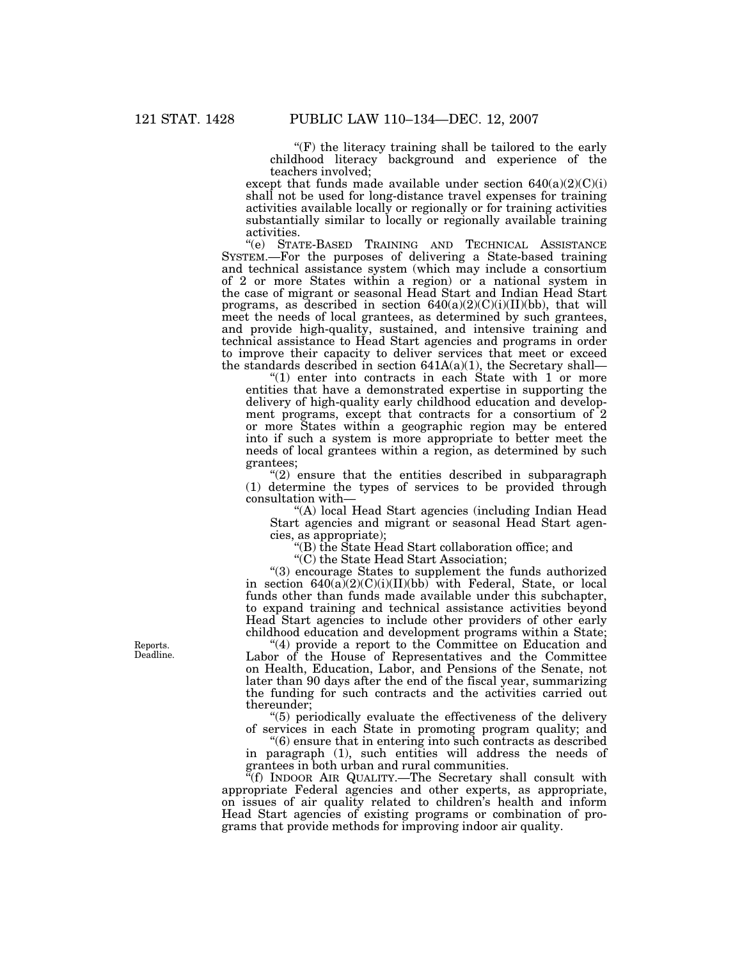$f(F)$  the literacy training shall be tailored to the early childhood literacy background and experience of the teachers involved;

except that funds made available under section  $640(a)(2)(C)(i)$ shall not be used for long-distance travel expenses for training activities available locally or regionally or for training activities substantially similar to locally or regionally available training activities.

''(e) STATE-BASED TRAINING AND TECHNICAL ASSISTANCE SYSTEM.—For the purposes of delivering a State-based training and technical assistance system (which may include a consortium of 2 or more States within a region) or a national system in the case of migrant or seasonal Head Start and Indian Head Start programs, as described in section  $640(a)(2)(C)(i)(II)(bb)$ , that will meet the needs of local grantees, as determined by such grantees, and provide high-quality, sustained, and intensive training and technical assistance to Head Start agencies and programs in order to improve their capacity to deliver services that meet or exceed the standards described in section  $641A(a)(1)$ , the Secretary shall—

" $(1)$  enter into contracts in each State with 1 or more entities that have a demonstrated expertise in supporting the delivery of high-quality early childhood education and development programs, except that contracts for a consortium of 2 or more States within a geographic region may be entered into if such a system is more appropriate to better meet the needs of local grantees within a region, as determined by such grantees;

 $(2)$  ensure that the entities described in subparagraph (1) determine the types of services to be provided through consultation with—

''(A) local Head Start agencies (including Indian Head Start agencies and migrant or seasonal Head Start agencies, as appropriate);

''(B) the State Head Start collaboration office; and

''(C) the State Head Start Association;

''(3) encourage States to supplement the funds authorized in section  $640(a)(2)(C)(i)(II)(bb)$  with Federal, State, or local funds other than funds made available under this subchapter, to expand training and technical assistance activities beyond Head Start agencies to include other providers of other early childhood education and development programs within a State;

"(4) provide a report to the Committee on Education and Labor of the House of Representatives and the Committee on Health, Education, Labor, and Pensions of the Senate, not later than 90 days after the end of the fiscal year, summarizing the funding for such contracts and the activities carried out thereunder;

''(5) periodically evaluate the effectiveness of the delivery of services in each State in promoting program quality; and

''(6) ensure that in entering into such contracts as described in paragraph (1), such entities will address the needs of grantees in both urban and rural communities.

''(f) INDOOR AIR QUALITY.—The Secretary shall consult with appropriate Federal agencies and other experts, as appropriate, on issues of air quality related to children's health and inform Head Start agencies of existing programs or combination of programs that provide methods for improving indoor air quality.

Reports. Deadline.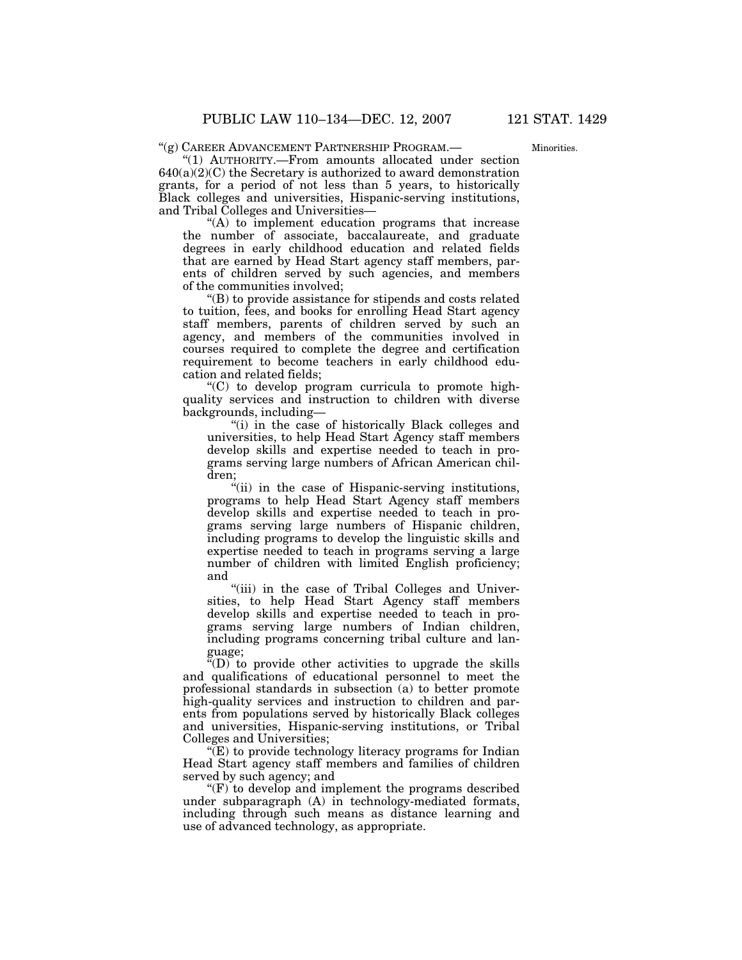''(g) CAREER ADVANCEMENT PARTNERSHIP PROGRAM.—

Minorities.

''(1) AUTHORITY.—From amounts allocated under section  $640(a)(2)(C)$  the Secretary is authorized to award demonstration grants, for a period of not less than 5 years, to historically Black colleges and universities, Hispanic-serving institutions, and Tribal Colleges and Universities—

''(A) to implement education programs that increase the number of associate, baccalaureate, and graduate degrees in early childhood education and related fields that are earned by Head Start agency staff members, parents of children served by such agencies, and members of the communities involved;

''(B) to provide assistance for stipends and costs related to tuition, fees, and books for enrolling Head Start agency staff members, parents of children served by such an agency, and members of the communities involved in courses required to complete the degree and certification requirement to become teachers in early childhood education and related fields;

 $(C)$  to develop program curricula to promote highquality services and instruction to children with diverse backgrounds, including—

"(i) in the case of historically Black colleges and universities, to help Head Start Agency staff members develop skills and expertise needed to teach in programs serving large numbers of African American children;

''(ii) in the case of Hispanic-serving institutions, programs to help Head Start Agency staff members develop skills and expertise needed to teach in programs serving large numbers of Hispanic children, including programs to develop the linguistic skills and expertise needed to teach in programs serving a large number of children with limited English proficiency; and

"(iii) in the case of Tribal Colleges and Universities, to help Head Start Agency staff members develop skills and expertise needed to teach in programs serving large numbers of Indian children, including programs concerning tribal culture and language;

 $\sqrt[\alpha]{(D)}$  to provide other activities to upgrade the skills and qualifications of educational personnel to meet the professional standards in subsection (a) to better promote high-quality services and instruction to children and parents from populations served by historically Black colleges and universities, Hispanic-serving institutions, or Tribal Colleges and Universities;

 $E(E)$  to provide technology literacy programs for Indian Head Start agency staff members and families of children served by such agency; and

 $F(F)$  to develop and implement the programs described under subparagraph (A) in technology-mediated formats, including through such means as distance learning and use of advanced technology, as appropriate.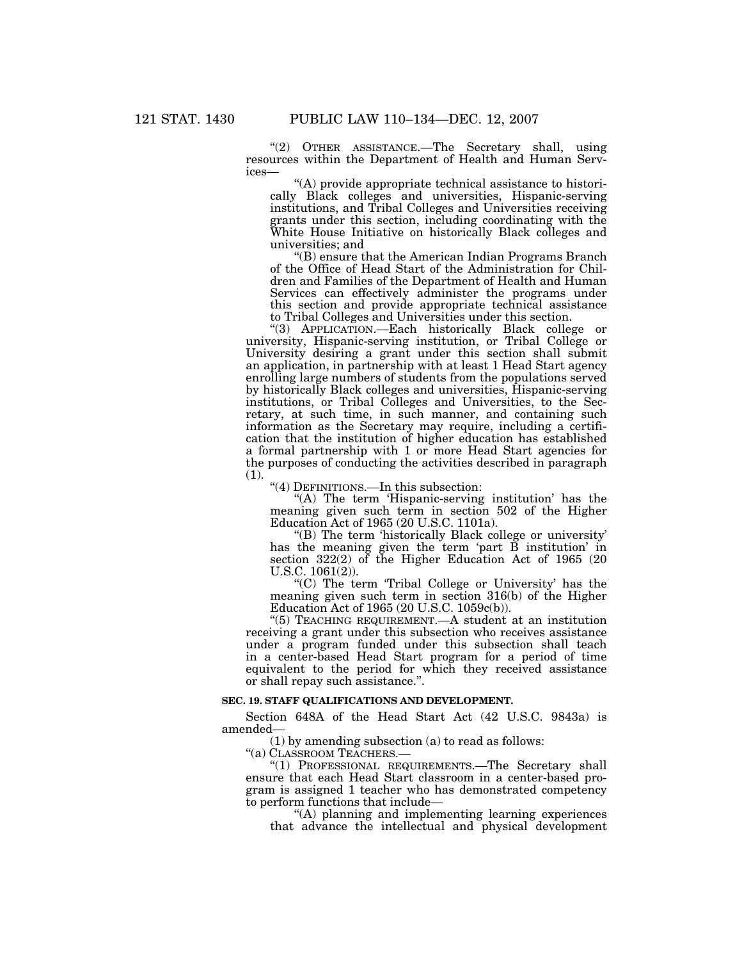''(2) OTHER ASSISTANCE.—The Secretary shall, using resources within the Department of Health and Human Services—

''(A) provide appropriate technical assistance to historically Black colleges and universities, Hispanic-serving institutions, and Tribal Colleges and Universities receiving grants under this section, including coordinating with the White House Initiative on historically Black colleges and universities; and

''(B) ensure that the American Indian Programs Branch of the Office of Head Start of the Administration for Children and Families of the Department of Health and Human Services can effectively administer the programs under this section and provide appropriate technical assistance to Tribal Colleges and Universities under this section.

''(3) APPLICATION.—Each historically Black college or university, Hispanic-serving institution, or Tribal College or University desiring a grant under this section shall submit an application, in partnership with at least 1 Head Start agency enrolling large numbers of students from the populations served by historically Black colleges and universities, Hispanic-serving institutions, or Tribal Colleges and Universities, to the Secretary, at such time, in such manner, and containing such information as the Secretary may require, including a certification that the institution of higher education has established a formal partnership with 1 or more Head Start agencies for the purposes of conducting the activities described in paragraph (1).

''(4) DEFINITIONS.—In this subsection:

"(A) The term 'Hispanic-serving institution' has the meaning given such term in section 502 of the Higher Education Act of 1965 (20 U.S.C. 1101a).

''(B) The term 'historically Black college or university' has the meaning given the term 'part B institution' in section 322(2) of the Higher Education Act of 1965 (20 U.S.C. 1061(2)).

"(C) The term 'Tribal College or University' has the meaning given such term in section 316(b) of the Higher Education Act of 1965 (20 U.S.C. 1059c(b)).

''(5) TEACHING REQUIREMENT.—A student at an institution receiving a grant under this subsection who receives assistance under a program funded under this subsection shall teach in a center-based Head Start program for a period of time equivalent to the period for which they received assistance or shall repay such assistance.''.

# **SEC. 19. STAFF QUALIFICATIONS AND DEVELOPMENT.**

Section 648A of the Head Start Act (42 U.S.C. 9843a) is amended—

(1) by amending subsection (a) to read as follows:

''(a) CLASSROOM TEACHERS.—

"(1) PROFESSIONAL REQUIREMENTS.-The Secretary shall ensure that each Head Start classroom in a center-based program is assigned 1 teacher who has demonstrated competency to perform functions that include—

''(A) planning and implementing learning experiences that advance the intellectual and physical development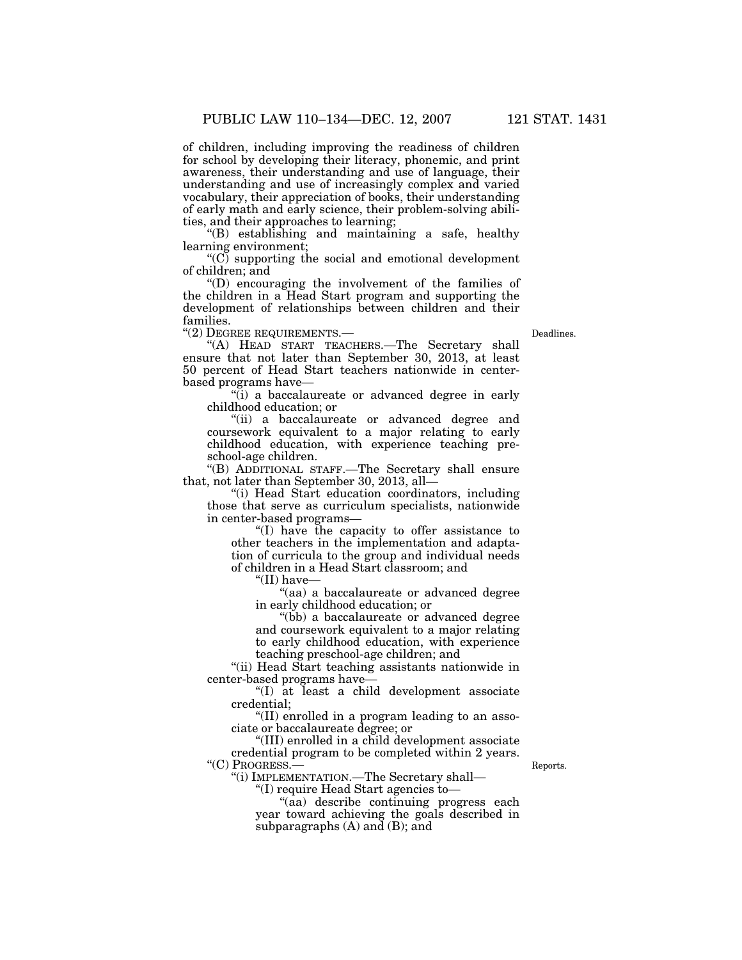of children, including improving the readiness of children for school by developing their literacy, phonemic, and print awareness, their understanding and use of language, their understanding and use of increasingly complex and varied vocabulary, their appreciation of books, their understanding of early math and early science, their problem-solving abilities, and their approaches to learning;

''(B) establishing and maintaining a safe, healthy learning environment;

 $(C)$  supporting the social and emotional development of children; and

''(D) encouraging the involvement of the families of the children in a Head Start program and supporting the development of relationships between children and their families.

"(2) DEGREE REQUIREMENTS.— Deadlines.

"(A) HEAD START TEACHERS.-The Secretary shall ensure that not later than September 30, 2013, at least 50 percent of Head Start teachers nationwide in centerbased programs have—

''(i) a baccalaureate or advanced degree in early childhood education; or

''(ii) a baccalaureate or advanced degree and coursework equivalent to a major relating to early childhood education, with experience teaching preschool-age children.

''(B) ADDITIONAL STAFF.—The Secretary shall ensure that, not later than September 30, 2013, all—

''(i) Head Start education coordinators, including those that serve as curriculum specialists, nationwide in center-based programs—

''(I) have the capacity to offer assistance to other teachers in the implementation and adaptation of curricula to the group and individual needs of children in a Head Start classroom; and

''(II) have—

''(aa) a baccalaureate or advanced degree in early childhood education; or

''(bb) a baccalaureate or advanced degree and coursework equivalent to a major relating to early childhood education, with experience teaching preschool-age children; and

"(ii) Head Start teaching assistants nationwide in center-based programs have—

''(I) at least a child development associate credential;

''(II) enrolled in a program leading to an associate or baccalaureate degree; or

''(III) enrolled in a child development associate credential program to be completed within 2 years. "(C) PROGRESS.— Reports.

''(i) IMPLEMENTATION.—The Secretary shall—

''(I) require Head Start agencies to—

''(aa) describe continuing progress each year toward achieving the goals described in subparagraphs (A) and (B); and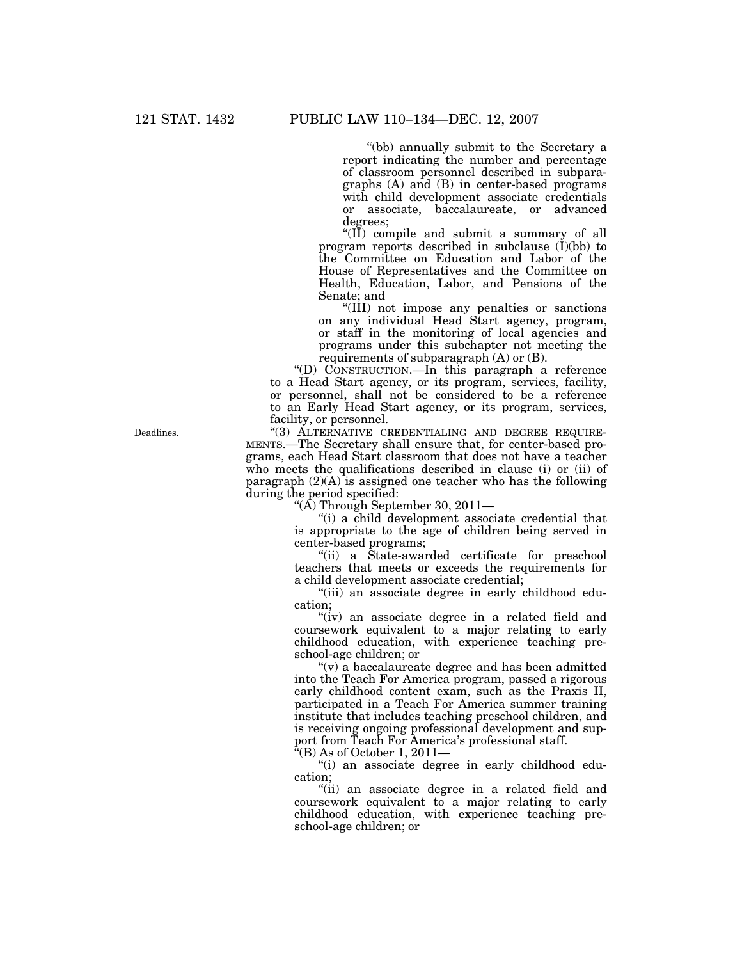''(bb) annually submit to the Secretary a report indicating the number and percentage of classroom personnel described in subparagraphs (A) and (B) in center-based programs with child development associate credentials or associate, baccalaureate, or advanced degrees;

" $(\overrightarrow{II})$  compile and submit a summary of all program reports described in subclause  $(I)(bb)$  to the Committee on Education and Labor of the House of Representatives and the Committee on Health, Education, Labor, and Pensions of the Senate; and

''(III) not impose any penalties or sanctions on any individual Head Start agency, program, or staff in the monitoring of local agencies and programs under this subchapter not meeting the requirements of subparagraph (A) or (B).

''(D) CONSTRUCTION.—In this paragraph a reference to a Head Start agency, or its program, services, facility, or personnel, shall not be considered to be a reference to an Early Head Start agency, or its program, services, facility, or personnel.

''(3) ALTERNATIVE CREDENTIALING AND DEGREE REQUIRE-MENTS.—The Secretary shall ensure that, for center-based programs, each Head Start classroom that does not have a teacher who meets the qualifications described in clause (i) or (ii) of paragraph  $(2)(A)$  is assigned one teacher who has the following during the period specified:

"( $\overline{A}$ ) Through September 30, 2011—

''(i) a child development associate credential that is appropriate to the age of children being served in center-based programs;

''(ii) a State-awarded certificate for preschool teachers that meets or exceeds the requirements for a child development associate credential;

"(iii) an associate degree in early childhood education;

"(iv) an associate degree in a related field and coursework equivalent to a major relating to early childhood education, with experience teaching preschool-age children; or

"(v) a baccalaureate degree and has been admitted into the Teach For America program, passed a rigorous early childhood content exam, such as the Praxis II, participated in a Teach For America summer training institute that includes teaching preschool children, and is receiving ongoing professional development and support from Teach For America's professional staff.

 $E(E)$  As of October 1, 2011—

''(i) an associate degree in early childhood education;

''(ii) an associate degree in a related field and coursework equivalent to a major relating to early childhood education, with experience teaching preschool-age children; or

Deadlines.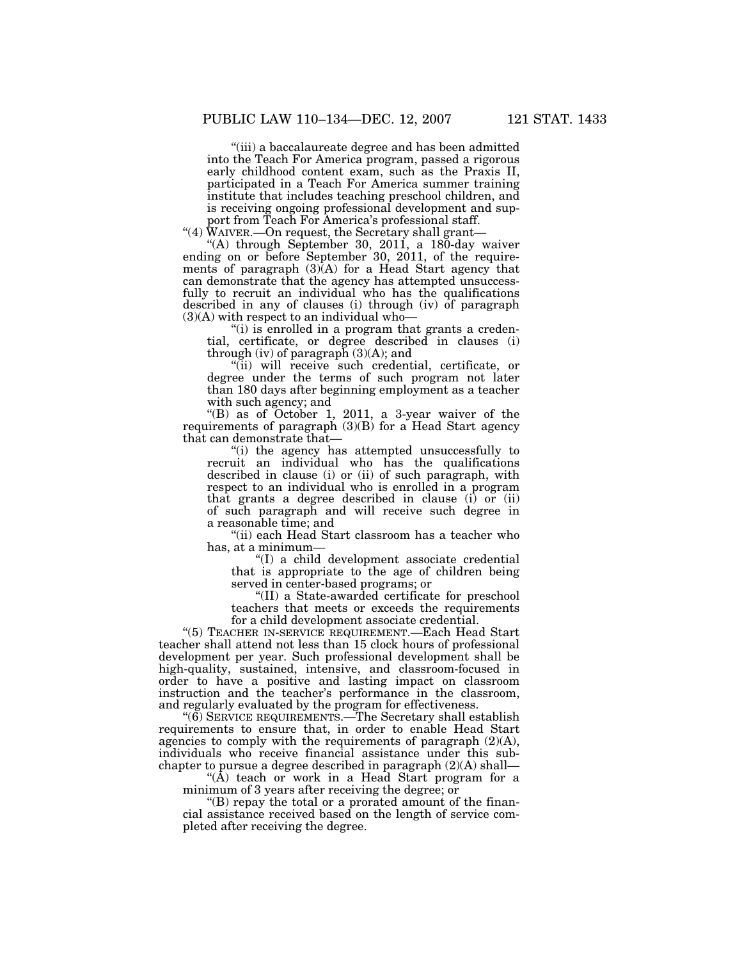''(iii) a baccalaureate degree and has been admitted into the Teach For America program, passed a rigorous early childhood content exam, such as the Praxis II, participated in a Teach For America summer training institute that includes teaching preschool children, and is receiving ongoing professional development and support from Teach For America's professional staff.

''(4) WAIVER.—On request, the Secretary shall grant—

''(A) through September 30, 2011, a 180-day waiver ending on or before September 30, 2011, of the requirements of paragraph (3)(A) for a Head Start agency that can demonstrate that the agency has attempted unsuccessfully to recruit an individual who has the qualifications described in any of clauses (i) through (iv) of paragraph  $(3)(A)$  with respect to an individual who-

"(i) is enrolled in a program that grants a credential, certificate, or degree described in clauses (i) through (iv) of paragraph  $(3)(A)$ ; and

"(ii) will receive such credential, certificate, or degree under the terms of such program not later than 180 days after beginning employment as a teacher with such agency; and

''(B) as of October 1, 2011, a 3-year waiver of the requirements of paragraph  $(3)(B)$  for a Head Start agency that can demonstrate that—

''(i) the agency has attempted unsuccessfully to recruit an individual who has the qualifications described in clause (i) or (ii) of such paragraph, with respect to an individual who is enrolled in a program that grants a degree described in clause (i) or (ii) of such paragraph and will receive such degree in a reasonable time; and

''(ii) each Head Start classroom has a teacher who has, at a minimum—

''(I) a child development associate credential that is appropriate to the age of children being served in center-based programs; or

''(II) a State-awarded certificate for preschool teachers that meets or exceeds the requirements for a child development associate credential.

''(5) TEACHER IN-SERVICE REQUIREMENT.—Each Head Start teacher shall attend not less than 15 clock hours of professional development per year. Such professional development shall be high-quality, sustained, intensive, and classroom-focused in order to have a positive and lasting impact on classroom instruction and the teacher's performance in the classroom, and regularly evaluated by the program for effectiveness.

''(6) SERVICE REQUIREMENTS.—The Secretary shall establish requirements to ensure that, in order to enable Head Start agencies to comply with the requirements of paragraph  $(2)(A)$ , individuals who receive financial assistance under this subchapter to pursue a degree described in paragraph (2)(A) shall—

" $(\overline{A})$  teach or work in a Head Start program for a minimum of 3 years after receiving the degree; or

''(B) repay the total or a prorated amount of the financial assistance received based on the length of service completed after receiving the degree.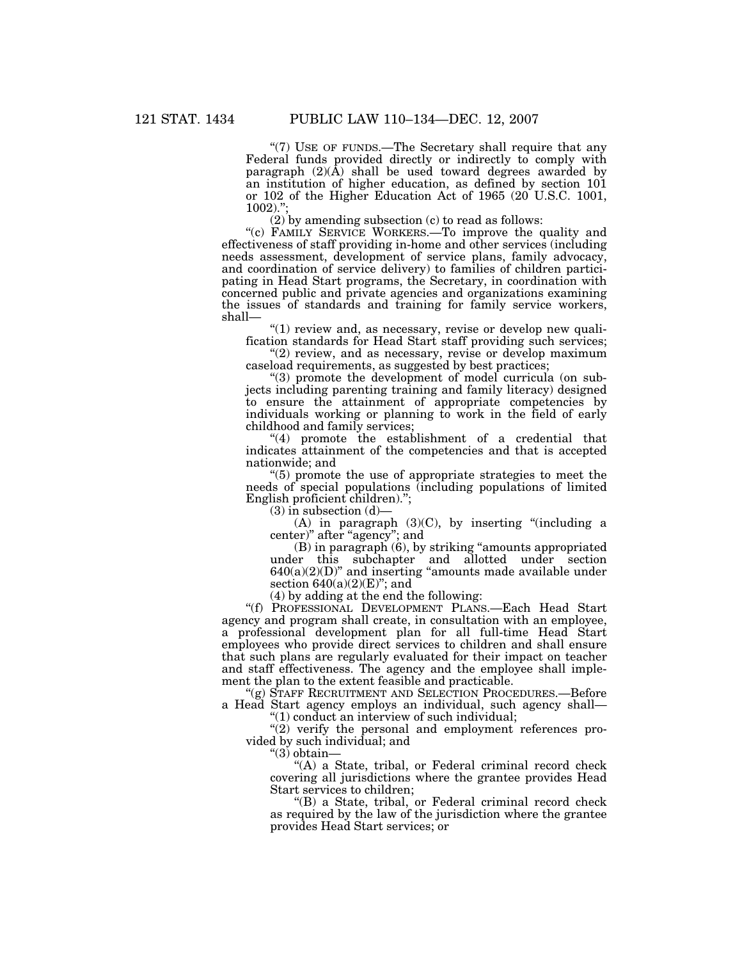"(7) USE OF FUNDS.—The Secretary shall require that any Federal funds provided directly or indirectly to comply with paragraph  $(2)(\overline{A})$  shall be used toward degrees awarded by an institution of higher education, as defined by section 101 or 102 of the Higher Education Act of 1965 (20 U.S.C. 1001, 1002).'';

(2) by amending subsection (c) to read as follows:

"(c) FAMILY SERVICE WORKERS.—To improve the quality and effectiveness of staff providing in-home and other services (including needs assessment, development of service plans, family advocacy, and coordination of service delivery) to families of children participating in Head Start programs, the Secretary, in coordination with concerned public and private agencies and organizations examining the issues of standards and training for family service workers, shall—

"(1) review and, as necessary, revise or develop new qualification standards for Head Start staff providing such services;

"(2) review, and as necessary, revise or develop maximum caseload requirements, as suggested by best practices;

''(3) promote the development of model curricula (on subjects including parenting training and family literacy) designed to ensure the attainment of appropriate competencies by individuals working or planning to work in the field of early childhood and family services;

"(4) promote the establishment of a credential that indicates attainment of the competencies and that is accepted nationwide; and

''(5) promote the use of appropriate strategies to meet the needs of special populations (including populations of limited English proficient children).'';

 $(3)$  in subsection  $(d)$ 

(A) in paragraph  $(3)(C)$ , by inserting "(including a center)" after "agency"; and

(B) in paragraph (6), by striking ''amounts appropriated under this subchapter and allotted under section  $640(a)(2)(D)$ " and inserting "amounts made available under section  $640(a)(2)(E)$ "; and

(4) by adding at the end the following:

''(f) PROFESSIONAL DEVELOPMENT PLANS.—Each Head Start agency and program shall create, in consultation with an employee, a professional development plan for all full-time Head Start employees who provide direct services to children and shall ensure that such plans are regularly evaluated for their impact on teacher and staff effectiveness. The agency and the employee shall implement the plan to the extent feasible and practicable.

''(g) STAFF RECRUITMENT AND SELECTION PROCEDURES.—Before a Head Start agency employs an individual, such agency shall—

''(1) conduct an interview of such individual;

 $''(2)$  verify the personal and employment references provided by such individual; and

''(3) obtain—

"(A) a State, tribal, or Federal criminal record check covering all jurisdictions where the grantee provides Head Start services to children;

"(B) a State, tribal, or Federal criminal record check as required by the law of the jurisdiction where the grantee provides Head Start services; or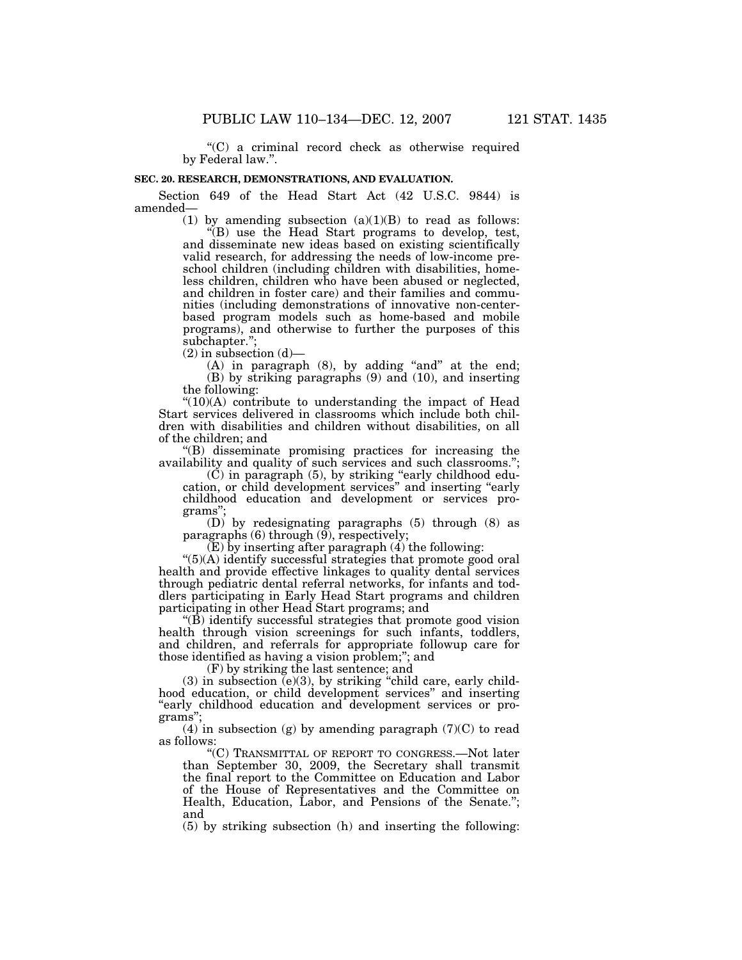''(C) a criminal record check as otherwise required by Federal law.''.

### **SEC. 20. RESEARCH, DEMONSTRATIONS, AND EVALUATION.**

Section 649 of the Head Start Act (42 U.S.C. 9844) is amended—

> (1) by amending subsection  $(a)(1)(B)$  to read as follows: ''(B) use the Head Start programs to develop, test, and disseminate new ideas based on existing scientifically valid research, for addressing the needs of low-income preschool children (including children with disabilities, homeless children, children who have been abused or neglected, and children in foster care) and their families and communities (including demonstrations of innovative non-centerbased program models such as home-based and mobile programs), and otherwise to further the purposes of this subchapter.'';

 $(2)$  in subsection  $(d)$ —

(A) in paragraph (8), by adding "and" at the end; (B) by striking paragraphs (9) and (10), and inserting the following:

 $"(10)(A)$  contribute to understanding the impact of Head Start services delivered in classrooms which include both children with disabilities and children without disabilities, on all of the children; and

''(B) disseminate promising practices for increasing the availability and quality of such services and such classrooms.'';

(C) in paragraph (5), by striking ''early childhood education, or child development services'' and inserting ''early childhood education and development or services programs"

(D) by redesignating paragraphs (5) through (8) as paragraphs (6) through (9), respectively;

 $(E)$  by inserting after paragraph  $(4)$  the following:

"(5)(A) identify successful strategies that promote good oral health and provide effective linkages to quality dental services through pediatric dental referral networks, for infants and toddlers participating in Early Head Start programs and children participating in other Head Start programs; and

''(B) identify successful strategies that promote good vision health through vision screenings for such infants, toddlers, and children, and referrals for appropriate followup care for those identified as having a vision problem;''; and

(F) by striking the last sentence; and

 $(3)$  in subsection  $(e)(3)$ , by striking "child care, early childhood education, or child development services'' and inserting "early childhood education and development services or programs'';

(4) in subsection (g) by amending paragraph  $(7)(C)$  to read as follows:

''(C) TRANSMITTAL OF REPORT TO CONGRESS.—Not later than September 30, 2009, the Secretary shall transmit the final report to the Committee on Education and Labor of the House of Representatives and the Committee on Health, Education, Labor, and Pensions of the Senate.''; and

(5) by striking subsection (h) and inserting the following: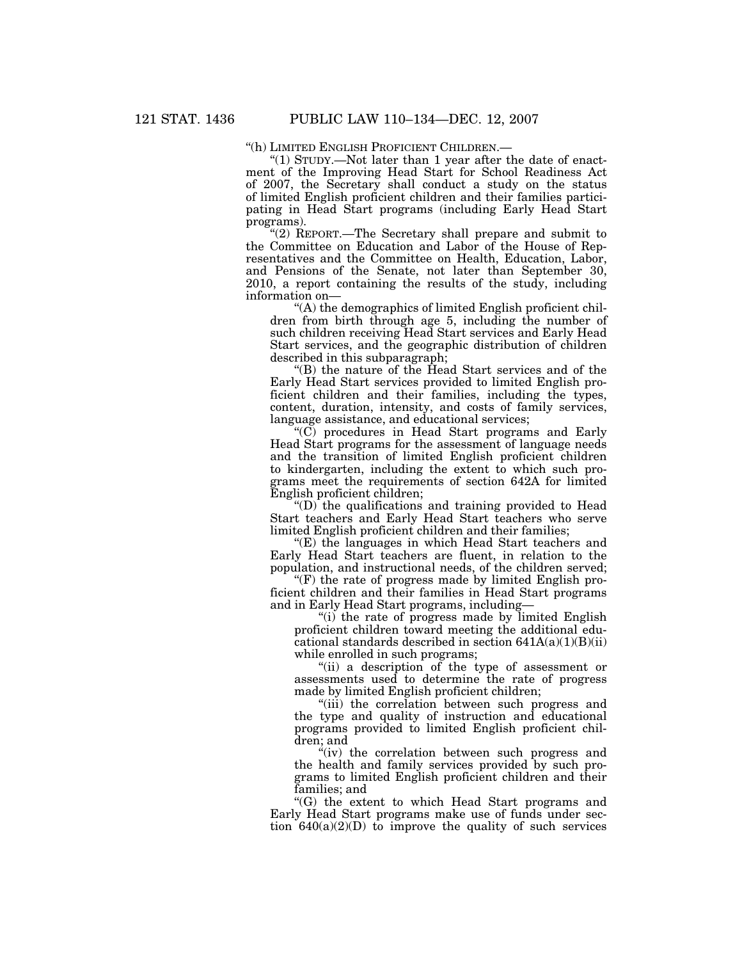''(h) LIMITED ENGLISH PROFICIENT CHILDREN.—

" $(1)$  STUDY.—Not later than 1 year after the date of enactment of the Improving Head Start for School Readiness Act of 2007, the Secretary shall conduct a study on the status of limited English proficient children and their families participating in Head Start programs (including Early Head Start programs).

''(2) REPORT.—The Secretary shall prepare and submit to the Committee on Education and Labor of the House of Representatives and the Committee on Health, Education, Labor, and Pensions of the Senate, not later than September 30, 2010, a report containing the results of the study, including information on—

''(A) the demographics of limited English proficient children from birth through age 5, including the number of such children receiving Head Start services and Early Head Start services, and the geographic distribution of children described in this subparagraph;

"(B) the nature of the Head Start services and of the Early Head Start services provided to limited English proficient children and their families, including the types, content, duration, intensity, and costs of family services, language assistance, and educational services;

 $\rm ^{11}$ (C) procedures in Head Start programs and Early Head Start programs for the assessment of language needs and the transition of limited English proficient children to kindergarten, including the extent to which such programs meet the requirements of section 642A for limited English proficient children;

 $\mathrm{``(D)}$  the qualifications and training provided to Head Start teachers and Early Head Start teachers who serve limited English proficient children and their families;

''(E) the languages in which Head Start teachers and Early Head Start teachers are fluent, in relation to the population, and instructional needs, of the children served;

''(F) the rate of progress made by limited English proficient children and their families in Head Start programs and in Early Head Start programs, including—

''(i) the rate of progress made by limited English proficient children toward meeting the additional educational standards described in section  $641A(a)(1)(B)(ii)$ while enrolled in such programs;

''(ii) a description of the type of assessment or assessments used to determine the rate of progress made by limited English proficient children;

''(iii) the correlation between such progress and the type and quality of instruction and educational programs provided to limited English proficient children; and

"(iv) the correlation between such progress and the health and family services provided by such programs to limited English proficient children and their families; and

''(G) the extent to which Head Start programs and Early Head Start programs make use of funds under section  $640(a)(2)(D)$  to improve the quality of such services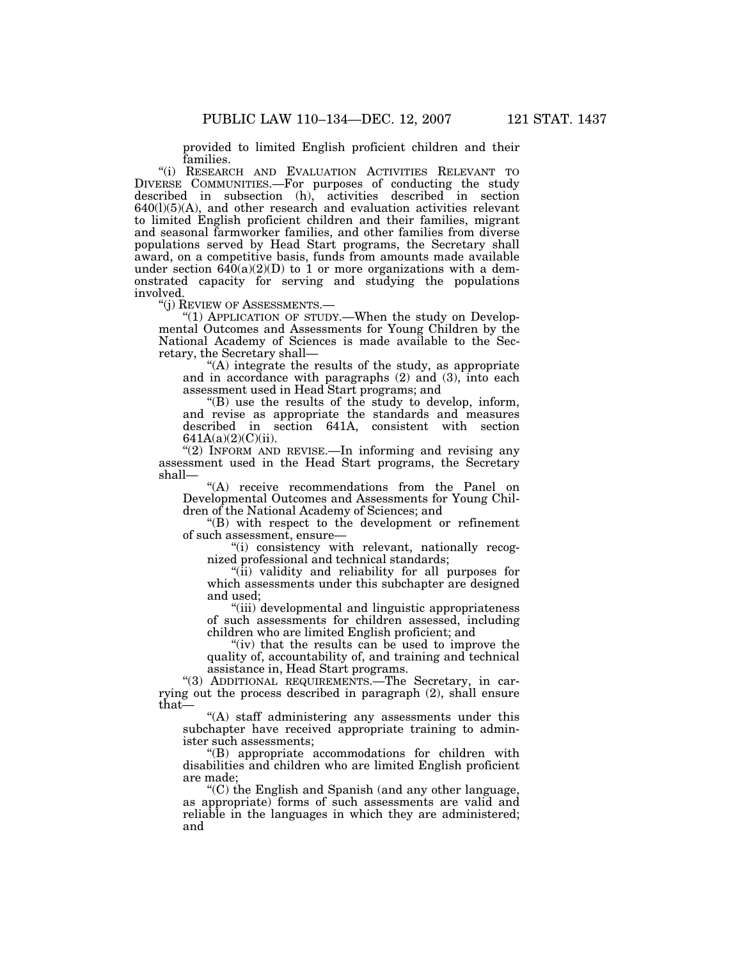provided to limited English proficient children and their families.

"(i) RESEARCH AND EVALUATION ACTIVITIES RELEVANT TO DIVERSE COMMUNITIES.—For purposes of conducting the study described in subsection (h), activities described in section  $640(1)(5)(A)$ , and other research and evaluation activities relevant to limited English proficient children and their families, migrant and seasonal farmworker families, and other families from diverse populations served by Head Start programs, the Secretary shall award, on a competitive basis, funds from amounts made available under section  $640(a)(2)(D)$  to 1 or more organizations with a demonstrated capacity for serving and studying the populations involved.<br>"(j) REVIEW OF ASSESSMENTS.—

"(1) APPLICATION OF STUDY.—When the study on Developmental Outcomes and Assessments for Young Children by the National Academy of Sciences is made available to the Secretary, the Secretary shall—

"(A) integrate the results of the study, as appropriate and in accordance with paragraphs (2) and (3), into each assessment used in Head Start programs; and

''(B) use the results of the study to develop, inform, and revise as appropriate the standards and measures described in section 641A, consistent with section  $641A(a)(2)(C)(ii)$ .

"(2) INFORM AND REVISE.—In informing and revising any assessment used in the Head Start programs, the Secretary shall—

''(A) receive recommendations from the Panel on Developmental Outcomes and Assessments for Young Children of the National Academy of Sciences; and

''(B) with respect to the development or refinement of such assessment, ensure—

''(i) consistency with relevant, nationally recognized professional and technical standards;

"(ii) validity and reliability for all purposes for which assessments under this subchapter are designed and used;

"(iii) developmental and linguistic appropriateness of such assessments for children assessed, including children who are limited English proficient; and

" $(iv)$  that the results can be used to improve the quality of, accountability of, and training and technical assistance in, Head Start programs.

"(3) ADDITIONAL REQUIREMENTS.—The Secretary, in carrying out the process described in paragraph (2), shall ensure that—

''(A) staff administering any assessments under this subchapter have received appropriate training to administer such assessments;

''(B) appropriate accommodations for children with disabilities and children who are limited English proficient are made;

''(C) the English and Spanish (and any other language, as appropriate) forms of such assessments are valid and reliable in the languages in which they are administered; and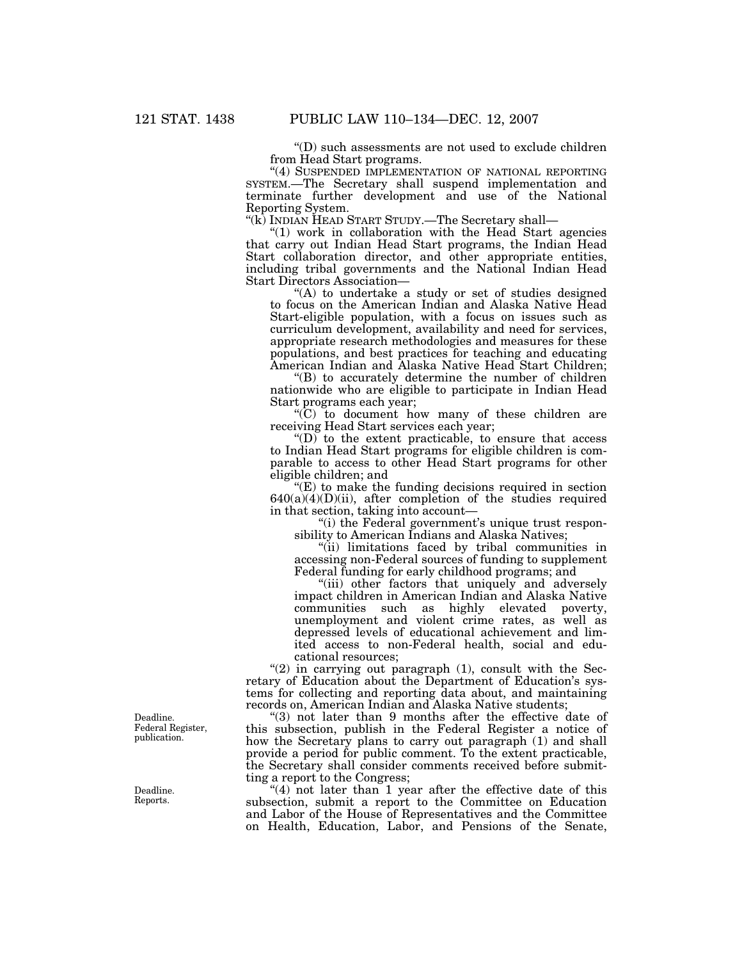''(D) such assessments are not used to exclude children from Head Start programs.

"(4) SUSPENDED IMPLEMENTATION OF NATIONAL REPORTING SYSTEM.—The Secretary shall suspend implementation and terminate further development and use of the National Reporting System.

''(k) INDIAN HEAD START STUDY.—The Secretary shall—

''(1) work in collaboration with the Head Start agencies that carry out Indian Head Start programs, the Indian Head Start collaboration director, and other appropriate entities, including tribal governments and the National Indian Head Start Directors Association—

"(A) to undertake a study or set of studies designed to focus on the American Indian and Alaska Native Head Start-eligible population, with a focus on issues such as curriculum development, availability and need for services, appropriate research methodologies and measures for these populations, and best practices for teaching and educating American Indian and Alaska Native Head Start Children;

''(B) to accurately determine the number of children nationwide who are eligible to participate in Indian Head Start programs each year;

 $(C)$  to document how many of these children are receiving Head Start services each year;

 $\mathrm{``(D)}$  to the extent practicable, to ensure that access to Indian Head Start programs for eligible children is comparable to access to other Head Start programs for other eligible children; and

 $E(E)$  to make the funding decisions required in section  $640(a)(4)(D)(ii)$ , after completion of the studies required in that section, taking into account—

"(i) the Federal government's unique trust responsibility to American Indians and Alaska Natives;

"(ii) limitations faced by tribal communities in accessing non-Federal sources of funding to supplement Federal funding for early childhood programs; and

"(iii) other factors that uniquely and adversely impact children in American Indian and Alaska Native communities such as highly elevated poverty, unemployment and violent crime rates, as well as depressed levels of educational achievement and limited access to non-Federal health, social and educational resources;

" $(2)$  in carrying out paragraph  $(1)$ , consult with the Secretary of Education about the Department of Education's systems for collecting and reporting data about, and maintaining records on, American Indian and Alaska Native students;

''(3) not later than 9 months after the effective date of this subsection, publish in the Federal Register a notice of how the Secretary plans to carry out paragraph (1) and shall provide a period for public comment. To the extent practicable, the Secretary shall consider comments received before submitting a report to the Congress;

" $(4)$  not later than 1 year after the effective date of this subsection, submit a report to the Committee on Education and Labor of the House of Representatives and the Committee on Health, Education, Labor, and Pensions of the Senate,

Deadline. Federal Register, publication.

Deadline. Reports.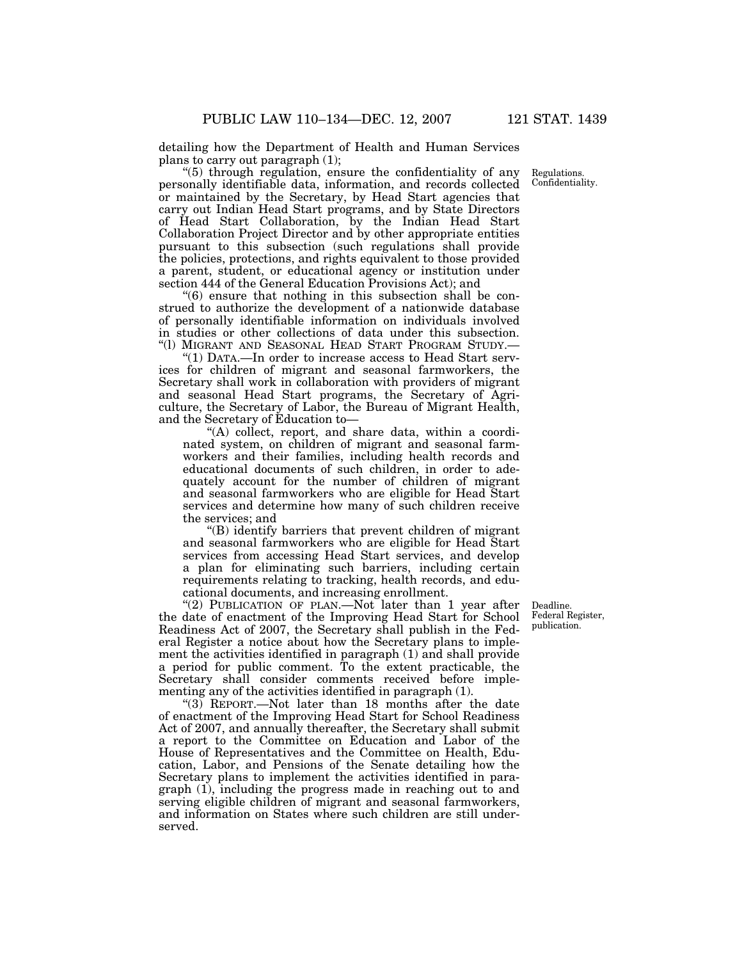detailing how the Department of Health and Human Services plans to carry out paragraph (1);

''(5) through regulation, ensure the confidentiality of any personally identifiable data, information, and records collected or maintained by the Secretary, by Head Start agencies that carry out Indian Head Start programs, and by State Directors of Head Start Collaboration, by the Indian Head Start Collaboration Project Director and by other appropriate entities pursuant to this subsection (such regulations shall provide the policies, protections, and rights equivalent to those provided a parent, student, or educational agency or institution under section 444 of the General Education Provisions Act); and

''(6) ensure that nothing in this subsection shall be construed to authorize the development of a nationwide database of personally identifiable information on individuals involved in studies or other collections of data under this subsection. ''(l) MIGRANT AND SEASONAL HEAD START PROGRAM STUDY.—

''(1) DATA.—In order to increase access to Head Start services for children of migrant and seasonal farmworkers, the Secretary shall work in collaboration with providers of migrant and seasonal Head Start programs, the Secretary of Agriculture, the Secretary of Labor, the Bureau of Migrant Health, and the Secretary of Education to—

"(A) collect, report, and share data, within a coordinated system, on children of migrant and seasonal farmworkers and their families, including health records and educational documents of such children, in order to adequately account for the number of children of migrant and seasonal farmworkers who are eligible for Head Start services and determine how many of such children receive the services; and

''(B) identify barriers that prevent children of migrant and seasonal farmworkers who are eligible for Head Start services from accessing Head Start services, and develop a plan for eliminating such barriers, including certain requirements relating to tracking, health records, and educational documents, and increasing enrollment.

"(2) PUBLICATION OF PLAN.—Not later than 1 year after the date of enactment of the Improving Head Start for School Readiness Act of 2007, the Secretary shall publish in the Federal Register a notice about how the Secretary plans to implement the activities identified in paragraph (1) and shall provide a period for public comment. To the extent practicable, the Secretary shall consider comments received before implementing any of the activities identified in paragraph (1).

''(3) REPORT.—Not later than 18 months after the date of enactment of the Improving Head Start for School Readiness Act of 2007, and annually thereafter, the Secretary shall submit a report to the Committee on Education and Labor of the House of Representatives and the Committee on Health, Education, Labor, and Pensions of the Senate detailing how the Secretary plans to implement the activities identified in paragraph (1), including the progress made in reaching out to and serving eligible children of migrant and seasonal farmworkers, and information on States where such children are still underserved.

Deadline. Federal Register, publication.

Regulations. Confidentiality.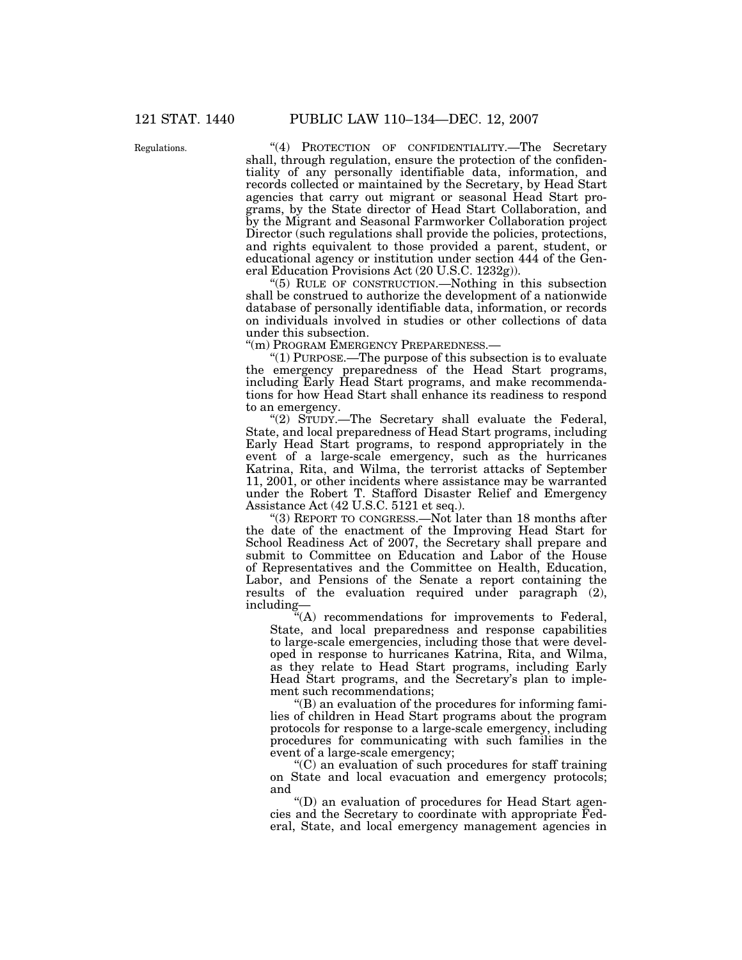Regulations. "(4) PROTECTION OF CONFIDENTIALITY.—The Secretary shall, through regulation, ensure the protection of the confidentiality of any personally identifiable data, information, and records collected or maintained by the Secretary, by Head Start agencies that carry out migrant or seasonal Head Start programs, by the State director of Head Start Collaboration, and by the Migrant and Seasonal Farmworker Collaboration project Director (such regulations shall provide the policies, protections, and rights equivalent to those provided a parent, student, or educational agency or institution under section 444 of the General Education Provisions Act (20 U.S.C. 1232g)).

> ''(5) RULE OF CONSTRUCTION.—Nothing in this subsection shall be construed to authorize the development of a nationwide database of personally identifiable data, information, or records on individuals involved in studies or other collections of data under this subsection.

''(m) PROGRAM EMERGENCY PREPAREDNESS.—

''(1) PURPOSE.—The purpose of this subsection is to evaluate the emergency preparedness of the Head Start programs, including Early Head Start programs, and make recommendations for how Head Start shall enhance its readiness to respond to an emergency.

"(2) STUDY.—The Secretary shall evaluate the Federal, State, and local preparedness of Head Start programs, including Early Head Start programs, to respond appropriately in the event of a large-scale emergency, such as the hurricanes Katrina, Rita, and Wilma, the terrorist attacks of September 11, 2001, or other incidents where assistance may be warranted under the Robert T. Stafford Disaster Relief and Emergency Assistance Act (42 U.S.C. 5121 et seq.).

''(3) REPORT TO CONGRESS.—Not later than 18 months after the date of the enactment of the Improving Head Start for School Readiness Act of 2007, the Secretary shall prepare and submit to Committee on Education and Labor of the House of Representatives and the Committee on Health, Education, Labor, and Pensions of the Senate a report containing the results of the evaluation required under paragraph (2), including—

 $C<sup>2</sup>(A)$  recommendations for improvements to Federal, State, and local preparedness and response capabilities to large-scale emergencies, including those that were developed in response to hurricanes Katrina, Rita, and Wilma, as they relate to Head Start programs, including Early Head Start programs, and the Secretary's plan to implement such recommendations;

''(B) an evaluation of the procedures for informing families of children in Head Start programs about the program protocols for response to a large-scale emergency, including procedures for communicating with such families in the event of a large-scale emergency;

''(C) an evaluation of such procedures for staff training on State and local evacuation and emergency protocols; and

''(D) an evaluation of procedures for Head Start agencies and the Secretary to coordinate with appropriate Federal, State, and local emergency management agencies in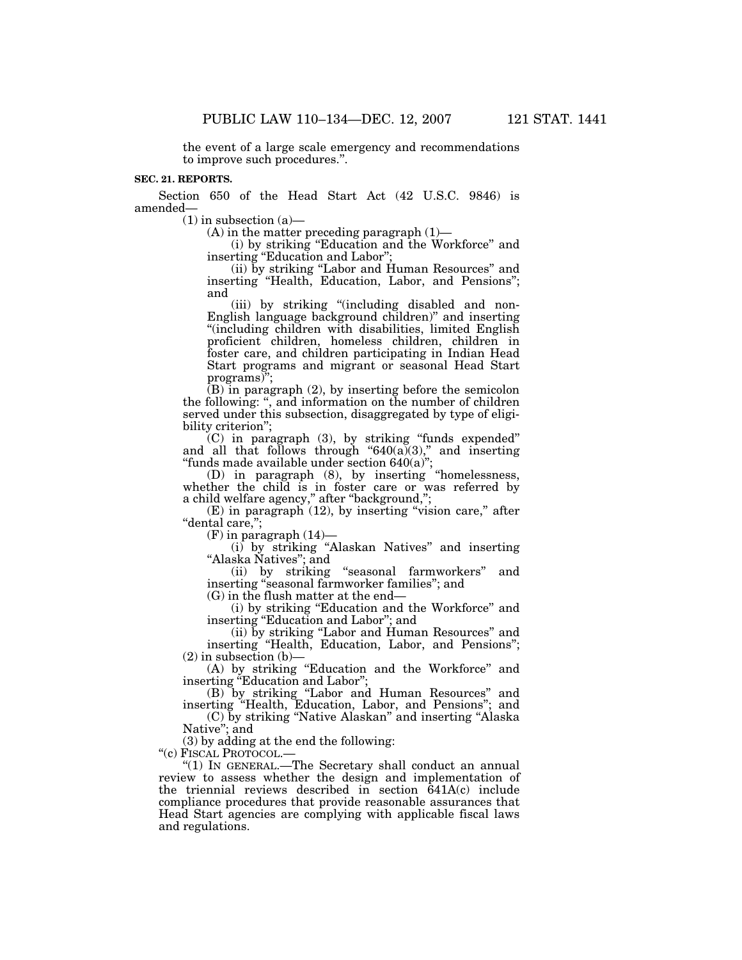the event of a large scale emergency and recommendations to improve such procedures.''.

# **SEC. 21. REPORTS.**

Section 650 of the Head Start Act (42 U.S.C. 9846) is amended—

 $(1)$  in subsection  $(a)$ —

 $(A)$  in the matter preceding paragraph  $(1)$ —

(i) by striking ''Education and the Workforce'' and inserting "Education and Labor";

(ii) by striking ''Labor and Human Resources'' and inserting ''Health, Education, Labor, and Pensions''; and

(iii) by striking "(including disabled and non-English language background children)'' and inserting ''(including children with disabilities, limited English proficient children, homeless children, children in foster care, and children participating in Indian Head Start programs and migrant or seasonal Head Start programs)";

(B) in paragraph (2), by inserting before the semicolon the following: '', and information on the number of children served under this subsection, disaggregated by type of eligibility criterion'';

(C) in paragraph (3), by striking ''funds expended'' and all that follows through " $640(a)(3)$ ," and inserting ''funds made available under section 640(a)'';

(D) in paragraph (8), by inserting ''homelessness, whether the child is in foster care or was referred by a child welfare agency,'' after ''background,'';

 $(E)$  in paragraph  $(12)$ , by inserting "vision care," after "dental care,";

 $(F)$  in paragraph  $(14)$ —

(i) by striking ''Alaskan Natives'' and inserting ''Alaska Natives''; and

(ii) by striking ''seasonal farmworkers'' and inserting "seasonal farmworker families"; and

(G) in the flush matter at the end—

(i) by striking ''Education and the Workforce'' and inserting ''Education and Labor''; and

(ii) by striking ''Labor and Human Resources'' and inserting ''Health, Education, Labor, and Pensions'';  $(2)$  in subsection  $(b)$ –

(A) by striking ''Education and the Workforce'' and inserting "Education and Labor";

(B) by striking ''Labor and Human Resources'' and inserting ''Health, Education, Labor, and Pensions''; and

(C) by striking ''Native Alaskan'' and inserting ''Alaska Native''; and

(3) by adding at the end the following:

''(c) FISCAL PROTOCOL.—

''(1) IN GENERAL.—The Secretary shall conduct an annual review to assess whether the design and implementation of the triennial reviews described in section 641A(c) include compliance procedures that provide reasonable assurances that Head Start agencies are complying with applicable fiscal laws and regulations.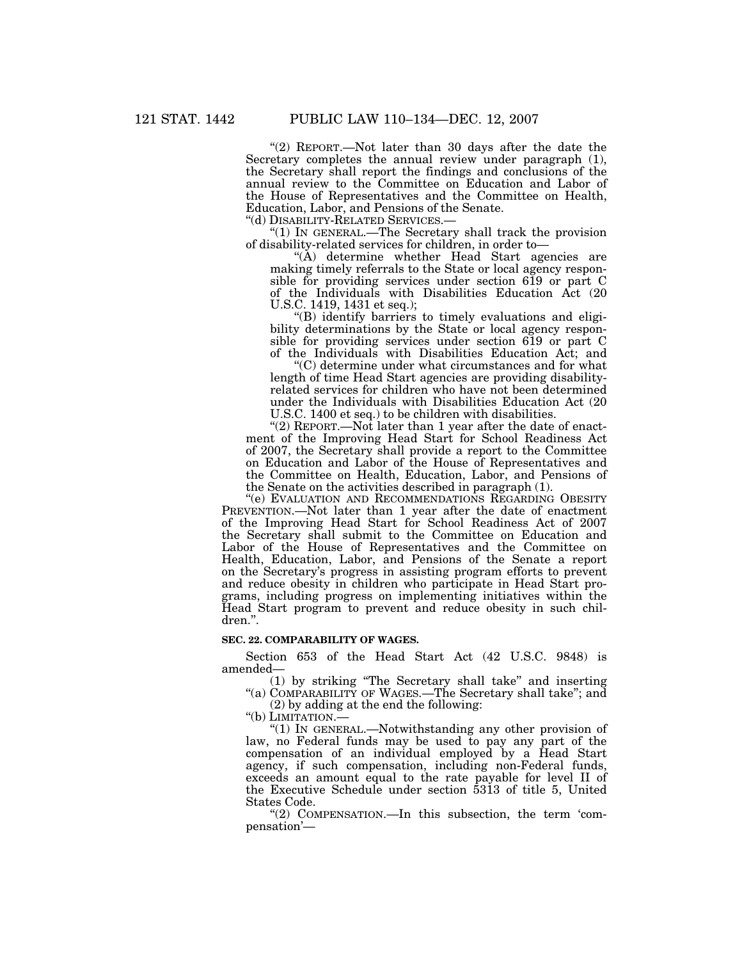"(2) REPORT.—Not later than 30 days after the date the Secretary completes the annual review under paragraph (1), the Secretary shall report the findings and conclusions of the annual review to the Committee on Education and Labor of the House of Representatives and the Committee on Health, Education, Labor, and Pensions of the Senate.<br>"(d) DISABILITY-RELATED SERVICES.—

" $(1)$  In GENERAL.—The Secretary shall track the provision of disability-related services for children, in order to—

''(A) determine whether Head Start agencies are making timely referrals to the State or local agency responsible for providing services under section 619 or part C of the Individuals with Disabilities Education Act (20 U.S.C. 1419, 1431 et seq.);

''(B) identify barriers to timely evaluations and eligibility determinations by the State or local agency responsible for providing services under section 619 or part C of the Individuals with Disabilities Education Act; and

''(C) determine under what circumstances and for what length of time Head Start agencies are providing disabilityrelated services for children who have not been determined under the Individuals with Disabilities Education Act (20 U.S.C. 1400 et seq.) to be children with disabilities.

"(2) REPORT.—Not later than 1 year after the date of enactment of the Improving Head Start for School Readiness Act of 2007, the Secretary shall provide a report to the Committee on Education and Labor of the House of Representatives and the Committee on Health, Education, Labor, and Pensions of the Senate on the activities described in paragraph (1).

''(e) EVALUATION AND RECOMMENDATIONS REGARDING OBESITY PREVENTION.—Not later than 1 year after the date of enactment of the Improving Head Start for School Readiness Act of 2007 the Secretary shall submit to the Committee on Education and Labor of the House of Representatives and the Committee on Health, Education, Labor, and Pensions of the Senate a report on the Secretary's progress in assisting program efforts to prevent and reduce obesity in children who participate in Head Start programs, including progress on implementing initiatives within the Head Start program to prevent and reduce obesity in such children.''.

### **SEC. 22. COMPARABILITY OF WAGES.**

Section 653 of the Head Start Act (42 U.S.C. 9848) is amended—

(1) by striking ''The Secretary shall take'' and inserting "(a) COMPARABILITY OF WAGES.—The Secretary shall take"; and

(2) by adding at the end the following:

"(b) LIMITATION.-

 ''(1) IN GENERAL.—Notwithstanding any other provision of law, no Federal funds may be used to pay any part of the compensation of an individual employed by a Head Start agency, if such compensation, including non-Federal funds, exceeds an amount equal to the rate payable for level II of the Executive Schedule under section 5313 of title 5, United States Code.

''(2) COMPENSATION.—In this subsection, the term 'compensation'—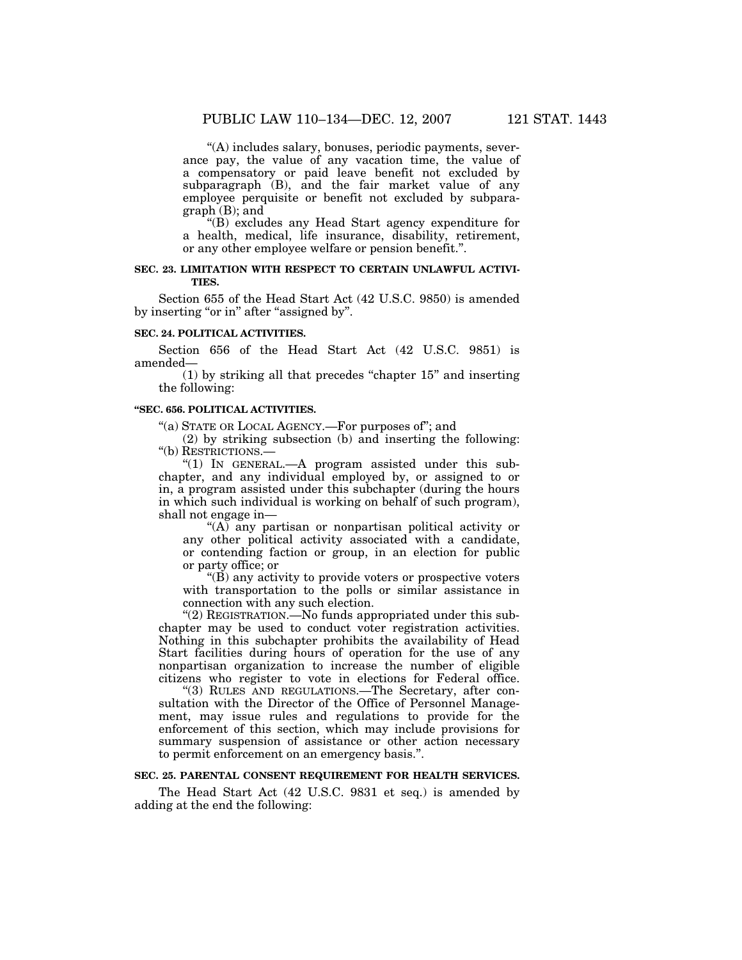''(A) includes salary, bonuses, periodic payments, severance pay, the value of any vacation time, the value of a compensatory or paid leave benefit not excluded by subparagraph (B), and the fair market value of any employee perquisite or benefit not excluded by subparagraph (B); and

''(B) excludes any Head Start agency expenditure for a health, medical, life insurance, disability, retirement, or any other employee welfare or pension benefit.''.

## **SEC. 23. LIMITATION WITH RESPECT TO CERTAIN UNLAWFUL ACTIVI-TIES.**

Section 655 of the Head Start Act (42 U.S.C. 9850) is amended by inserting "or in" after "assigned by".

### **SEC. 24. POLITICAL ACTIVITIES.**

Section 656 of the Head Start Act (42 U.S.C. 9851) is amended—

(1) by striking all that precedes ''chapter 15'' and inserting the following:

#### **''SEC. 656. POLITICAL ACTIVITIES.**

"(a) STATE OR LOCAL AGENCY.—For purposes of"; and

(2) by striking subsection (b) and inserting the following: ''(b) RESTRICTIONS.—

" $(1)$  In GENERAL.—A program assisted under this subchapter, and any individual employed by, or assigned to or in, a program assisted under this subchapter (during the hours in which such individual is working on behalf of such program), shall not engage in—

"(A) any partisan or nonpartisan political activity or any other political activity associated with a candidate, or contending faction or group, in an election for public or party office; or

''(B) any activity to provide voters or prospective voters with transportation to the polls or similar assistance in connection with any such election.

''(2) REGISTRATION.—No funds appropriated under this subchapter may be used to conduct voter registration activities. Nothing in this subchapter prohibits the availability of Head Start facilities during hours of operation for the use of any nonpartisan organization to increase the number of eligible citizens who register to vote in elections for Federal office.

''(3) RULES AND REGULATIONS.—The Secretary, after consultation with the Director of the Office of Personnel Management, may issue rules and regulations to provide for the enforcement of this section, which may include provisions for summary suspension of assistance or other action necessary to permit enforcement on an emergency basis.''.

## **SEC. 25. PARENTAL CONSENT REQUIREMENT FOR HEALTH SERVICES.**

The Head Start Act (42 U.S.C. 9831 et seq.) is amended by adding at the end the following: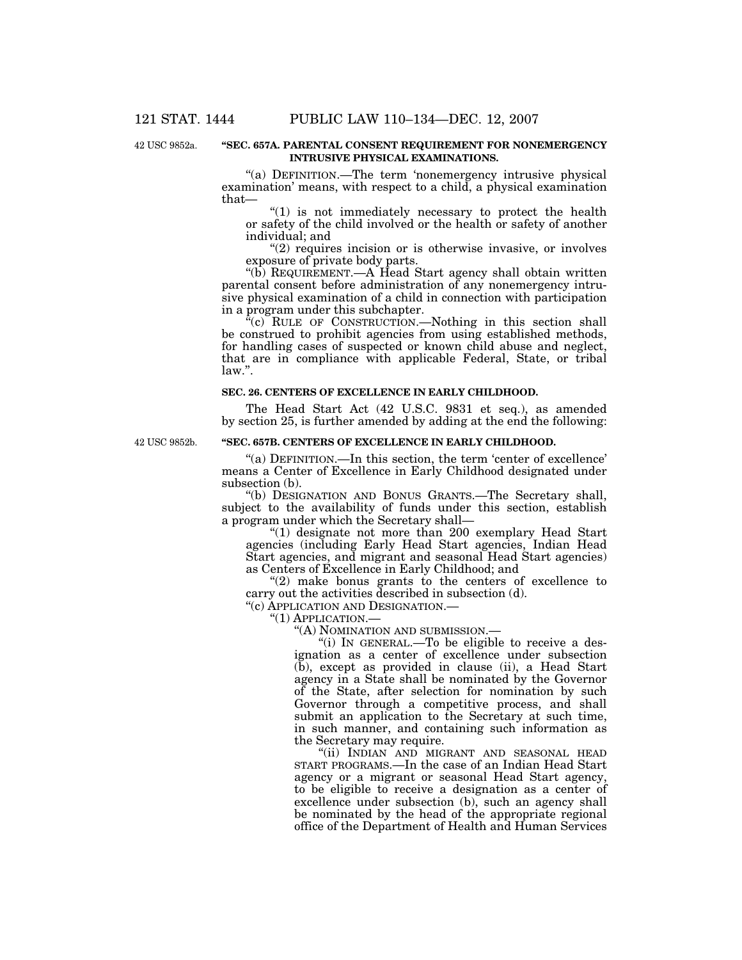42 USC 9852a.

#### **''SEC. 657A. PARENTAL CONSENT REQUIREMENT FOR NONEMERGENCY INTRUSIVE PHYSICAL EXAMINATIONS.**

"(a) DEFINITION.—The term 'nonemergency intrusive physical examination' means, with respect to a child, a physical examination that—

''(1) is not immediately necessary to protect the health or safety of the child involved or the health or safety of another individual; and

"(2) requires incision or is otherwise invasive, or involves exposure of private body parts.

''(b) REQUIREMENT.—A Head Start agency shall obtain written parental consent before administration of any nonemergency intrusive physical examination of a child in connection with participation in a program under this subchapter.

"(c) RULE OF CONSTRUCTION.—Nothing in this section shall be construed to prohibit agencies from using established methods, for handling cases of suspected or known child abuse and neglect, that are in compliance with applicable Federal, State, or tribal law.''.

### **SEC. 26. CENTERS OF EXCELLENCE IN EARLY CHILDHOOD.**

The Head Start Act (42 U.S.C. 9831 et seq.), as amended by section 25, is further amended by adding at the end the following:

42 USC 9852b.

### **''SEC. 657B. CENTERS OF EXCELLENCE IN EARLY CHILDHOOD.**

''(a) DEFINITION.—In this section, the term 'center of excellence' means a Center of Excellence in Early Childhood designated under subsection (b).

''(b) DESIGNATION AND BONUS GRANTS.—The Secretary shall, subject to the availability of funds under this section, establish a program under which the Secretary shall—

''(1) designate not more than 200 exemplary Head Start agencies (including Early Head Start agencies, Indian Head Start agencies, and migrant and seasonal Head Start agencies) as Centers of Excellence in Early Childhood; and

" $(2)$  make bonus grants to the centers of excellence to carry out the activities described in subsection (d). ''(c) APPLICATION AND DESIGNATION.—

''(1) APPLICATION.—

''(A) NOMINATION AND SUBMISSION.—

"(i) IN GENERAL.—To be eligible to receive a designation as a center of excellence under subsection (b), except as provided in clause (ii), a Head Start agency in a State shall be nominated by the Governor of the State, after selection for nomination by such Governor through a competitive process, and shall submit an application to the Secretary at such time, in such manner, and containing such information as the Secretary may require.

"(ii) INDIAN AND MIGRANT AND SEASONAL HEAD START PROGRAMS.—In the case of an Indian Head Start agency or a migrant or seasonal Head Start agency, to be eligible to receive a designation as a center of excellence under subsection (b), such an agency shall be nominated by the head of the appropriate regional office of the Department of Health and Human Services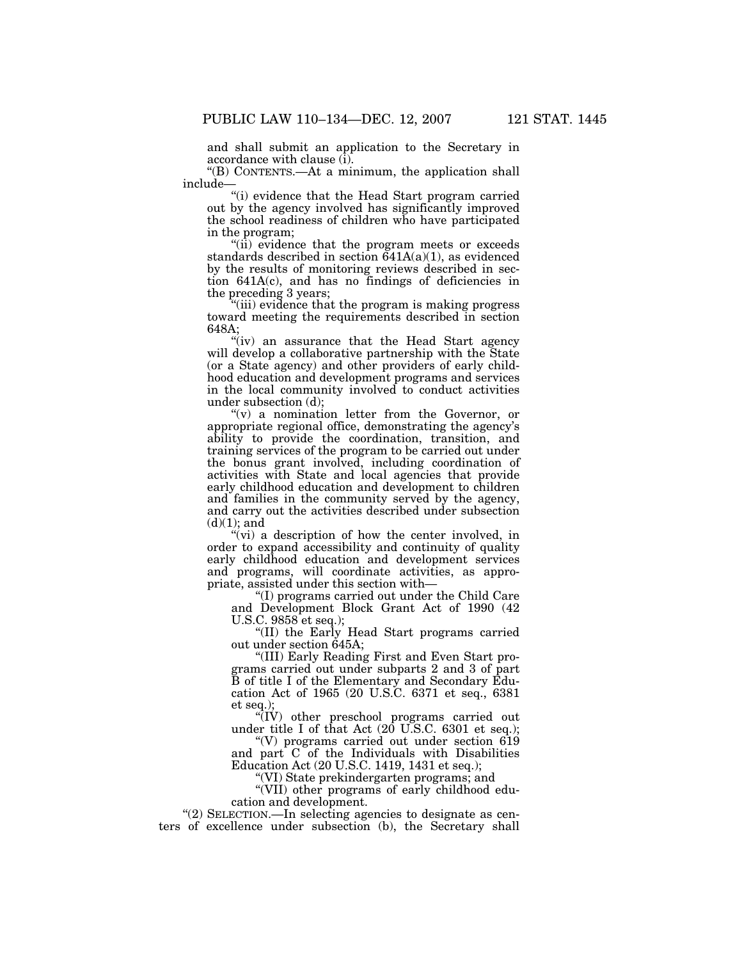and shall submit an application to the Secretary in accordance with clause (i).

''(B) CONTENTS.—At a minimum, the application shall include—

''(i) evidence that the Head Start program carried out by the agency involved has significantly improved the school readiness of children who have participated in the program;

"(ii) evidence that the program meets or exceeds standards described in section  $641A(a)(1)$ , as evidenced by the results of monitoring reviews described in section 641A(c), and has no findings of deficiencies in the preceding 3 years;

''(iii) evidence that the program is making progress toward meeting the requirements described in section 648A;

"(iv) an assurance that the Head Start agency will develop a collaborative partnership with the State (or a State agency) and other providers of early childhood education and development programs and services in the local community involved to conduct activities under subsection (d);

 $''(v)$  a nomination letter from the Governor, or appropriate regional office, demonstrating the agency's ability to provide the coordination, transition, and training services of the program to be carried out under the bonus grant involved, including coordination of activities with State and local agencies that provide early childhood education and development to children and families in the community served by the agency, and carry out the activities described under subsection  $(d)(1)$ ; and

 $\mathcal{L}(vi)$  a description of how the center involved, in order to expand accessibility and continuity of quality early childhood education and development services and programs, will coordinate activities, as appropriate, assisted under this section with—

''(I) programs carried out under the Child Care and Development Block Grant Act of 1990 (42 U.S.C. 9858 et seq.);

''(II) the Early Head Start programs carried out under section 645A;

''(III) Early Reading First and Even Start programs carried out under subparts 2 and 3 of part B of title I of the Elementary and Secondary Education Act of 1965 (20 U.S.C. 6371 et seq., 6381 et seq.)

''(IV) other preschool programs carried out under title I of that Act (20 U.S.C. 6301 et seq.);

''(V) programs carried out under section 619 and part C of the Individuals with Disabilities Education Act (20 U.S.C. 1419, 1431 et seq.);

''(VI) State prekindergarten programs; and

''(VII) other programs of early childhood education and development.

''(2) SELECTION.—In selecting agencies to designate as centers of excellence under subsection (b), the Secretary shall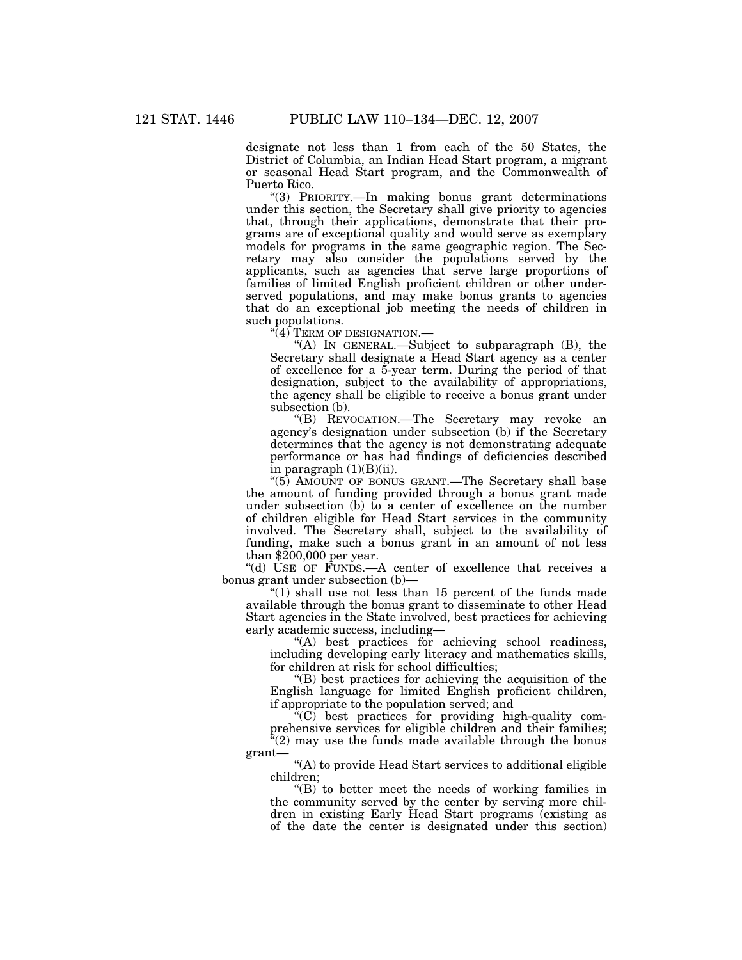designate not less than 1 from each of the 50 States, the District of Columbia, an Indian Head Start program, a migrant or seasonal Head Start program, and the Commonwealth of Puerto Rico.

''(3) PRIORITY.—In making bonus grant determinations under this section, the Secretary shall give priority to agencies that, through their applications, demonstrate that their programs are of exceptional quality and would serve as exemplary models for programs in the same geographic region. The Secretary may also consider the populations served by the applicants, such as agencies that serve large proportions of families of limited English proficient children or other underserved populations, and may make bonus grants to agencies that do an exceptional job meeting the needs of children in such populations.

 $\sqrt[4]{4}$  Term of designation.—

''(A) IN GENERAL.—Subject to subparagraph (B), the Secretary shall designate a Head Start agency as a center of excellence for a 5-year term. During the period of that designation, subject to the availability of appropriations, the agency shall be eligible to receive a bonus grant under subsection (b).

''(B) REVOCATION.—The Secretary may revoke an agency's designation under subsection (b) if the Secretary determines that the agency is not demonstrating adequate performance or has had findings of deficiencies described in paragraph  $(1)(B)(ii)$ .

"(5) AMOUNT OF BONUS GRANT.—The Secretary shall base the amount of funding provided through a bonus grant made under subsection (b) to a center of excellence on the number of children eligible for Head Start services in the community involved. The Secretary shall, subject to the availability of funding, make such a bonus grant in an amount of not less than \$200,000 per year.

''(d) USE OF FUNDS.—A center of excellence that receives a bonus grant under subsection (b)—

" $(1)$  shall use not less than 15 percent of the funds made available through the bonus grant to disseminate to other Head Start agencies in the State involved, best practices for achieving early academic success, including—

''(A) best practices for achieving school readiness, including developing early literacy and mathematics skills, for children at risk for school difficulties;

''(B) best practices for achieving the acquisition of the English language for limited English proficient children, if appropriate to the population served; and

''(C) best practices for providing high-quality comprehensive services for eligible children and their families; "(2) may use the funds made available through the bonus

grant—

''(A) to provide Head Start services to additional eligible children;

''(B) to better meet the needs of working families in the community served by the center by serving more children in existing Early Head Start programs (existing as of the date the center is designated under this section)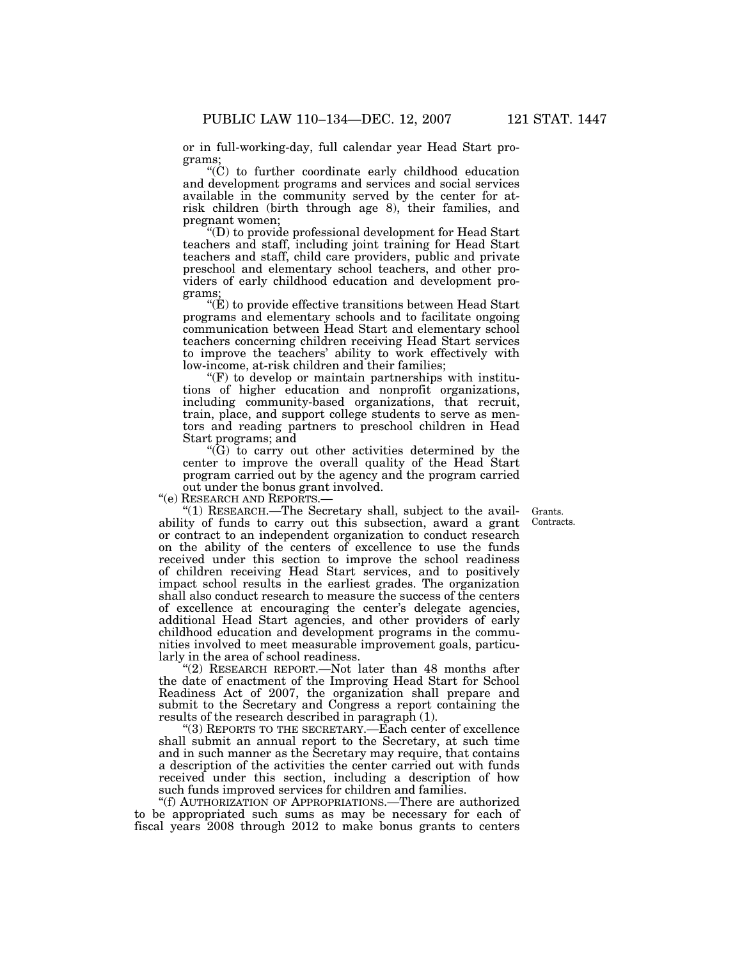or in full-working-day, full calendar year Head Start programs;

''(C) to further coordinate early childhood education and development programs and services and social services available in the community served by the center for atrisk children (birth through age 8), their families, and pregnant women;

''(D) to provide professional development for Head Start teachers and staff, including joint training for Head Start teachers and staff, child care providers, public and private preschool and elementary school teachers, and other providers of early childhood education and development programs;

''(E) to provide effective transitions between Head Start programs and elementary schools and to facilitate ongoing communication between Head Start and elementary school teachers concerning children receiving Head Start services to improve the teachers' ability to work effectively with low-income, at-risk children and their families;

 $F(F)$  to develop or maintain partnerships with institutions of higher education and nonprofit organizations, including community-based organizations, that recruit, train, place, and support college students to serve as mentors and reading partners to preschool children in Head Start programs; and

 $\mathrm{``G}$  to carry out other activities determined by the center to improve the overall quality of the Head Start program carried out by the agency and the program carried out under the bonus grant involved.

''(e) RESEARCH AND REPORTS.—

''(1) RESEARCH.—The Secretary shall, subject to the availability of funds to carry out this subsection, award a grant or contract to an independent organization to conduct research on the ability of the centers of excellence to use the funds received under this section to improve the school readiness of children receiving Head Start services, and to positively impact school results in the earliest grades. The organization shall also conduct research to measure the success of the centers of excellence at encouraging the center's delegate agencies, additional Head Start agencies, and other providers of early childhood education and development programs in the communities involved to meet measurable improvement goals, particularly in the area of school readiness.

"(2) RESEARCH REPORT.—Not later than 48 months after the date of enactment of the Improving Head Start for School Readiness Act of 2007, the organization shall prepare and submit to the Secretary and Congress a report containing the results of the research described in paragraph (1).

''(3) REPORTS TO THE SECRETARY.—Each center of excellence shall submit an annual report to the Secretary, at such time and in such manner as the Secretary may require, that contains a description of the activities the center carried out with funds received under this section, including a description of how such funds improved services for children and families.

''(f) AUTHORIZATION OF APPROPRIATIONS.—There are authorized to be appropriated such sums as may be necessary for each of fiscal years 2008 through 2012 to make bonus grants to centers

Grants. Contracts.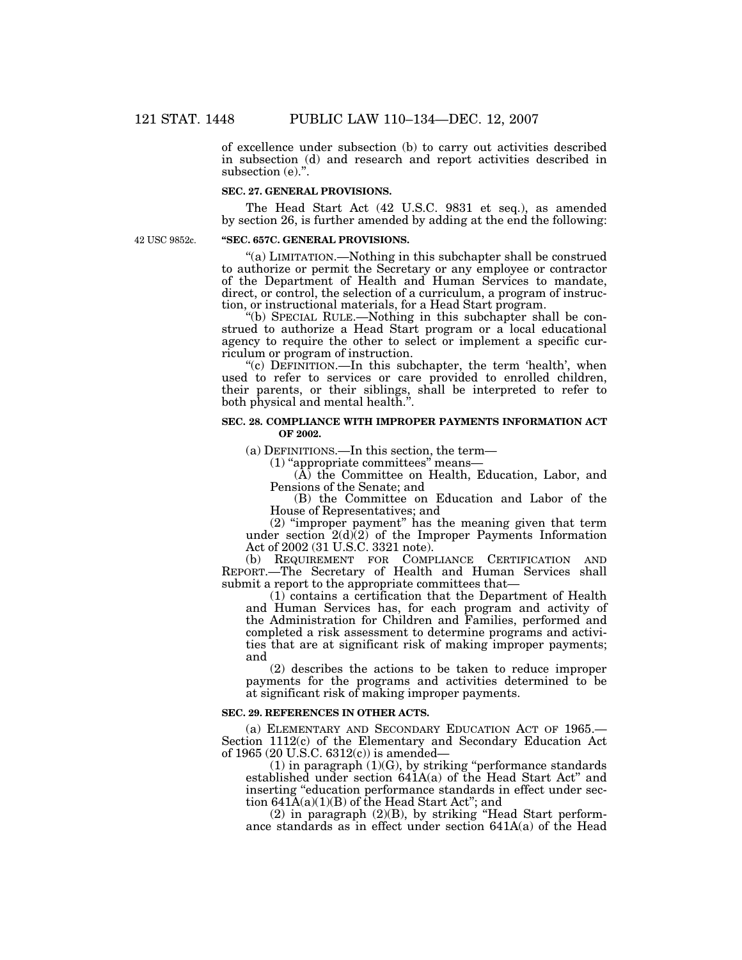of excellence under subsection (b) to carry out activities described in subsection (d) and research and report activities described in subsection (e).".

### **SEC. 27. GENERAL PROVISIONS.**

The Head Start Act (42 U.S.C. 9831 et seq.), as amended by section 26, is further amended by adding at the end the following:

42 USC 9852c.

### **''SEC. 657C. GENERAL PROVISIONS.**

''(a) LIMITATION.—Nothing in this subchapter shall be construed to authorize or permit the Secretary or any employee or contractor of the Department of Health and Human Services to mandate, direct, or control, the selection of a curriculum, a program of instruction, or instructional materials, for a Head Start program.

''(b) SPECIAL RULE.—Nothing in this subchapter shall be construed to authorize a Head Start program or a local educational agency to require the other to select or implement a specific curriculum or program of instruction.

"(c) DEFINITION.—In this subchapter, the term 'health', when used to refer to services or care provided to enrolled children, their parents, or their siblings, shall be interpreted to refer to both physical and mental health.''.

#### **SEC. 28. COMPLIANCE WITH IMPROPER PAYMENTS INFORMATION ACT OF 2002.**

(a) DEFINITIONS.—In this section, the term—

 $(1)$  "appropriate committees" means—

(A) the Committee on Health, Education, Labor, and Pensions of the Senate; and

(B) the Committee on Education and Labor of the House of Representatives; and

(2) ''improper payment'' has the meaning given that term under section  $2(d)(2)$  of the Improper Payments Information Act of 2002 (31 U.S.C. 3321 note).

(b) REQUIREMENT FOR COMPLIANCE CERTIFICATION AND REPORT.—The Secretary of Health and Human Services shall submit a report to the appropriate committees that—

(1) contains a certification that the Department of Health and Human Services has, for each program and activity of the Administration for Children and Families, performed and completed a risk assessment to determine programs and activities that are at significant risk of making improper payments; and

(2) describes the actions to be taken to reduce improper payments for the programs and activities determined to be at significant risk of making improper payments.

### **SEC. 29. REFERENCES IN OTHER ACTS.**

(a) ELEMENTARY AND SECONDARY EDUCATION ACT OF 1965.— Section 1112(c) of the Elementary and Secondary Education Act of 1965 (20 U.S.C. 6312(c)) is amended—

 $(1)$  in paragraph  $(1)(G)$ , by striking "performance standards" established under section 641A(a) of the Head Start Act'' and inserting "education performance standards in effect under section  $641A(a)(1)(B)$  of the Head Start Act"; and

(2) in paragraph (2)(B), by striking ''Head Start performance standards as in effect under section 641A(a) of the Head